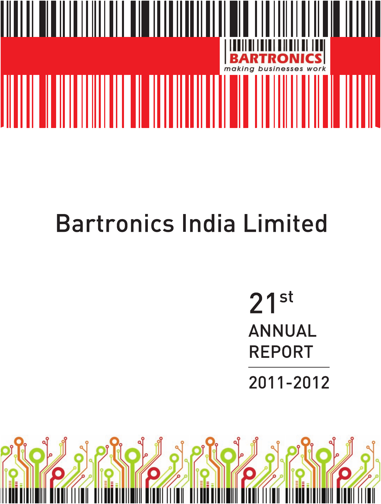

# **Bartronics India Limited**

 $21^{st}$ **ANNUAL REPORT** 

2011-2012

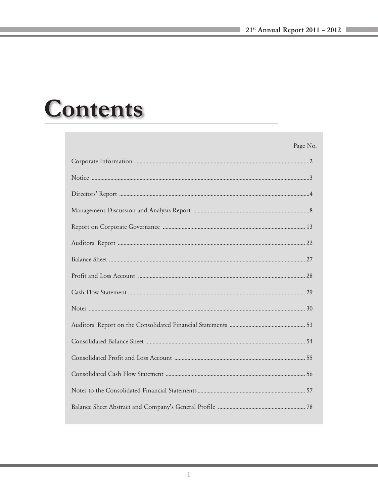# **Contents**

| Page No. |
|----------|
|          |
|          |
|          |
|          |
|          |
|          |
|          |
|          |
|          |
|          |
|          |
|          |
|          |
|          |
|          |
|          |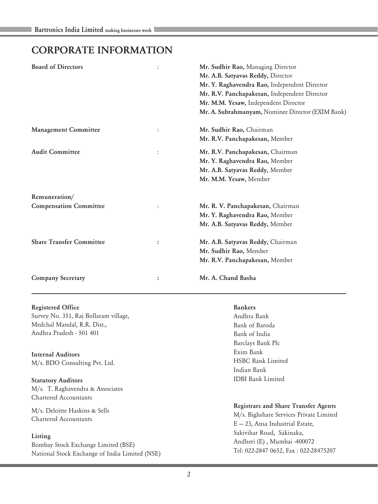# CORPORATE INFORMATION

| <b>Board of Directors</b>       | ÷ | Mr. Sudhir Rao, Managing Director                 |
|---------------------------------|---|---------------------------------------------------|
|                                 |   | Mr. A.B. Satyavas Reddy, Director                 |
|                                 |   | Mr. Y. Raghavendra Rao, Independent Director      |
|                                 |   | Mr. R.V. Panchapakesan, Independent Director      |
|                                 |   | Mr. M.M. Yesaw, Independent Director              |
|                                 |   | Mr. A. Subrahmanyam, Nominee Director (EXIM Bank) |
| <b>Management Committee</b>     |   | Mr. Sudhir Rao, Chairman                          |
|                                 |   | Mr. R.V. Panchapakesan, Member                    |
| <b>Audit Committee</b>          |   | Mr. R.V. Panchapakesan, Chairman                  |
|                                 |   | Mr. Y. Raghavendra Rao, Member                    |
|                                 |   | Mr. A.B. Satyavas Reddy, Member                   |
|                                 |   | Mr. M.M. Yesaw, Member                            |
| Remuneration/                   |   |                                                   |
| <b>Compensation Committee</b>   |   | Mr. R. V. Panchapakesan, Chairman                 |
|                                 |   | Mr. Y. Raghavendra Rao, Member                    |
|                                 |   | Mr. A.B. Satyavas Reddy, Member                   |
| <b>Share Transfer Committee</b> |   | Mr. A.B. Satyavas Reddy, Chairman                 |
|                                 |   | Mr. Sudhir Rao, Member                            |
|                                 |   | Mr. R.V. Panchapakesan, Member                    |
| <b>Company Secretary</b>        |   | Mr. A. Chand Basha                                |
|                                 |   |                                                   |

# Registered Office Survey No. 351, Raj Bollaram village,

Medchal Mandal, R.R. Dist., Andhra Pradesh - 501 401

Internal Auditors M/s. BDO Consulting Pvt. Ltd.

Statutory Auditors M/s. T. Raghavendra & Associates Chartered Accountants

M/s. Deloitte Haskins & Sells Chartered Accountants

#### Listing

Bombay Stock Exchange Limited (BSE) National Stock Exchange of India Limited (NSE)

#### Bankers

Andhra Bank Bank of Baroda Bank of India Barclays Bank Plc Exim Bank HSBC Bank Limited Indian Bank IDBI Bank Limited

# Registrars and Share Transfer Agents

M/s. Bighshare Services Private Limited E — 23, Ansa Industrial Estate, Sakivihar Road, Sakinaka, Andheri (E) , Mumbai -400072 Tel: 022-2847 0652, Fax : 022-28475207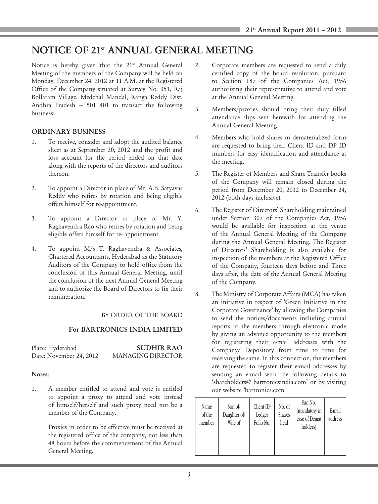# NOTICE OF 21st ANNUAL GENERAL MEETING

Notice is hereby given that the 21<sup>st</sup> Annual General Meeting of the members of the Company will be held on Monday, December 24, 2012 at 11 A.M. at the Registered Office of the Company situated at Survey No. 351, Raj Bollaram Village, Medchal Mandal, Ranga Reddy Dist. Andhra Pradesh — 501 401 to transact the following business:

# ORDINARY BUSINESS

- 1. To receive, consider and adopt the audited balance sheet as at September 30, 2012 and the profit and loss account for the period ended on that date along with the reports of the directors and auditors thereon.
- 2. To appoint a Director in place of Mr. A.B. Satyavas Reddy who retires by rotation and being eligible offers himself for re-appointment.
- 3. To appoint a Director in place of Mr. Y. Raghavendra Rao who retires by rotation and being eligible offers himself for re- appointment.
- 4. To appoint M/s T. Raghavendra & Associates, Chartered Accountants, Hyderabad as the Statutory Auditors of the Company to hold office from the conclusion of this Annual General Meeting, until the conclusion of the next Annual General Meeting and to authorize the Board of Directors to fix their remuneration.

#### BY ORDER OF THE BOARD

# For BARTRONICS INDIA LIMITED

| Place: Hyderabad        | <b>SUDHIR RAO</b> |
|-------------------------|-------------------|
| Date: November 24, 2012 | MANAGING DIRECTOR |

#### Notes:

1. A member entitled to attend and vote is entitled to appoint a proxy to attend and vote instead of himself/herself and such proxy need not be a member of the Company.

> Proxies in order to be effective must be received at the registered office of the company, not less than 48 hours before the commencement of the Annual General Meeting.

- 2. Corporate members are requested to send a duly certified copy of the board resolution, pursuant to Section 187 of the Companies Act, 1956 authorizing their representative to attend and vote at the Annual General Meeting.
- 3. Members/proxies should bring their duly filled attendance slips sent herewith for attending the Annual General Meeting.
- 4. Members who hold shares in dematerialized form are requested to bring their Client ID and DP ID numbers for easy identification and attendance at the meeting.
- 5. The Register of Members and Share Transfer books of the Company will remain closed during the period from December 20, 2012 to December 24, 2012 (both days inclusive).
- 6. The Register of Directors' Shareholding maintained under Section 307 of the Companies Act, 1956 would be available for inspection at the venue of the Annual General Meeting of the Company during the Annual General Meeting. The Register of Directors' Shareholding is also available for inspection of the members at the Registered Office of the Company, fourteen days before and Three days after, the date of the Annual General Meeting of the Company.
- 8. The Ministry of Corporate Affairs (MCA) has taken an initiative in respect of 'Green Initiative in the Corporate Governance' by allowing the Companies to send the notices/documents including annual reports to the members through electronic mode by giving an advance opportunity to the members for registering their e-mail addresses with the Company/ Depository from time to time for receiving the same. In this connection, the members are requested to register their e-mail addresses by sending an e-mail with the following details to 'shareholders@ bartronicsindia.com' or by visiting our website 'bartronics.com'

| Name<br>of the<br>member | Son of/<br>Daughter of/<br>Wife of | Client ID/<br>Ledger<br>Folio No. | No. of<br><b>Shares</b><br>held | Pan No.<br>(mandatory in<br>case of Demat<br>holders) | E-mail<br>address |
|--------------------------|------------------------------------|-----------------------------------|---------------------------------|-------------------------------------------------------|-------------------|
|                          |                                    |                                   |                                 |                                                       |                   |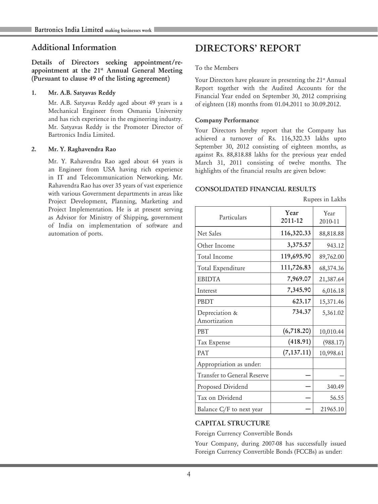# Additional Information

Details of Directors seeking appointment/reappointment at the 21<sup>st</sup> Annual General Meeting (Pursuant to clause 49 of the listing agreement)

#### 1. Mr. A.B. Satyavas Reddy

Mr. A.B. Satyavas Reddy aged about 49 years is a Mechanical Engineer from Osmania University and has rich experience in the engineering industry. Mr. Satyavas Reddy is the Promoter Director of Bartronics India Limited.

#### 2. Mr. Y. Raghavendra Rao

Mr. Y. Rahavendra Rao aged about 64 years is an Engineer from USA having rich experience in IT and Telecommunication Networking. Mr. Rahavendra Rao has over 35 years of vast experience with various Government departments in areas like Project Development, Planning, Marketing and Project Implementation. He is at present serving as Advisor for Ministry of Shipping, government of India on implementation of software and automation of ports.

# DIRECTORS' REPORT

#### To the Members

Your Directors have pleasure in presenting the 21<sup>st</sup> Annual Report together with the Audited Accounts for the Financial Year ended on September 30, 2012 comprising of eighteen (18) months from 01.04.2011 to 30.09.2012.

#### Company Performance

Your Directors hereby report that the Company has achieved a turnover of Rs. 116,320.33 lakhs upto September 30, 2012 consisting of eighteen months, as against Rs. 88,818.88 lakhs for the previous year ended March 31, 2011 consisting of twelve months. The highlights of the financial results are given below:

Rupees in Lakhs

#### CONSOLIDATED FINANCIAL RESULTS

| Particulars                    | Year<br>2011-12 | Year<br>2010-11 |
|--------------------------------|-----------------|-----------------|
| Net Sales                      | 116,320.33      | 88,818.88       |
| Other Income                   | 3,375.57        | 943.12          |
| Total Income                   | 119,695.90      | 89,762.00       |
| Total Expenditure              | 111,726.83      | 68,374.36       |
| <b>EBIDTA</b>                  | 7,969.07        | 21,387.64       |
| Interest                       | 7,345.90        | 6,016.18        |
| PBDT                           | 623.17          | 15,371.46       |
| Depreciation &<br>Amortization | 734.37          | 5,361.02        |
| <b>PBT</b>                     | (6,718.20)      | 10,010.44       |
| Tax Expense                    | (418.91)        | (988.17)        |
| <b>PAT</b>                     | (7, 137.11)     | 10,998.61       |
| Appropriation as under:        |                 |                 |
| Transfer to General Reserve    |                 |                 |
| Proposed Dividend              |                 | 340.49          |
| Tax on Dividend                |                 | 56.55           |
| Balance C/F to next year       |                 | 21965.10        |

# CAPITAL STRUCTURE

Foreign Currency Convertible Bonds

Your Company, during 2007-08 has successfully issued Foreign Currency Convertible Bonds (FCCBs) as under: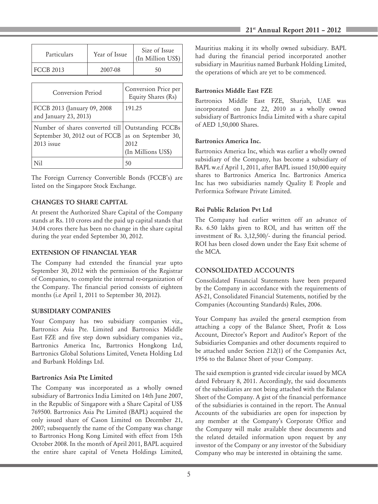| Particulars      | Year of Issue | Size of Issue<br>(In Million US\$) |
|------------------|---------------|------------------------------------|
| <b>FCCB 2013</b> | 2007-08       | 50                                 |

| Conversion Period                                                                                     | Conversion Price per<br>Equity Shares (Rs)        |
|-------------------------------------------------------------------------------------------------------|---------------------------------------------------|
| FCCB 2013 (January 09, 2008)<br>and January 23, 2013)                                                 | 191.25                                            |
| Number of shares converted till   Outstanding FCCBs<br>September 30, 2012 out of FCCB<br>$2013$ issue | as on September 30,<br>2012<br>(In Millions US\$) |
|                                                                                                       | 50                                                |

The Foreign Currency Convertible Bonds (FCCB's) are listed on the Singapore Stock Exchange.

#### CHANGES TO SHARE CAPITAL

At present the Authorized Share Capital of the Company stands at Rs. 110 crores and the paid up capital stands that 34.04 crores there has been no change in the share capital during the year ended September 30, 2012.

#### EXTENSION OF FINANCIAL YEAR

The Company had extended the financial year upto September 30, 2012 with the permission of the Registrar of Companies, to complete the internal re-organization of the Company. The financial period consists of eighteen months (i.e April 1, 2011 to September 30, 2012).

#### SUBSIDIARY COMPANIES

Your Company has two subsidiary companies viz., Bartronics Asia Pte. Limited and Bartronics Middle East FZE and five step down subsidiary companies viz., Bartronics America Inc, Bartronics Hongkong Ltd, Bartronics Global Solutions Limited, Veneta Holding Ltd and Burbank Holdings Ltd.

#### Bartronics Asia Pte Limited

The Company was incorporated as a wholly owned subsidiary of Bartronics India Limited on 14th June 2007, in the Republic of Singapore with a Share Capital of US\$ 769500. Bartronics Asia Pte Limited (BAPL) acquired the only issued share of Cason Limited on December 21, 2007; subsequently the name of the Company was change to Bartronics Hong Kong Limited with effect from 15th October 2008. In the month of April 2011, BAPL acquired the entire share capital of Veneta Holdings Limited, Mauritius making it its wholly owned subsidiary. BAPL had during the financial period incorporated another subsidiary in Mauritius named Burbank Holding Limited, the operations of which are yet to be commenced.

#### Bartronics Middle East FZE

Bartronics Middle East FZE, Sharjah, UAE was incorporated on June 22, 2010 as a wholly owned subsidiary of Bartronics India Limited with a share capital of AED 1,50,000 Shares.

#### Bartronics America Inc.

Bartronics America Inc, which was earlier a wholly owned subsidiary of the Company, has become a subsidiary of BAPL w.e.f April 1, 2011, after BAPL issued 150,000 equity shares to Bartronics America Inc. Bartronics America Inc has two subsidiaries namely Quality E People and Performica Software Private Limited.

#### Roi Public Relation Pvt Ltd

The Company had earlier written off an advance of Rs. 6.50 lakhs given to ROI, and has written off the investment of Rs. 3,12,500/- during the financial period. ROI has been closed down under the Easy Exit scheme of the MCA.

#### CONSOLIDATED ACCOUNTS

Consolidated Financial Statements have been prepared by the Company in accordance with the requirements of AS-21, Consolidated Financial Statements, notified by the Companies (Accounting Standards) Rules, 2006.

Your Company has availed the general exemption from attaching a copy of the Balance Sheet, Profit & Loss Account, Director's Report and Auditor's Report of the Subsidiaries Companies and other documents required to be attached under Section 212(1) of the Companies Act, 1956 to the Balance Sheet of your Company.

The said exemption is granted vide circular issued by MCA dated February 8, 2011. Accordingly, the said documents of the subsidiaries are not being attached with the Balance Sheet of the Company. A gist of the financial performance of the subsidiaries is contained in the report. The Annual Accounts of the subsidiaries are open for inspection by any member at the Company's Corporate Office and the Company will make available these documents and the related detailed information upon request by any investor of the Company or any investor of the Subsidiary Company who may be interested in obtaining the same.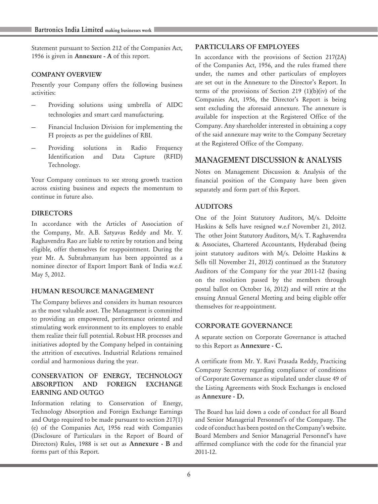Statement pursuant to Section 212 of the Companies Act, 1956 is given in Annexure - A of this report.

#### COMPANY OVERVIEW

Presently your Company offers the following business activities:

- Providing solutions using umbrella of AIDC technologies and smart card manufacturing.
- Financial Inclusion Division for implementing the FI projects as per the guidelines of RBI.
- Providing solutions in Radio Frequency Identification and Data Capture (RFID) Technology.

Your Company continues to see strong growth traction across existing business and expects the momentum to continue in future also.

#### **DIRECTORS**

In accordance with the Articles of Association of the Company, Mr. A.B. Satyavas Reddy and Mr. Y. Raghavendra Rao are liable to retire by rotation and being eligible, offer themselves for reappointment. During the year Mr. A. Subrahmanyam has been appointed as a nominee director of Export Import Bank of India w.e.f. May 5, 2012.

#### HUMAN RESOURCE MANAGEMENT

The Company believes and considers its human resources as the most valuable asset. The Management is committed to providing an empowered, performance oriented and stimulating work environment to its employees to enable them realize their full potential. Robust HR processes and initiatives adopted by the Company helped in containing the attrition of executives. Industrial Relations remained cordial and harmonious during the year.

#### CONSERVATION OF ENERGY, TECHNOLOGY ABSORPTION AND FOREIGN EXCHANGE EARNING AND OUTGO

Information relating to Conservation of Energy, Technology Absorption and Foreign Exchange Earnings and Outgo required to be made pursuant to section 217(1) (e) of the Companies Act, 1956 read with Companies (Disclosure of Particulars in the Report of Board of Directors) Rules, 1988 is set out as Annexure - B and forms part of this Report.

#### PARTICULARS OF EMPLOYEES

In accordance with the provisions of Section 217(2A) of the Companies Act, 1956, and the rules framed there under, the names and other particulars of employees are set out in the Annexure to the Director's Report. In terms of the provisions of Section 219 (1)(b)(iv) of the Companies Act, 1956, the Director's Report is being sent excluding the aforesaid annexure. The annexure is available for inspection at the Registered Office of the Company. Any shareholder interested in obtaining a copy of the said annexure may write to the Company Secretary at the Registered Office of the Company.

# MANAGEMENT DISCUSSION & ANALYSIS

Notes on Management Discussion & Analysis of the financial position of the Company have been given separately and form part of this Report.

#### AUDITORS

One of the Joint Statutory Auditors, M/s. Deloitte Haskins & Sells have resigned w.e.f November 21, 2012. The other Joint Statutory Auditors, M/s. T. Raghavendra & Associates, Chartered Accountants, Hyderabad (being joint statutory auditors with M/s. Deloitte Haskins & Sells till November 21, 2012) continued as the Statutory Auditors of the Company for the year 2011-12 (basing on the resolution passed by the members through postal ballot on October 16, 2012) and will retire at the ensuing Annual General Meeting and being eligible offer themselves for re-appointment.

#### CORPORATE GOVERNANCE

A separate section on Corporate Governance is attached to this Report as Annexure - C.

A certificate from Mr. Y. Ravi Prasada Reddy, Practicing Company Secretary regarding compliance of conditions of Corporate Governance as stipulated under clause 49 of the Listing Agreements with Stock Exchanges is enclosed as Annexure - D.

The Board has laid down a code of conduct for all Board and Senior Managerial Personnel's of the Company. The code of conduct has been posted on the Company's website. Board Members and Senior Managerial Personnel's have affirmed compliance with the code for the financial year 2011-12.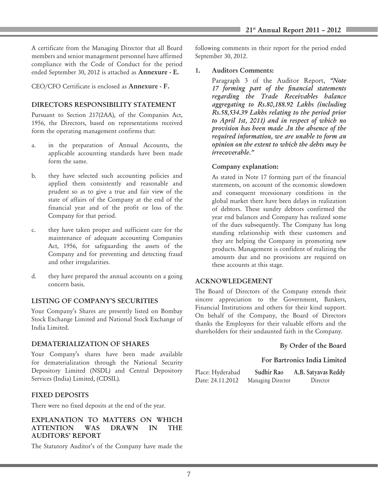A certificate from the Managing Director that all Board members and senior management personnel have affirmed compliance with the Code of Conduct for the period ended September 30, 2012 is attached as Annexure - E.

CEO/CFO Certificate is enclosed as Annexure - F.

# DIRECTORS RESPONSIBILITY STATEMENT

Pursuant to Section 217(2AA), of the Companies Act, 1956, the Directors, based on representations received form the operating management confirms that:

- a. in the preparation of Annual Accounts, the applicable accounting standards have been made form the same.
- b. they have selected such accounting policies and applied them consistently and reasonable and prudent so as to give a true and fair view of the state of affairs of the Company at the end of the financial year and of the profit or loss of the Company for that period.
- c. they have taken proper and sufficient care for the maintenance of adequate accounting Companies Act, 1956, for safeguarding the assets of the Company and for preventing and detecting fraud and other irregularities.
- d. they have prepared the annual accounts on a going concern basis.

# LISTING OF COMPANY'S SECURITIES

Your Company's Shares are presently listed on Bombay Stock Exchange Limited and National Stock Exchange of India Limited.

#### DEMATERIALIZATION OF SHARES

Your Company's shares have been made available for dematerialization through the National Security Depository Limited (NSDL) and Central Depository Services (India) Limited, (CDSIL).

# FIXED DEPOSITS

There were no fixed deposits at the end of the year.

#### EXPLANATION TO MATTERS ON WHICH<br>ATTENTION WAS DRAWN IN THE ATTENTION WAS DRAWN IN THE AUDITORS' REPORT

The Statutory Auditor's of the Company have made the

following comments in their report for the period ended September 30, 2012.

#### 1. Auditors Comments:

Paragraph 3 of the Auditor Report, *"Note 17 forming part of the financial statements regarding the Trade Receivables balance aggregating to Rs.80,188.92 Lakhs (including Rs.58,534.39 Lakhs relating to the period prior to April 1st, 2011) and in respect of which no provision has been made .In the absence of the required information, we are unable to form an opinion on the extent to which the debts may be irrecoverable."*

# Company explanation:

As stated in Note 17 forming part of the financial statements, on account of the economic slowdown and consequent recessionary conditions in the global market there have been delays in realization of debtors. These sundry debtors confirmed the year end balances and Company has realized some of the dues subsequently. The Company has long standing relationship with these customers and they are helping the Company in promoting new products. Management is confident of realizing the amounts due and no provisions are required on these accounts at this stage.

# ACKNOWLEDGEMENT

The Board of Directors of the Company extends their sincere appreciation to the Government, Bankers, Financial Institutions and others for their kind support. On behalf of the Company, the Board of Directors thanks the Employees for their valuable efforts and the shareholders for their undaunted faith in the Company.

# By Order of the Board

# For Bartronics India Limited

Place: Hyderabad Sudhir Rao A.B. Satyavas Reddy Date: 24.11.2012 Managing Director Director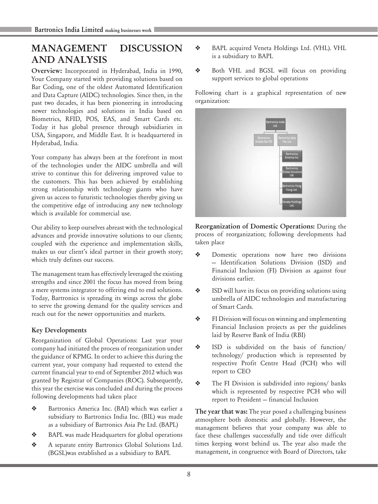# MANAGEMENT DISCUSSION AND ANALYSIS

Overview: Incorporated in Hyderabad, India in 1990, Your Company started with providing solutions based on Bar Coding, one of the oldest Automated Identification and Data Capture (AIDC) technologies. Since then, in the past two decades, it has been pioneering in introducing newer technologies and solutions in India based on Biometrics, RFID, POS, EAS, and Smart Cards etc. Today it has global presence through subsidiaries in USA, Singapore, and Middle East. It is headquartered in Hyderabad, India.

Your company has always been at the forefront in most of the technologies under the AIDC umbrella and will strive to continue this for delivering improved value to the customers. This has been achieved by establishing strong relationship with technology giants who have given us access to futuristic technologies thereby giving us the competitive edge of introducing any new technology which is available for commercial use.

Our ability to keep ourselves abreast with the technological advances and provide innovative solutions to our clients; coupled with the experience and implementation skills, makes us our client's ideal partner in their growth story; which truly defines our success.

The management team has effectively leveraged the existing strengths and since 2001 the focus has moved from being a mere systems integrator to offering end to end solutions. Today, Bartronics is spreading its wings across the globe to serve the growing demand for the quality services and reach out for the newer opportunities and markets.

# Key Developments

Reorganization of Global Operations: Last year your company had initiated the process of reorganization under the guidance of KPMG. In order to achieve this during the current year, your company had requested to extend the current financial year to end of September 2012 which was granted by Registrar of Companies (ROC). Subsequently, this year the exercise was concluded and during the process following developments had taken place

- **\*** Bartronics America Inc. (BAI) which was earlier a subsidiary to Bartronics India Inc. (BIL) was made as a subsidiary of Bartronics Asia Pte Ltd. (BAPL)
- ◆ BAPL was made Headquarters for global operations
- \* A separate entity Bartronics Global Solutions Ltd. (BGSL)was established as a subsidiary to BAPL
- \* BAPL acquired Veneta Holdings Ltd. (VHL). VHL is a subsidiary to BAPL
- v Both VHL and BGSL will focus on providing support services to global operations

Following chart is a graphical representation of new organization:



Reorganization of Domestic Operations: During the process of reorganization; following developments had taken place

- $\triangle$  Domestic operations now have two divisions — Identification Solutions Division (ISD) and Financial Inclusion (FI) Division as against four divisions earlier.
- **\*** ISD will have its focus on providing solutions using umbrella of AIDC technologies and manufacturing of Smart Cards.
- $\triangleleft$  FI Division will focus on winning and implementing Financial Inclusion projects as per the guidelines laid by Reserve Bank of India (RBI)
- v ISD is subdivided on the basis of function/ technology/ production which is represented by respective Profit Centre Head (PCH) who will report to CEO
- $\triangleleft$  The FI Division is subdivided into regions/ banks which is represented by respective PCH who will report to President — financial Inclusion

The year that was: The year posed a challenging business atmosphere both domestic and globally. However, the management believes that your company was able to face these challenges successfully and tide over difficult times keeping worst behind us. The year also made the management, in congruence with Board of Directors, take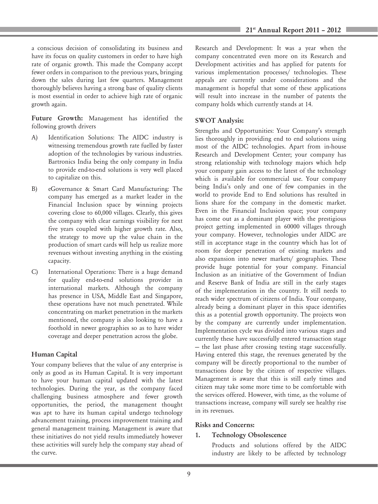a conscious decision of consolidating its business and have its focus on quality customers in order to have high rate of organic growth. This made the Company accept fewer orders in comparison to the previous years, bringing down the sales during last few quarters. Management thoroughly believes having a strong base of quality clients is most essential in order to achieve high rate of organic growth again.

Future Growth: Management has identified the following growth drivers

- A) Identification Solutions: The AIDC industry is witnessing tremendous growth rate fuelled by faster adoption of the technologies by various industries. Bartronics India being the only company in India to provide end-to-end solutions is very well placed to capitalize on this.
- B) eGovernance & Smart Card Manufacturing: The company has emerged as a market leader in the Financial Inclusion space by winning projects covering close to 60,000 villages. Clearly, this gives the company with clear earnings visibility for next five years coupled with higher growth rate. Also, the strategy to move up the value chain in the production of smart cards will help us realize more revenues without investing anything in the existing capacity.
- C) International Operations: There is a huge demand for quality end-to-end solutions provider in international markets. Although the company has presence in USA, Middle East and Singapore, these operations have not much penetrated. While concentrating on market penetration in the markets mentioned, the company is also looking to have a foothold in newer geographies so as to have wider coverage and deeper penetration across the globe.

#### Human Capital

Your company believes that the value of any enterprise is only as good as its Human Capital. It is very important to have your human capital updated with the latest technologies. During the year, as the company faced challenging business atmosphere and fewer growth opportunities, the period, the management thought was apt to have its human capital undergo technology advancement training, process improvement training and general management training. Management is aware that these initiatives do not yield results immediately however these activities will surely help the company stay ahead of the curve.

Research and Development: It was a year when the company concentrated even more on its Research and Development activities and has applied for patents for various implementation processes/ technologies. These appeals are currently under considerations and the management is hopeful that some of these applications will result into increase in the number of patents the company holds which currently stands at 14.

#### SWOT Analysis:

Strengths and Opportunities: Your Company's strength lies thoroughly in providing end to end solutions using most of the AIDC technologies. Apart from in-house Research and Development Center; your company has strong relationship with technology majors which help your company gain access to the latest of the technology which is available for commercial use. Your company being India's only and one of few companies in the world to provide End to End solutions has resulted in lions share for the company in the domestic market. Even in the Financial Inclusion space; your company has come out as a dominant player with the prestigious project getting implemented in 60000 villages through your company. However, technologies under AIDC are still in acceptance stage in the country which has lot of room for deeper penetration of existing markets and also expansion into newer markets/ geographies. These provide huge potential for your company. Financial Inclusion as an initiative of the Government of Indian and Reserve Bank of India are still in the early stages of the implementation in the country. It still needs to reach wider spectrum of citizens of India. Your company, already being a dominant player in this space identifies this as a potential growth opportunity. The projects won by the company are currently under implementation. Implementation cycle was divided into various stages and currently these have successfully entered transaction stage — the last phase after crossing testing stage successfully. Having entered this stage, the revenues generated by the company will be directly proportional to the number of transactions done by the citizen of respective villages. Management is aware that this is still early times and citizen may take some more time to be comfortable with the services offered. However, with time, as the volume of transactions increase, company will surely see healthy rise in its revenues.

#### Risks and Concerns:

#### 1. Technology Obsolescence

Products and solutions offered by the AIDC industry are likely to be affected by technology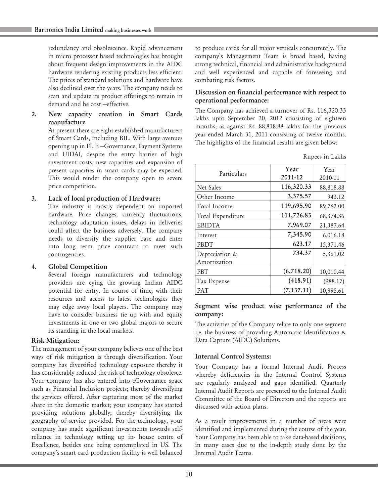redundancy and obsolescence. Rapid advancement in micro processor based technologies has brought about frequent design improvements in the AIDC hardware rendering existing products less efficient. The prices of standard solutions and hardware have also declined over the years. The company needs to scan and update its product offerings to remain in demand and be cost —effective.

#### 2. New capacity creation in Smart Cards manufacture

At present there are eight established manufacturers of Smart Cards, including BIL. With large avenues opening up in FI, E —Governance, Payment Systems and UIDAI, despite the entry barrier of high investment costs, new capacities and expansion of present capacities in smart cards may be expected. This would render the company open to severe price competition.

#### 3. Lack of local production of Hardware:

The industry is mostly dependent on imported hardware. Price changes, currency fluctuations, technology adaptation issues, delays in deliveries could affect the business adversely. The company needs to diversify the supplier base and enter into long term price contracts to meet such contingencies.

#### 4. Global Competition

Several foreign manufacturers and technology providers are eying the growing Indian AIDC potential for entry. In course of time, with their resources and access to latest technologies they may edge away local players. The company may have to consider business tie up with and equity investments in one or two global majors to secure its standing in the local markets.

# Risk Mitigation:

The management of your company believes one of the best ways of risk mitigation is through diversification. Your company has diversified technology exposure thereby it has considerably reduced the risk of technology obsolesce. Your company has also entered into eGovernance space such as Financial Inclusion projects; thereby diversifying the services offered. After capturing most of the market share in the domestic market; your company has started providing solutions globally; thereby diversifying the geography of service provided. For the technology, your company has made significant investments towards selfreliance in technology setting up in- house centre of Excellence, besides one being contemplated in US. The company's smart card production facility is well balanced

to produce cards for all major verticals concurrently. The company's Management Team is broad based, having strong technical, financial and administrative background and well experienced and capable of foreseeing and combating risk factors.

# Discussion on financial performance with respect to operational performance:

The Company has achieved a turnover of Rs. 116,320.33 lakhs upto September 30, 2012 consisting of eighteen months, as against Rs. 88,818.88 lakhs for the previous year ended March 31, 2011 consisting of twelve months. The highlights of the financial results are given below:

| Rupees in Lakhs |  |  |
|-----------------|--|--|
|                 |  |  |

| Particulars       | Year<br>2011-12 | Year      |
|-------------------|-----------------|-----------|
|                   |                 | 2010-11   |
| Net Sales         | 116,320.33      | 88,818.88 |
| Other Income      | 3,375.57        | 943.12    |
| Total Income      | 119,695.90      | 89,762.00 |
| Total Expenditure | 111,726.83      | 68,374.36 |
| <b>EBIDTA</b>     | 7,969.07        | 21,387.64 |
| Interest          | 7,345.90        | 6,016.18  |
| <b>PBDT</b>       | 623.17          | 15,371.46 |
| Depreciation &    | 734.37          | 5,361.02  |
| Amortization      |                 |           |
| <b>PBT</b>        | (6,718.20)      | 10,010.44 |
| Tax Expense       | (418.91)        | (988.17)  |
| <b>PAT</b>        | (7, 137.11)     | 10,998.61 |

#### Segment wise product wise performance of the company:

The activities of the Company relate to only one segment i.e. the business of providing Automatic Identification & Data Capture (AIDC) Solutions.

# Internal Control Systems:

Your Company has a formal Internal Audit Process whereby deficiencies in the Internal Control Systems are regularly analyzed and gaps identified. Quarterly Internal Audit Reports are presented to the Internal Audit Committee of the Board of Directors and the reports are discussed with action plans.

As a result improvements in a number of areas were identified and implemented during the course of the year. Your Company has been able to take data-based decisions, in many cases due to the in-depth study done by the Internal Audit Teams.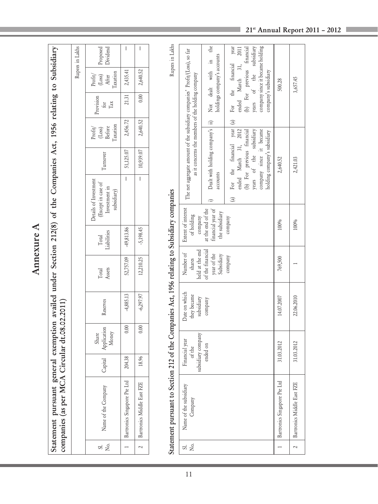| ٦  |
|----|
| α. |
| L  |
|    |
|    |
| Ľ  |
|    |
|    |
|    |
|    |

| 2,640.52<br>0.00                                                 | 2,640.52                                 | 10,939.07 | I                            | $-5,198.45$ | 12,210.25                                   | $-6,297.97$ | 0.00                          | 18.96   | Bartronics Middle East FZE                                                                  |                                                                                                                                                                               |
|------------------------------------------------------------------|------------------------------------------|-----------|------------------------------|-------------|---------------------------------------------|-------------|-------------------------------|---------|---------------------------------------------------------------------------------------------|-------------------------------------------------------------------------------------------------------------------------------------------------------------------------------|
| 2,435.41<br>21.31                                                | 2,456.72                                 | 51,125.07 | I                            | 49,813.86   | 52,757.09                                   | 4,885.13    | 0.00                          | 204.38  | Bartronics Singapore Pte Ltd                                                                |                                                                                                                                                                               |
| Taxation<br>(Loss)<br>Proof <sub>t</sub> /<br>After<br>Ъà<br>Тax | Taxation<br>(Loss)<br>Before<br>Proofit/ | Turnover  | Investment in<br>subsidiary) | Total       | Assets<br>Total                             | Reserves    | Application<br>Money<br>Share | Capital | Name of the Company                                                                         | Σó.<br>Sİ.                                                                                                                                                                    |
| Rupees in Lakhs                                                  |                                          |           |                              |             |                                             |             |                               |         |                                                                                             |                                                                                                                                                                               |
|                                                                  |                                          |           |                              |             |                                             |             |                               |         |                                                                                             |                                                                                                                                                                               |
|                                                                  |                                          | Provision |                              |             | Details of Investment<br>(Except in case of | Liabilities |                               |         | 1212 of the Companies Act, 1956 relating to Subsidiary companies<br>Circular dt.08.02.2011) | Statement pursuant general exemption availed under Section 212(8) of the Companies Act, 1956 relating to Subsidiary<br>Statement pursuant to Section<br>companies (as per MCA |

| The net aggregate amount of the subsidiary companies' Profit/(Loss), so far<br>as it concerns the members of the holding company | Dealt with holding company's   ii) Not dealt with in the<br>holdings company's accounts | (a) For the financial year (a) For the financial year<br>ended March 31, 2011<br>(b) For previous financial<br>years of the subsidiary<br>company since it became holding<br>company's subsidiary | 500.28                         | 3,657.45                       |
|----------------------------------------------------------------------------------------------------------------------------------|-----------------------------------------------------------------------------------------|---------------------------------------------------------------------------------------------------------------------------------------------------------------------------------------------------|--------------------------------|--------------------------------|
|                                                                                                                                  | accounts                                                                                | ended March 31, 2012<br>company since it became<br>years of the subsidiary<br>(b) For previous financial<br>holding company's subsidiary                                                          | 2,640.52                       | 2,421.03                       |
| Extent of interest<br>of holding<br>company                                                                                      | financial year of<br>at the end of the<br>the subsidiary                                | company                                                                                                                                                                                           | 100%                           | 100%                           |
| held at the end<br>Number of<br>shares                                                                                           | of the financial<br>year of the<br>Subsidiary                                           | company                                                                                                                                                                                           | 769,500                        |                                |
| Date on which<br>they became<br>subsidiary                                                                                       | company                                                                                 |                                                                                                                                                                                                   | 14.07.2007                     | 22.06.2010                     |
| subsidiary company<br>Financial year<br>of the                                                                                   | ended on                                                                                |                                                                                                                                                                                                   | 31.03.2012                     | 31.03.2012                     |
| Name of the subsidiary<br>Company                                                                                                |                                                                                         |                                                                                                                                                                                                   | 1 Bartronics Singapore Pte Ltd | 2   Bartronics Middle East FZE |
|                                                                                                                                  |                                                                                         |                                                                                                                                                                                                   |                                |                                |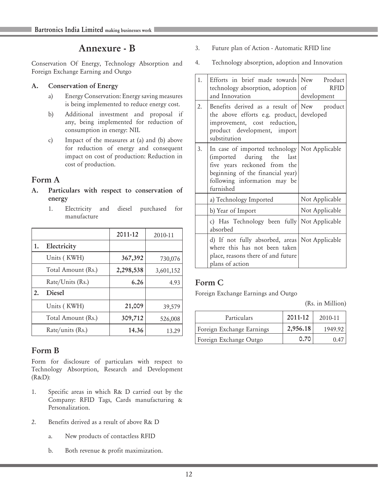# Annexure - B

Conservation Of Energy, Technology Absorption and Foreign Exchange Earning and Outgo

# A. Conservation of Energy

- a) Energy Conservation: Energy saving measures is being implemented to reduce energy cost.
- b) Additional investment and proposal if any, being implemented for reduction of consumption in energy: NIL
- c) Impact of the measures at (a) and (b) above for reduction of energy and consequent impact on cost of production: Reduction in cost of production.

# Form A

- A. Particulars with respect to conservation of energy
	- 1. Electricity and diesel purchased for manufacture

|    |                    | 2011-12   | 2010-11   |
|----|--------------------|-----------|-----------|
| 1. | Electricity        |           |           |
|    | Units (KWH)        | 367,392   | 730,076   |
|    | Total Amount (Rs.) | 2,298,538 | 3,601,152 |
|    | Rate/Units (Rs.)   | 6.26      | 4.93      |
| 2. | Diesel             |           |           |
|    | Units (KWH)        | 21,009    | 39,579    |
|    | Total Amount (Rs.) | 309,712   | 526,008   |
|    | Rate/units (Rs.)   | 14.36     | 13.29     |

# Form B

Form for disclosure of particulars with respect to Technology Absorption, Research and Development (R&D):

- 1. Specific areas in which R& D carried out by the Company: RFID Tags, Cards manufacturing & Personalization.
- 2. Benefits derived as a result of above R& D
	- a. New products of contactless RFID
	- b. Both revenue & profit maximization.
- 3. Future plan of Action Automatic RFID line
- 4. Technology absorption, adoption and Innovation

| 1.               | Efforts in brief made towards<br>technology absorption, adoption<br>and Innovation                                                                                                               | New Product<br><b>RFID</b><br>of<br>development |
|------------------|--------------------------------------------------------------------------------------------------------------------------------------------------------------------------------------------------|-------------------------------------------------|
| $\overline{2}$ . | Benefits derived as a result of New product<br>the above efforts e.g. product,<br>improvement, cost reduction,<br>product development, import<br>substitution                                    | developed                                       |
| 3.               | In case of imported technology   Not Applicable<br>(imported during the<br>last<br>five years reckoned from the<br>beginning of the financial year)<br>following information may be<br>furnished |                                                 |
|                  | a) Technology Imported                                                                                                                                                                           | Not Applicable                                  |
|                  | b) Year of Import                                                                                                                                                                                | Not Applicable                                  |
|                  | c) Has Technology been fully Not Applicable<br>absorbed                                                                                                                                          |                                                 |
|                  | d) If not fully absorbed, areas Not Applicable<br>where this has not been taken<br>place, reasons there of and future<br>plans of action                                                         |                                                 |

# Form C

Foreign Exchange Earnings and Outgo

(Rs. in Million)

| Particulars               | 2011-12  | 2010-11 |
|---------------------------|----------|---------|
| Foreign Exchange Earnings | 2,956.18 | 1949.92 |
| Foreign Exchange Outgo    | 0.70     | 0.47    |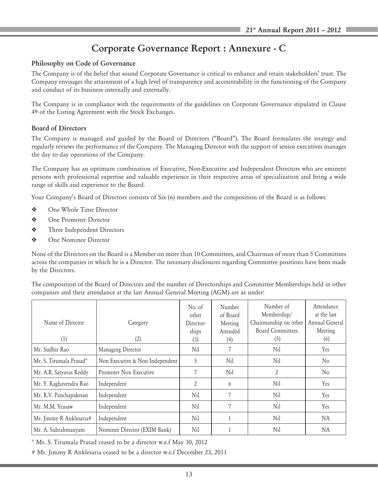# Corporate Governance Report : Annexure - C

# Philosophy on Code of Governance

The Company is of the belief that sound Corporate Governance is critical to enhance and retain stakeholders' trust. The Company envisages the attainment of a high level of transparency and accountability in the functioning of the Company and conduct of its business internally and externally.

The Company is in compliance with the requirements of the guidelines on Corporate Governance stipulated in Clause 49 of the Listing Agreement with the Stock Exchanges.

# Board of Directors

The Company is managed and guided by the Board of Directors ("Board"). The Board formulates the strategy and regularly reviews the performance of the Company. The Managing Director with the support of senior executives manages the day to day operations of the Company.

The Company has an optimum combination of Executive, Non-Executive and Independent Directors who are eminent persons with professional expertise and valuable experience in their respective areas of specialization and bring a wide range of skills and experience to the Board.

Your Company's Board of Directors consists of Six (6) members and the composition of the Board is as follows:

- ◆ One Whole Time Director
- ◆ One Promoter Director
- $\mathbf{\hat{P}}$  Three Independent Directors
- ◆ One Nominee Director

None of the Directors on the Board is a Member on more than 10 Committees, and Chairman of more than 5 Committees across the companies in which he is a Director. The necessary disclosures regarding Committee positions have been made by the Directors.

The composition of the Board of Directors and the number of Directorships and Committee Memberships held in other companies and their attendance at the last Annual General Meeting (AGM) are as under:

|                         |                                 | No. of         | Number   | Number of               | Attendance     |
|-------------------------|---------------------------------|----------------|----------|-------------------------|----------------|
|                         |                                 | other          | of Board | Membership/             | at the last    |
| Name of Director        | Category                        | Director-      | Meeting  | Chairmanship on other   | Annual General |
|                         |                                 | ships          | Attended | <b>Board Committees</b> | Meeting        |
| (1)                     | (2)                             | (3)            | (4)      | (5)                     | (6)            |
| Mr. Sudhir Rao          | Managing Director               | Nil            |          | Nil                     | Yes            |
| Mr. S. Tirumala Prasad* | Non Executive & Non Independent | 5              | Nil      | Nil                     | N <sub>0</sub> |
| Mr. A.B. Satyavas Reddy | Promoter Non Executive          |                | Nil      | 2                       | No             |
| Mr. Y. Raghavendra Rao  | Independent                     | $\mathfrak{D}$ | 6        | Nil                     | <b>Yes</b>     |
| Mr. R.V. Panchapakesan  | Independent                     | Nil            | 7        | Nil                     | <b>Yes</b>     |
| Mr. M.M. Yeasaw         | Independent                     | Nil            | 7        | Nil                     | Yes            |
| Mr. Jimmy R Anklesaria# | Independent                     | Nil            |          | Nil                     | <b>NA</b>      |
| Mr. A. Subrahmanyam     | Nominee Director (EXIM Bank)    | Nil            |          | Nil                     | NA             |

\* Mr. S. Tirumala Prasad ceased to be a director w.e.f May 30, 2012

# Mr. Jimmy R Anklesaria ceased to be a director w.e.f December 23, 2011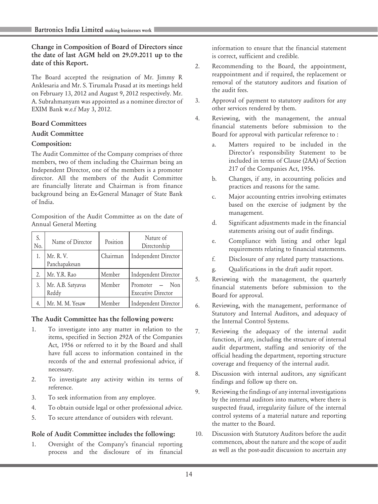Change in Composition of Board of Directors since the date of last AGM held on 29.09.2011 up to the date of this Report.

The Board accepted the resignation of Mr. Jimmy R Anklesaria and Mr. S. Tirumala Prasad at its meetings held on February 13, 2012 and August 9, 2012 respectively. Mr. A. Subrahmanyam was appointed as a nominee director of EXIM Bank w.e.f May 3, 2012.

## Board Committees

#### Audit Committee

#### Composition:

The Audit Committee of the Company comprises of three members, two of them including the Chairman being an Independent Director, one of the members is a promoter director. All the members of the Audit Committee are financially literate and Chairman is from finance background being an Ex-General Manager of State Bank of India.

Composition of the Audit Committee as on the date of Annual General Meeting

| S.<br>No. | Name of Director           | Position | Nature of<br>Directorship                   |
|-----------|----------------------------|----------|---------------------------------------------|
|           | Mr. R. V.<br>Panchapakesan | Chairman | Independent Director                        |
| 2.        | Mr. Y.R. Rao               | Member   | Independent Director                        |
| 3.        | Mr. A.B. Satyavas<br>Reddy | Member   | Promoter — Non<br><b>Executive Director</b> |
|           | Mr. M. M. Yesaw            | Member   | Independent Director                        |

#### The Audit Committee has the following powers:

- 1. To investigate into any matter in relation to the items, specified in Section 292A of the Companies Act, 1956 or referred to it by the Board and shall have full access to information contained in the records of the and external professional advice, if necessary.
- 2. To investigate any activity within its terms of reference.
- 3. To seek information from any employee.
- 4. To obtain outside legal or other professional advice.
- 5. To secure attendance of outsiders with relevant.

# Role of Audit Committee includes the following:

1. Oversight of the Company's financial reporting process and the disclosure of its financial

information to ensure that the financial statement is correct, sufficient and credible.

- 2. Recommending to the Board, the appointment, reappointment and if required, the replacement or removal of the statutory auditors and fixation of the audit fees.
- 3. Approval of payment to statutory auditors for any other services rendered by them.
- 4. Reviewing, with the management, the annual financial statements before submission to the Board for approval with particular reference to :
	- a. Matters required to be included in the Director's responsibility Statement to be included in terms of Clause (2AA) of Section 217 of the Companies Act, 1956.
	- b. Changes, if any, in accounting policies and practices and reasons for the same.
	- c. Major accounting entries involving estimates based on the exercise of judgment by the management.
	- d. Significant adjustments made in the financial statements arising out of audit findings.
	- e. Compliance with listing and other legal requirements relating to financial statements.
	- f. Disclosure of any related party transactions.
	- g. Qualifications in the draft audit report.
- 5. Reviewing with the management, the quarterly financial statements before submission to the Board for approval.
- 6. Reviewing, with the management, performance of Statutory and Internal Auditors, and adequacy of the Internal Control Systems.
- 7. Reviewing the adequacy of the internal audit function, if any, including the structure of internal audit department, staffing and seniority of the official heading the department, reporting structure coverage and frequency of the internal audit.
- 8. Discussion with internal auditors, any significant findings and follow up there on.
- 9. Reviewing the findings of any internal investigations by the internal auditors into matters, where there is suspected fraud, irregularity failure of the internal control systems of a material nature and reporting the matter to the Board.
- 10. Discussion with Statutory Auditors before the audit commences, about the nature and the scope of audit as well as the post-audit discussion to ascertain any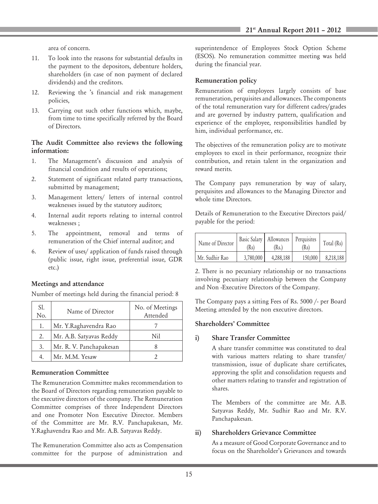area of concern.

- 11. To look into the reasons for substantial defaults in the payment to the depositors, debenture holders, shareholders (in case of non payment of declared dividends) and the creditors.
- 12. Reviewing the 's financial and risk management policies,
- 13. Carrying out such other functions which, maybe, from time to time specifically referred by the Board of Directors.

#### The Audit Committee also reviews the following information:

- 1. The Management's discussion and analysis of financial condition and results of operations;
- 2. Statement of significant related party transactions, submitted by management;
- 3. Management letters/ letters of internal control weaknesses issued by the statutory auditors;
- 4. Internal audit reports relating to internal control weaknesses ;
- 5. The appointment, removal and terms of remuneration of the Chief internal auditor; and
- 6. Review of uses/ application of funds raised through (public issue, right issue, preferential issue, GDR etc.)

#### Meetings and attendance

Number of meetings held during the financial period: 8

| SI.<br>No. | Name of Director        | No. of Meetings<br>Attended |
|------------|-------------------------|-----------------------------|
| 1.         | Mr. Y.Raghavendra Rao   |                             |
| 2.         | Mr. A.B. Satyavas Reddy | Nil                         |
| 3.         | Mr. R. V. Panchapakesan |                             |
|            | Mr. M.M. Yesaw          |                             |

#### Remuneration Committee

The Remuneration Committee makes recommendation to the Board of Directors regarding remuneration payable to the executive directors of the company. The Remuneration Committee comprises of three Independent Directors and one Promoter Non Executive Director. Members of the Committee are Mr. R.V. Panchapakesan, Mr. Y.Raghavendra Rao and Mr. A.B. Satyavas Reddy.

The Remuneration Committee also acts as Compensation committee for the purpose of administration and

superintendence of Employees Stock Option Scheme (ESOS). No remuneration committee meeting was held during the financial year.

#### Remuneration policy

Remuneration of employees largely consists of base remuneration, perquisites and allowances. The components of the total remuneration vary for different cadres/grades and are governed by industry pattern, qualification and experience of the employee, responsibilities handled by him, individual performance, etc.

The objectives of the remuneration policy are to motivate employees to excel in their performance, recognize their contribution, and retain talent in the organization and reward merits.

The Company pays remuneration by way of salary, perquisites and allowances to the Managing Director and whole time Directors.

Details of Remuneration to the Executive Directors paid/ payable for the period:

| Name of Director | (Rs)      | Basic Salary   Allowances   Perquisites<br>(Rs.) | (Rs)    | Total $(Rs)$ |
|------------------|-----------|--------------------------------------------------|---------|--------------|
| Mr. Sudhir Rao   | 3.780,000 | 4.288.188                                        | 150,000 | 8,218,188    |

2. There is no pecuniary relationship or no transactions involving pecuniary relationship between the Company and Non -Executive Directors of the Company.

The Company pays a sitting Fees of Rs. 5000 /- per Board Meeting attended by the non executive directors.

#### Shareholders' Committee

#### i) Share Transfer Committee

A share transfer committee was constituted to deal with various matters relating to share transfer/ transmission, issue of duplicate share certificates, approving the split and consolidation requests and other matters relating to transfer and registration of shares.

The Members of the committee are Mr. A.B. Satyavas Reddy, Mr. Sudhir Rao and Mr. R.V. Panchapakesan.

#### ii) Shareholders Grievance Committee

As a measure of Good Corporate Governance and to focus on the Shareholder's Grievances and towards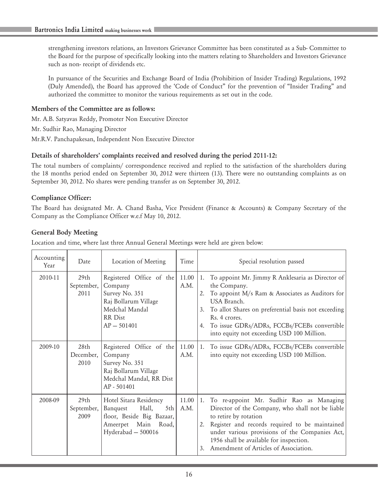strengthening investors relations, an Investors Grievance Committee has been constituted as a Sub- Committee to the Board for the purpose of specifically looking into the matters relating to Shareholders and Investors Grievance such as non- receipt of dividends etc.

In pursuance of the Securities and Exchange Board of India (Prohibition of Insider Trading) Regulations, 1992 (Duly Amended), the Board has approved the 'Code of Conduct" for the prevention of "Insider Trading" and authorized the committee to monitor the various requirements as set out in the code.

# Members of the Committee are as follows:

Mr. A.B. Satyavas Reddy, Promoter Non Executive Director

Mr. Sudhir Rao, Managing Director

Mr.R.V. Panchapakesan, Independent Non Executive Director

# Details of shareholders' complaints received and resolved during the period 2011-12:

The total numbers of complaints/ correspondence received and replied to the satisfaction of the shareholders during the 18 months period ended on September 30, 2012 were thirteen (13). There were no outstanding complaints as on September 30, 2012. No shares were pending transfer as on September 30, 2012.

# Compliance Officer:

The Board has designated Mr. A. Chand Basha, Vice President (Finance & Accounts) & Company Secretary of the Company as the Compliance Officer w.e.f May 10, 2012.

# General Body Meeting

Location and time, where last three Annual General Meetings were held are given below:

| Accounting<br>Year | Date                                   | Location of Meeting                                                                                                          | Time          | Special resolution passed                                                                                                                                                                                                                                                                                                    |
|--------------------|----------------------------------------|------------------------------------------------------------------------------------------------------------------------------|---------------|------------------------------------------------------------------------------------------------------------------------------------------------------------------------------------------------------------------------------------------------------------------------------------------------------------------------------|
| 2010-11            | 29 <sub>th</sub><br>September,<br>2011 | Registered Office of the<br>Company<br>Survey No. 351<br>Raj Bollarum Village<br>Medchal Mandal<br>RR Dist<br>$AP - 501401$  | 11.00<br>A.M. | 1. To appoint Mr. Jimmy R Anklesaria as Director of<br>the Company.<br>To appoint M/s Ram & Associates as Auditors for<br>2.<br>USA Branch.<br>To allot Shares on preferential basis not exceeding<br>3.<br>Rs. 4 crores.<br>To issue GDRs/ADRs, FCCBs/FCEBs convertible<br>4.<br>into equity not exceeding USD 100 Million. |
| 2009-10            | 28 <sub>th</sub><br>December,<br>2010  | Registered Office of the<br>Company<br>Survey No. 351<br>Raj Bollarum Village<br>Medchal Mandal, RR Dist<br>AP - 501401      | 11.00<br>A.M. | To issue GDRs/ADRs, FCCBs/FCEBs convertible<br>1.<br>into equity not exceeding USD 100 Million.                                                                                                                                                                                                                              |
| 2008-09            | 29 <sub>th</sub><br>September,<br>2009 | Hotel Sitara Residency<br>Hall,<br>5th<br>Banquest<br>floor, Beside Big Bazaar,<br>Ameerpet Main Road,<br>Hyderabad - 500016 | 11.00<br>A.M. | 1. To re-appoint Mr. Sudhir Rao as Managing<br>Director of the Company, who shall not be liable<br>to retire by rotation<br>Register and records required to be maintained<br>2.<br>under various provisions of the Companies Act,<br>1956 shall be available for inspection.<br>Amendment of Articles of Association.<br>3. |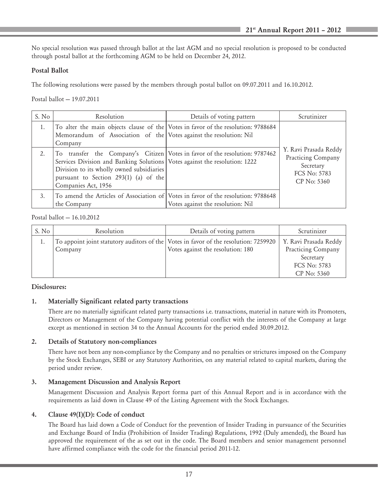No special resolution was passed through ballot at the last AGM and no special resolution is proposed to be conducted through postal ballot at the forthcoming AGM to be held on December 24, 2012.

## Postal Ballot

The following resolutions were passed by the members through postal ballot on 09.07.2011 and 16.10.2012.

Postal ballot — 19.07.2011

| S. No | Resolution                                                                                                                                                                                                                                                             | Details of voting pattern         | Scrutinizer                                                                             |
|-------|------------------------------------------------------------------------------------------------------------------------------------------------------------------------------------------------------------------------------------------------------------------------|-----------------------------------|-----------------------------------------------------------------------------------------|
| 1.    | To alter the main objects clause of the Votes in favor of the resolution: 9788684<br>Memorandum of Association of the Votes against the resolution: Nil<br>Company                                                                                                     |                                   |                                                                                         |
| 2.    | To transfer the Company's Citizen Votes in favor of the resolution: 9787462<br>Services Division and Banking Solutions Votes against the resolution: 1222<br>Division to its wholly owned subsidiaries<br>pursuant to Section 293(1) (a) of the<br>Companies Act, 1956 |                                   | Y. Ravi Prasada Reddy<br>Practicing Company<br>Secretary<br>FCS No: 5783<br>CP No: 5360 |
| 3.    | To amend the Articles of Association of Votes in favor of the resolution: 9788648<br>the Company                                                                                                                                                                       | Votes against the resolution: Nil |                                                                                         |

#### Postal ballot — 16.10.2012

| S. No | Resolution | Details of voting pattern                                                            | Scrutinizer           |
|-------|------------|--------------------------------------------------------------------------------------|-----------------------|
|       |            | To appoint joint statutory auditors of the Votes in favor of the resolution: 7259920 | Y. Ravi Prasada Reddy |
|       | , Company  | Votes against the resolution: 180                                                    | Practicing Company    |
|       |            |                                                                                      | Secretary             |
|       |            |                                                                                      | FCS No: 5783          |
|       |            |                                                                                      | CP No: 5360           |

# Disclosures:

# 1. Materially Significant related party transactions

There are no materially significant related party transactions i.e. transactions, material in nature with its Promoters, Directors or Management of the Company having potential conflict with the interests of the Company at large except as mentioned in section 34 to the Annual Accounts for the period ended 30.09.2012.

#### 2. Details of Statutory non-compliances

There have not been any non-compliance by the Company and no penalties or strictures imposed on the Company by the Stock Exchanges, SEBI or any Statutory Authorities, on any material related to capital markets, during the period under review.

#### 3. Management Discussion and Analysis Report

Management Discussion and Analysis Report forma part of this Annual Report and is in accordance with the requirements as laid down in Clause 49 of the Listing Agreement with the Stock Exchanges.

#### 4. Clause 49(I)(D): Code of conduct

The Board has laid down a Code of Conduct for the prevention of Insider Trading in pursuance of the Securities and Exchange Board of India (Prohibition of Insider Trading) Regulations, 1992 (Duly amended), the Board has approved the requirement of the as set out in the code. The Board members and senior management personnel have affirmed compliance with the code for the financial period 2011-12.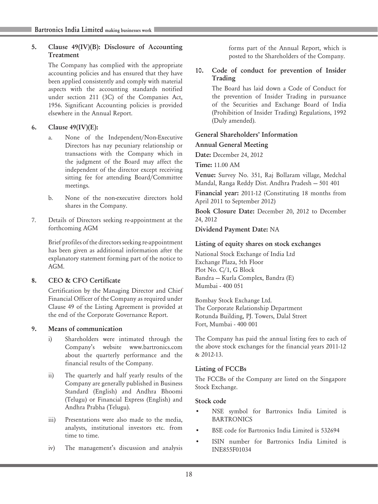# 5. Clause 49(IV)(B): Disclosure of Accounting Treatment

The Company has complied with the appropriate accounting policies and has ensured that they have been applied consistently and comply with material aspects with the accounting standards notified under section 211 (3C) of the Companies Act, 1956. Significant Accounting policies is provided elsewhere in the Annual Report.

# 6. Clause 49(IV)(E):

- a. None of the Independent/Non-Executive Directors has nay pecuniary relationship or transactions with the Company which in the judgment of the Board may affect the independent of the director except receiving sitting fee for attending Board/Committee meetings.
- b. None of the non-executive directors hold shares in the Company.
- 7. Details of Directors seeking re-appointment at the forthcoming AGM

Brief profiles of the directors seeking re-appointment has been given as additional information after the explanatory statement forming part of the notice to AGM.

# 8. CEO & CFO Certificate

Certification by the Managing Director and Chief Financial Officer of the Company as required under Clause 49 of the Listing Agreement is provided at the end of the Corporate Governance Report.

# 9. Means of communication

- i) Shareholders were intimated through the Company's website www.bartronics.com about the quarterly performance and the financial results of the Company.
- ii) The quarterly and half yearly results of the Company are generally published in Business Standard (English) and Andhra Bhoomi (Telugu) or Financial Express (English) and Andhra Prabha (Telugu).
- iii) Presentations were also made to the media, analysts, institutional investors etc. from time to time.
- iv) The management's discussion and analysis

forms part of the Annual Report, which is posted to the Shareholders of the Company.

## 10. Code of conduct for prevention of Insider Trading

The Board has laid down a Code of Conduct for the prevention of Insider Trading in pursuance of the Securities and Exchange Board of India (Prohibition of Insider Trading) Regulations, 1992 (Duly amended).

# General Shareholders' Information

# Annual General Meeting

Date: December 24, 2012

Time: 11.00 AM

Venue: Survey No. 351, Raj Bollaram village, Medchal Mandal, Ranga Reddy Dist. Andhra Pradesh — 501 401

Financial year: 2011-12 (Constituting 18 months from April 2011 to September 2012)

Book Closure Date: December 20, 2012 to December 24, 2012

Dividend Payment Date: NA

# Listing of equity shares on stock exchanges

National Stock Exchange of India Ltd Exchange Plaza, 5th Floor Plot No. C/1, G Block Bandra — Kurla Complex, Bandra (E) Mumbai - 400 051

Bombay Stock Exchange Ltd. The Corporate Relationship Department Rotunda Building, PJ. Towers, Dalal Street Fort, Mumbai - 400 001

The Company has paid the annual listing fees to each of the above stock exchanges for the financial years 2011-12 & 2012-13.

# Listing of FCCBs

The FCCBs of the Company are listed on the Singapore Stock Exchange.

# Stock code

- NSE symbol for Bartronics India Limited is **BARTRONICS**
- BSE code for Bartronics India Limited is 532694
- ISIN number for Bartronics India Limited is INE855F01034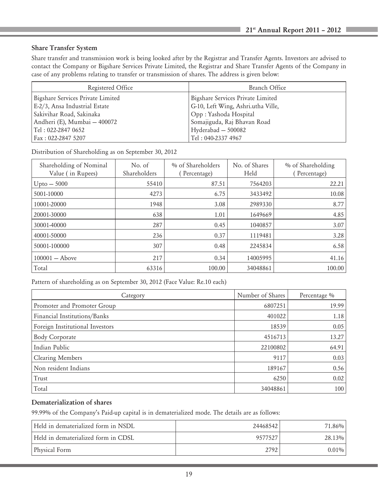# Share Transfer System

Share transfer and transmission work is being looked after by the Registrar and Transfer Agents. Investors are advised to contact the Company or Bigshare Services Private Limited, the Registrar and Share Transfer Agents of the Company in case of any problems relating to transfer or transmission of shares. The address is given below:

| Registered Office                 | Branch Office                      |  |
|-----------------------------------|------------------------------------|--|
| Bigshare Services Private Limited | Bigshare Services Private Limited  |  |
| E-2/3, Ansa Industrial Estate     | G-10, Left Wing, Ashri.utha Ville, |  |
| Sakivihar Road, Sakinaka          | Opp: Yashoda Hospital              |  |
| Andheri (E), Mumbai – 400072      | Somajiguda, Raj Bhavan Road        |  |
| Tel : 022-2847 0652               | Hyderabad – 500082                 |  |
| Fax: 022-2847 5207                | Tel: 040-2337 4967                 |  |

Distribution of Shareholding as on September 30, 2012

| Shareholding of Nominal<br>Value (in Rupees) | No. of<br>Shareholders | % of Shareholders<br>Percentage) | No. of Shares<br>Held | % of Shareholding<br>Percentage) |
|----------------------------------------------|------------------------|----------------------------------|-----------------------|----------------------------------|
| $Upto -5000$                                 | 55410                  | 87.51                            | 7564203               | 22.21                            |
| 5001-10000                                   | 4273                   | 6.75                             | 3433492               | 10.08                            |
| 10001-20000                                  | 1948                   | 3.08                             | 2989330               | 8.77                             |
| 20001-30000                                  | 638                    | 1.01                             | 1649669               | 4.85                             |
| 30001-40000                                  | 287                    | 0.45                             | 1040857               | 3.07                             |
| 40001-50000                                  | 236                    | 0.37                             | 1119481               | 3.28                             |
| 50001-100000                                 | 307                    | 0.48                             | 2245834               | 6.58                             |
| $100001 -$ Above                             | 217                    | 0.34                             | 14005995              | 41.16                            |
| Total                                        | 63316                  | 100.00                           | 34048861              | 100.00                           |

Pattern of shareholding as on September 30, 2012 (Face Value: Re.10 each)

| Category                        | Number of Shares | Percentage % |
|---------------------------------|------------------|--------------|
| Promoter and Promoter Group     | 6807251          | 19.99        |
| Financial Institutions/Banks    | 401022           | 1.18         |
| Foreign Institutional Investors | 18539            | 0.05         |
| <b>Body Corporate</b>           | 4516713          | 13.27        |
| Indian Public                   | 22100802         | 64.91        |
| Clearing Members                | 9117             | 0.03         |
| Non resident Indians            | 189167           | 0.56         |
| Trust                           | 6250             | 0.02         |
| Total                           | 34048861         | 100          |

# Dematerialization of shares

99.99% of the Company's Paid-up capital is in dematerialized mode. The details are as follows:

| Held in dematerialized form in NSDL. | 24468542 | 71.86%    |
|--------------------------------------|----------|-----------|
| Held in dematerialized form in CDSL  | 9577527  | $28.13\%$ |
| Physical Form                        | 2792     | $0.01\%$  |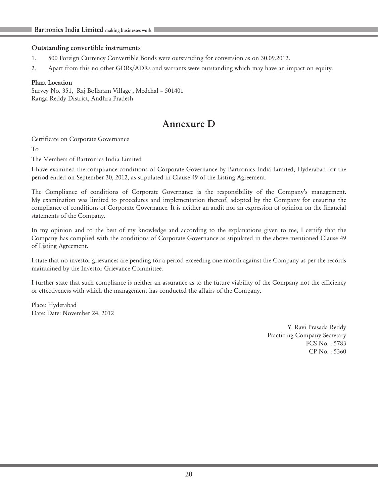#### Outstanding convertible instruments

- 1. 500 Foreign Currency Convertible Bonds were outstanding for conversion as on 30.09.2012.
- 2. Apart from this no other GDRs/ADRs and warrants were outstanding which may have an impact on equity.

#### Plant Location

Survey No. 351, Raj Bollaram Village , Medchal – 501401 Ranga Reddy District, Andhra Pradesh

# Annexure D

Certificate on Corporate Governance

To

The Members of Bartronics India Limited

I have examined the compliance conditions of Corporate Governance by Bartronics India Limited, Hyderabad for the period ended on September 30, 2012, as stipulated in Clause 49 of the Listing Agreement.

The Compliance of conditions of Corporate Governance is the responsibility of the Company's management. My examination was limited to procedures and implementation thereof, adopted by the Company for ensuring the compliance of conditions of Corporate Governance. It is neither an audit nor an expression of opinion on the financial statements of the Company.

In my opinion and to the best of my knowledge and according to the explanations given to me, I certify that the Company has complied with the conditions of Corporate Governance as stipulated in the above mentioned Clause 49 of Listing Agreement.

I state that no investor grievances are pending for a period exceeding one month against the Company as per the records maintained by the Investor Grievance Committee.

I further state that such compliance is neither an assurance as to the future viability of the Company not the efficiency or effectiveness with which the management has conducted the affairs of the Company.

Place: Hyderabad Date: Date: November 24, 2012

> Y. Ravi Prasada Reddy Practicing Company Secretary FCS No. : 5783 CP No. : 5360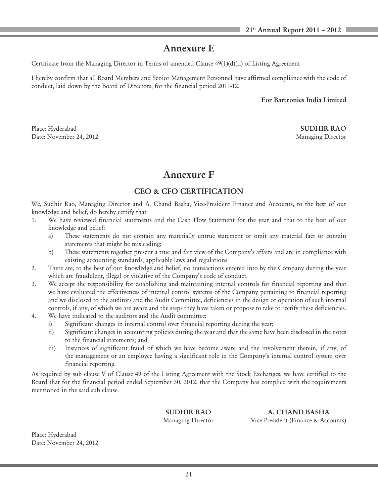# Annexure E

Certificate from the Managing Director in Terms of amended Clause 49(1)(d)(ii) of Listing Agreement

I hereby confirm that all Board Members and Senior Management Personnel have affirmed compliance with the code of conduct, laid down by the Board of Directors, for the financial period 2011-12.

For Bartronics India Limited

Place: Hyderabad SUDHIR RAO Date: November 24, 2012 Managing Director

# Annexure F

# CEO & CFO CERTIFICATION

We, Sudhir Rao, Managing Director and A. Chand Basha, Vice-President Finance and Accounts, to the best of our knowledge and belief, do hereby certify that

- 1. We have reviewed financial statements and the Cash Flow Statement for the year and that to the best of our knowledge and belief:
	- a) These statements do not contain any materially untrue statement or omit any material fact or contain statements that might be misleading;
	- b) These statements together present a true and fair view of the Company's affairs and are in compliance with existing accounting standards, applicable laws and regulations.
- 2. There are, to the best of our knowledge and belief, no transactions entered into by the Company during the year which are fraudulent, illegal or violative of the Company's code of conduct.
- 3. We accept the responsibility for establishing and maintaining internal controls for financial reporting and that we have evaluated the effectiveness of internal control systems of the Company pertaining to financial reporting and we disclosed to the auditors and the Audit Committee, deficiencies in the design or operation of such internal controls, if any, of which we are aware and the steps they have taken or propose to take to rectify these deficiencies.
- 4. We have indicated to the auditors and the Audit committee:
	- i) Significant changes in internal control over financial reporting during the year;
	- ii) Significant changes in accounting policies during the year and that the same have been disclosed in the notes to the financial statements; and
	- iii) Instances of significant fraud of which we have become aware and the involvement therein, if any, of the management or an employee having a significant role in the Company's internal control system over financial reporting.

As required by sub clause V of Clause 49 of the Listing Agreement with the Stock Exchanges, we have certified to the Board that for the financial period ended September 30, 2012, that the Company has complied with the requirements mentioned in the said sub clause.

SUDHIR RAO A. CHAND BASHA Managing Director Vice President (Finance & Accounts)

Place: Hyderabad Date: November 24, 2012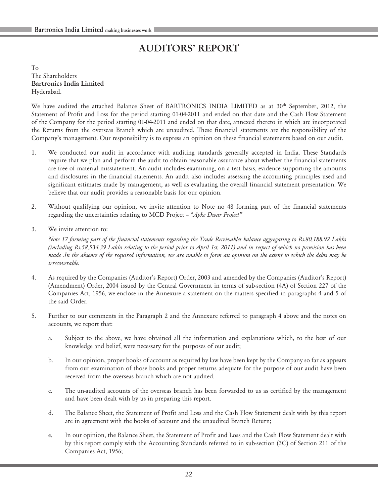# AUDITORS' REPORT

To The Shareholders Bartronics India Limited Hyderabad.

We have audited the attached Balance Sheet of BARTRONICS INDIA LIMITED as at 30<sup>th</sup> September, 2012, the Statement of Profit and Loss for the period starting 01-04-2011 and ended on that date and the Cash Flow Statement of the Company for the period starting 01-04-2011 and ended on that date, annexed thereto in which are incorporated the Returns from the overseas Branch which are unaudited. These financial statements are the responsibility of the Company's management. Our responsibility is to express an opinion on these financial statements based on our audit.

- 1. We conducted our audit in accordance with auditing standards generally accepted in India. These Standards require that we plan and perform the audit to obtain reasonable assurance about whether the financial statements are free of material misstatement. An audit includes examining, on a test basis, evidence supporting the amounts and disclosures in the financial statements. An audit also includes assessing the accounting principles used and significant estimates made by management, as well as evaluating the overall financial statement presentation. We believe that our audit provides a reasonable basis for our opinion.
- 2. Without qualifying our opinion, we invite attention to Note no 48 forming part of the financial statements regarding the uncertainties relating to MCD Project – "*Apke Dwar Project"*
- 3. We invite attention to:

*Note 17 forming part of the financial statements regarding the Trade Receivables balance aggregating to Rs.80,188.92 Lakhs (including Rs.58,534.39 Lakhs relating to the period prior to April 1st, 2011) and in respect of which no provision has been made .In the absence of the required information, we are unable to form an opinion on the extent to which the debts may be irrecoverable.*

- 4. As required by the Companies (Auditor's Report) Order, 2003 and amended by the Companies (Auditor's Report) (Amendment) Order, 2004 issued by the Central Government in terms of sub-section (4A) of Section 227 of the Companies Act, 1956, we enclose in the Annexure a statement on the matters specified in paragraphs 4 and 5 of the said Order.
- 5. Further to our comments in the Paragraph 2 and the Annexure referred to paragraph 4 above and the notes on accounts, we report that:
	- a. Subject to the above, we have obtained all the information and explanations which, to the best of our knowledge and belief, were necessary for the purposes of our audit;
	- b. In our opinion, proper books of account as required by law have been kept by the Company so far as appears from our examination of those books and proper returns adequate for the purpose of our audit have been received from the overseas branch which are not audited.
	- c. The un-audited accounts of the overseas branch has been forwarded to us as certified by the management and have been dealt with by us in preparing this report.
	- d. The Balance Sheet, the Statement of Profit and Loss and the Cash Flow Statement dealt with by this report are in agreement with the books of account and the unaudited Branch Return;
	- e. In our opinion, the Balance Sheet, the Statement of Profit and Loss and the Cash Flow Statement dealt with by this report comply with the Accounting Standards referred to in sub-section (3C) of Section 211 of the Companies Act, 1956;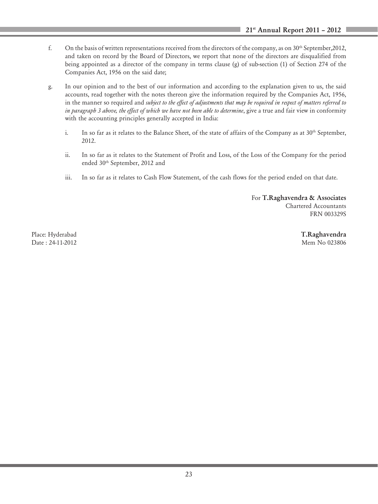- f. On the basis of written representations received from the directors of the company, as on  $30<sup>th</sup>$  September, 2012, and taken on record by the Board of Directors, we report that none of the directors are disqualified from being appointed as a director of the company in terms clause (g) of sub-section (1) of Section 274 of the Companies Act, 1956 on the said date;
- g. In our opinion and to the best of our information and according to the explanation given to us, the said accounts, read together with the notes thereon give the information required by the Companies Act, 1956, in the manner so required and *subject to the effect of adjustments that may be required in respect of matters referred to in paragraph 3 above, the effect of which we have not been able to determine*, give a true and fair view in conformity with the accounting principles generally accepted in India:
	- i. In so far as it relates to the Balance Sheet, of the state of affairs of the Company as at 30<sup>th</sup> September, 2012.
	- ii. In so far as it relates to the Statement of Profit and Loss, of the Loss of the Company for the period ended 30<sup>th</sup> September, 2012 and
	- iii. In so far as it relates to Cash Flow Statement, of the cash flows for the period ended on that date.

For T.Raghavendra & Associates Chartered Accountants FRN 003329S

Date : 24-11-2012 Mem No 023806

Place: Hyderabad **T.Raghavendra** T.Raghavendra **T.Raghavendra**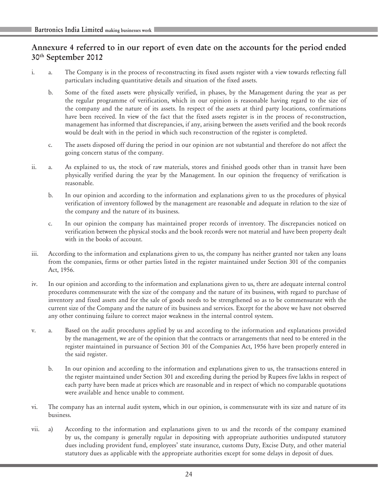# Annexure 4 referred to in our report of even date on the accounts for the period ended 30th September 2012

- i. a. The Company is in the process of re-constructing its fixed assets register with a view towards reflecting full particulars including quantitative details and situation of the fixed assets.
	- b. Some of the fixed assets were physically verified, in phases, by the Management during the year as per the regular programme of verification, which in our opinion is reasonable having regard to the size of the company and the nature of its assets. In respect of the assets at third party locations, confirmations have been received. In view of the fact that the fixed assets register is in the process of re-construction, management has informed that discrepancies, if any, arising between the assets verified and the book records would be dealt with in the period in which such re-construction of the register is completed.
	- c. The assets disposed off during the period in our opinion are not substantial and therefore do not affect the going concern status of the company.
- ii. a. As explained to us, the stock of raw materials, stores and finished goods other than in transit have been physically verified during the year by the Management. In our opinion the frequency of verification is reasonable.
	- b. In our opinion and according to the information and explanations given to us the procedures of physical verification of inventory followed by the management are reasonable and adequate in relation to the size of the company and the nature of its business.
	- c. In our opinion the company has maintained proper records of inventory. The discrepancies noticed on verification between the physical stocks and the book records were not material and have been property dealt with in the books of account.
- iii. According to the information and explanations given to us, the company has neither granted nor taken any loans from the companies, firms or other parties listed in the register maintained under Section 301 of the companies Act, 1956.
- iv. In our opinion and according to the information and explanations given to us, there are adequate internal control procedures commensurate with the size of the company and the nature of its business, with regard to purchase of inventory and fixed assets and for the sale of goods needs to be strengthened so as to be commensurate with the current size of the Company and the nature of its business and services. Except for the above we have not observed any other continuing failure to correct major weakness in the internal control system.
- v. a. Based on the audit procedures applied by us and according to the information and explanations provided by the management, we are of the opinion that the contracts or arrangements that need to be entered in the register maintained in pursuance of Section 301 of the Companies Act, 1956 have been properly entered in the said register.
	- b. In our opinion and according to the information and explanations given to us, the transactions entered in the register maintained under Section 301 and exceeding during the period by Rupees five lakhs in respect of each party have been made at prices which are reasonable and in respect of which no comparable quotations were available and hence unable to comment.
- vi. The company has an internal audit system, which in our opinion, is commensurate with its size and nature of its business.
- vii. a) According to the information and explanations given to us and the records of the company examined by us, the company is generally regular in depositing with appropriate authorities undisputed statutory dues including provident fund, employees' state insurance, customs Duty, Excise Duty, and other material statutory dues as applicable with the appropriate authorities except for some delays in deposit of dues.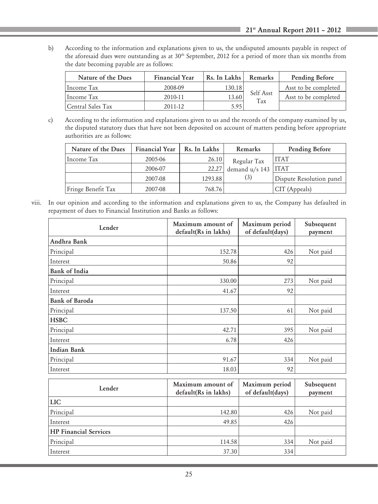b) According to the information and explanations given to us, the undisputed amounts payable in respect of the aforesaid dues were outstanding as at  $30<sup>th</sup>$  September, 2012 for a period of more than six months from the date becoming payable are as follows:

| Nature of the Dues | <b>Financial Year</b> | Rs. In Lakhs | Remarks          | Pending Before       |
|--------------------|-----------------------|--------------|------------------|----------------------|
| Income Tax         | 2008-09               | 130.18       |                  | Asst to be completed |
| Hncome Tax         | 2010-11               | 13.60        | Self Asst<br>Tax | Asst to be completed |
| Central Sales Tax  | 2011-12               | 5.95         |                  |                      |

c) According to the information and explanations given to us and the records of the company examined by us, the disputed statutory dues that have not been deposited on account of matters pending before appropriate authorities are as follows:

| Nature of the Dues | <b>Financial Year</b> | Rs. In Lakhs | Remarks                 | Pending Before           |
|--------------------|-----------------------|--------------|-------------------------|--------------------------|
| Income Tax         | 2005-06               | 26.10        | Regular Tax             | ITAT                     |
|                    | 2006-07               | 22.27        | demand $u/s$ 143   ITAT |                          |
|                    | 2007-08               | 1293.88      | (3)                     | Dispute Resolution panel |
| Fringe Benefit Tax | 2007-08               | 768.76       |                         | CIT (Appeals)            |

viii. In our opinion and according to the information and explanations given to us, the Company has defaulted in repayment of dues to Financial Institution and Banks as follows:

| Lender                       | Maximum amount of<br>default(Rs in lakhs) | Maximum period<br>of default(days) | Subsequent<br>payment |
|------------------------------|-------------------------------------------|------------------------------------|-----------------------|
| Andhra Bank                  |                                           |                                    |                       |
| Principal                    | 152.78                                    | 426                                | Not paid              |
| Interest                     | 50.86                                     | 92                                 |                       |
| <b>Bank of India</b>         |                                           |                                    |                       |
| Principal                    | 330.00                                    | 273                                | Not paid              |
| Interest                     | 41.67                                     | 92                                 |                       |
| <b>Bank of Baroda</b>        |                                           |                                    |                       |
| Principal                    | 137.50                                    | 61                                 | Not paid              |
| <b>HSBC</b>                  |                                           |                                    |                       |
| Principal                    | 42.71                                     | 395                                | Not paid              |
| Interest                     | 6.78                                      | 426                                |                       |
| <b>Indian Bank</b>           |                                           |                                    |                       |
| Principal                    | 91.67                                     | 334                                | Not paid              |
| Interest                     | 18.03                                     | 92                                 |                       |
| Lender                       | Maximum amount of<br>default(Rs in lakhs) | Maximum period<br>of default(days) | Subsequent<br>payment |
| <b>LIC</b>                   |                                           |                                    |                       |
| Principal                    | 142.80                                    | 426                                | Not paid              |
| Interest                     | 49.85                                     | 426                                |                       |
| <b>HP</b> Financial Services |                                           |                                    |                       |
| Principal                    | 114.58                                    | 334                                | Not paid              |
| Interest                     | 37.30                                     | 334                                |                       |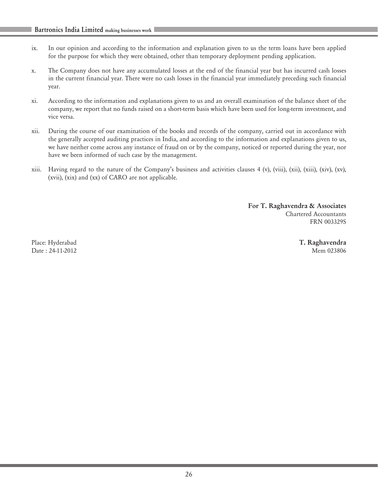- ix. In our opinion and according to the information and explanation given to us the term loans have been applied for the purpose for which they were obtained, other than temporary deployment pending application.
- x. The Company does not have any accumulated losses at the end of the financial year but has incurred cash losses in the current financial year. There were no cash losses in the financial year immediately preceding such financial year.
- xi. According to the information and explanations given to us and an overall examination of the balance sheet of the company, we report that no funds raised on a short-term basis which have been used for long-term investment, and vice versa.
- xii. During the course of our examination of the books and records of the company, carried out in accordance with the generally accepted auditing practices in India, and according to the information and explanations given to us, we have neither come across any instance of fraud on or by the company, noticed or reported during the year, nor have we been informed of such case by the management.
- xiii. Having regard to the nature of the Company's business and activities clauses 4 (v), (viii), (xii), (xiii), (xiv), (xv), (xvii), (xix) and (xx) of CARO are not applicable.

For T. Raghavendra & Associates Chartered Accountants FRN 003329S

Place: Hyderabad **T. Raghavendra** T. **Raghavendra** Date : 24-11-2012 Mem 023806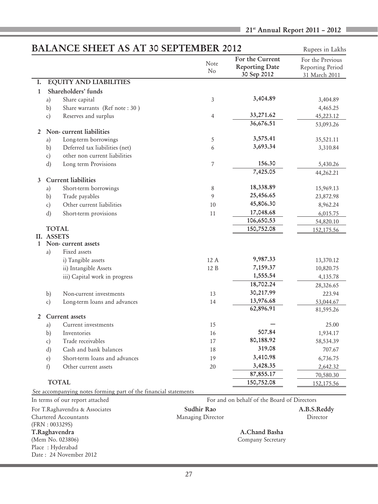# **BALANCE SHEET AS AT 30 SEPTEMBER 2012** Rupees in Lakhs

|                |              | 51111<br>1101170                                                |                   |                                                         | Kupees ili Lakiis                                     |
|----------------|--------------|-----------------------------------------------------------------|-------------------|---------------------------------------------------------|-------------------------------------------------------|
|                |              |                                                                 | Note<br>No        | For the Current<br><b>Reporting Date</b><br>30 Sep 2012 | For the Previous<br>Reporting Period<br>31 March 2011 |
| Ι.             |              | <b>EQUITY AND LIABILITIES</b>                                   |                   |                                                         |                                                       |
| $\mathbf{1}$   |              | Shareholders' funds                                             |                   |                                                         |                                                       |
|                | a)           | Share capital                                                   | 3                 | 3,404.89                                                | 3,404.89                                              |
|                | b)           | Share warrants (Ref note: 30)                                   |                   |                                                         | 4,465.25                                              |
|                | c)           | Reserves and surplus                                            | $\overline{4}$    | 33,271.62                                               | 45,223.12                                             |
|                |              |                                                                 |                   | 36,676.51                                               | 53,093.26                                             |
| 2              |              | Non-current liabilities                                         |                   |                                                         |                                                       |
|                | a)           | Long-term borrowings                                            | 5                 | 3,575.41                                                | 35,521.11                                             |
|                | b)           | Deferred tax liabilities (net)                                  | 6                 | 3,693.34                                                | 3,310.84                                              |
|                | c)           | other non current liabilities                                   |                   |                                                         |                                                       |
|                | d)           | Long term Provisions                                            | 7                 | 156.30                                                  | 5,430.26                                              |
|                |              |                                                                 |                   | 7,425.05                                                | 44,262.21                                             |
| $\mathbf{3}$   |              | <b>Current liabilities</b>                                      |                   |                                                         |                                                       |
|                | a)           | Short-term borrowings                                           | 8                 | 18,338.89                                               | 15,969.13                                             |
|                | b)           | Trade payables                                                  | 9                 | 25,456.65                                               | 23,872.98                                             |
|                | c)           | Other current liabilities                                       | 10                | 45,806.30                                               | 8,962.24                                              |
|                | d)           | Short-term provisions                                           | 11                | 17,048.68                                               | 6,015.75                                              |
|                |              |                                                                 |                   | 106,650.53                                              | 54,820.10                                             |
|                |              | TOTAL                                                           |                   | 150,752.08                                              | 152,175.56                                            |
|                | II. ASSETS   |                                                                 |                   |                                                         |                                                       |
|                |              | 1 Non-current assets                                            |                   |                                                         |                                                       |
|                | a)           | Fixed assets                                                    |                   |                                                         |                                                       |
|                |              | i) Tangible assets                                              | 12 A              | 9,987.33                                                | 13,370.12                                             |
|                |              | ii) Intangible Assets                                           | 12 B              | 7,159.37                                                | 10,820.75                                             |
|                |              | iii) Capital work in progress                                   |                   | 1,555.54                                                | 4,135.78                                              |
|                |              |                                                                 |                   | 18,702.24                                               | 28,326.65                                             |
|                | b)           | Non-current investments                                         | 13                | 30,217.99                                               | 223.94                                                |
|                | c)           | Long-term loans and advances                                    | 14                | 13,976.68                                               | 53,044.67                                             |
|                |              |                                                                 |                   | 62,896.91                                               | 81,595.26                                             |
| $\overline{2}$ |              | Current assets                                                  | 15                |                                                         |                                                       |
|                | a)           | Current investments<br>Inventories                              | 16                | 507.84                                                  | 25.00                                                 |
|                | b)           |                                                                 |                   | 80,188.92                                               | 1,934.17                                              |
|                | c)           | Trade receivables                                               | 17                | 319.08                                                  | 58,534.39                                             |
|                | d)           | Cash and bank balances                                          | 18                |                                                         | 707.67                                                |
|                | $\epsilon$ ) | Short-term loans and advances                                   | 19                | 3,410.98                                                | 6,736.75                                              |
|                | f)           | Other current assets                                            | 20                | 3,428.35                                                | 2,642.32                                              |
|                |              |                                                                 |                   | 87,855.17                                               | 70,580.30                                             |
|                |              | <b>TOTAL</b>                                                    |                   | 150,752.08                                              | 152,175.56                                            |
|                |              | See accompanying notes forming part of the financial statements |                   |                                                         |                                                       |
|                |              | In terms of our report attached                                 |                   | For and on behalf of the Board of Directors             |                                                       |
|                |              | For T.Raghavendra & Associates                                  | Sudhir Rao        |                                                         | A.B.S.Reddy                                           |
|                |              | <b>Chartered Accountants</b>                                    | Managing Director |                                                         | Director                                              |
|                |              | (FRN: 003329S)                                                  |                   |                                                         |                                                       |
|                |              | T.Raghavendra                                                   |                   | A.Chand Basha                                           |                                                       |

Company Secretary

(Mem No. 023806)<br>Place : Hyderabad Date : 24 November 2012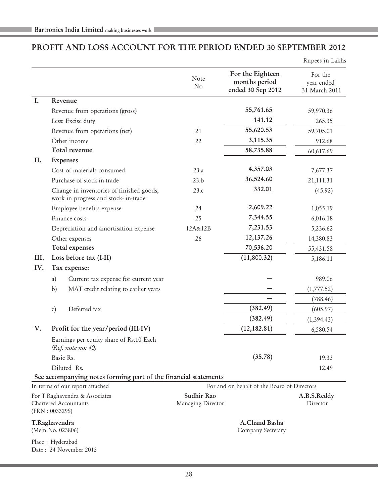# PROFIT AND LOSS ACCOUNT FOR THE PERIOD ENDED 30 SEPTEMBER 2012

Rupees in Lakhs

|      |                |                                                                                  | Note<br>No                      | For the Eighteen<br>months period<br>ended 30 Sep 2012 | For the<br>year ended<br>31 March 2011 |
|------|----------------|----------------------------------------------------------------------------------|---------------------------------|--------------------------------------------------------|----------------------------------------|
| I.   |                | Revenue                                                                          |                                 |                                                        |                                        |
|      |                | Revenue from operations (gross)                                                  |                                 | 55,761.65                                              | 59,970.36                              |
|      |                | Less: Excise duty                                                                |                                 | 141.12                                                 | 265.35                                 |
|      |                | Revenue from operations (net)                                                    | 21                              | 55,620.53                                              | 59,705.01                              |
|      |                | Other income                                                                     | 22                              | 3,115.35                                               | 912.68                                 |
|      |                | Total revenue                                                                    |                                 | 58,735.88                                              | 60,617.69                              |
| П.   |                | <b>Expenses</b>                                                                  |                                 |                                                        |                                        |
|      |                | Cost of materials consumed                                                       | 23.a                            | 4,357.03                                               | 7,677.37                               |
|      |                | Purchase of stock-in-trade                                                       | 23.b                            | 36,524.60                                              | 21,111.31                              |
|      |                | Change in inventories of finished goods,<br>work in progress and stock- in-trade | 23.c                            | 332.01                                                 | (45.92)                                |
|      |                | Employee benefits expense                                                        | 24                              | 2,609.22                                               | 1,055.19                               |
|      |                | Finance costs                                                                    | 25                              | 7,344.55                                               | 6,016.18                               |
|      |                | Depreciation and amortisation expense                                            | 12A&12B                         | 7,231.53                                               | 5,236.62                               |
|      |                | Other expenses                                                                   | 26                              | 12, 137.26                                             | 14,380.83                              |
|      |                | Total expenses                                                                   |                                 | 70,536.20                                              | 55,431.58                              |
| III. |                | Loss before tax (I-II)                                                           |                                 | (11,800.32)                                            | 5,186.11                               |
| IV.  |                | Tax expense:                                                                     |                                 |                                                        |                                        |
|      | a)             | Current tax expense for current year                                             |                                 |                                                        | 989.06                                 |
|      | b)             | MAT credit relating to earlier years                                             |                                 |                                                        | (1,777.52)                             |
|      |                |                                                                                  |                                 |                                                        | (788.46)                               |
|      | $\mathbf{c}$   | Deferred tax                                                                     |                                 | (382.49)                                               | (605.97)                               |
|      |                |                                                                                  |                                 | (382.49)                                               | (1, 394.43)                            |
| V.   |                | Profit for the year/period (III-IV)                                              |                                 | (12, 182.81)                                           | 6,580.54                               |
|      |                | Earnings per equity share of Rs.10 Each<br>(Ref. note no: 40)                    |                                 |                                                        |                                        |
|      |                | Basic Rs.                                                                        |                                 | (35.78)                                                | 19.33                                  |
|      |                | Diluted Rs.                                                                      |                                 |                                                        | 12.49                                  |
|      |                | See accompanying notes forming part of the financial statements                  |                                 |                                                        |                                        |
|      |                | In terms of our report attached                                                  |                                 | For and on behalf of the Board of Directors            |                                        |
|      | (FRN: 003329S) | For T.Raghavendra & Associates<br>Chartered Accountants                          | Sudhir Rao<br>Managing Director |                                                        | A.B.S.Reddy<br>Director                |
|      | T.Raghavendra  | (Mem No. 023806)                                                                 |                                 | A.Chand Basha<br>Company Secretary                     |                                        |
|      |                | Place: Hyderabad<br>Date: 24 November 2012                                       |                                 |                                                        |                                        |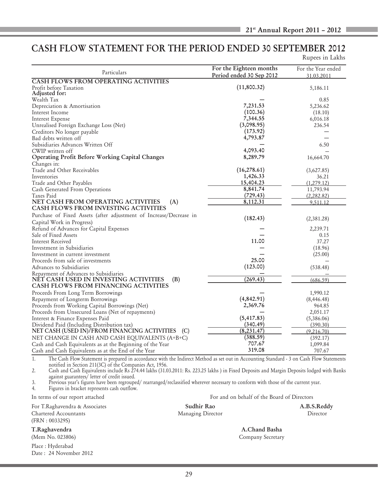# CASH FLOW STATEMENT FOR THE PERIOD ENDED 30 SEPTEMBER 2012

| Rupees in Lakhs |  |  |
|-----------------|--|--|

| Particulars                                                                                                                                    | For the Eighteen months  | For the Year ended |
|------------------------------------------------------------------------------------------------------------------------------------------------|--------------------------|--------------------|
| <b>CASH FLOWS FROM OPERATING ACTIVITIES</b>                                                                                                    | Period ended 30 Sep 2012 | 31.03.2011         |
| Profit before Taxation<br>Adjusted for:                                                                                                        | (11,800.32)              | 5,186.11           |
| Wealth Tax                                                                                                                                     |                          | 0.85               |
| Depreciation & Amortisation                                                                                                                    | 7,231.53                 | 5,236.62           |
| Interest Income                                                                                                                                | (100.36)                 | (18.10)            |
| Interest Expense                                                                                                                               | 7,344.55                 | 6,016.18           |
| Unrealised Foreign Exchange Loss (Net)                                                                                                         | (3,098.95)               | 236.54             |
| Creditors No longer payable                                                                                                                    | (173.92)                 |                    |
| Bad debts written off                                                                                                                          | 4,793.87                 |                    |
| Subsidiaries Advances Written Off                                                                                                              |                          | 6.50               |
| CWIP written off                                                                                                                               | 4,093.40                 |                    |
| Operating Profit Before Working Capital Changes                                                                                                | 8,289.79                 | 16,664.70          |
|                                                                                                                                                |                          |                    |
| Changes in:<br>Trade and Other Receivables                                                                                                     | (16, 278.61)             |                    |
| Inventories                                                                                                                                    | 1,426.33                 | (3,627.85)         |
|                                                                                                                                                | 15,404.23                | 36.21              |
| Trade and Other Payables                                                                                                                       |                          | (1,279.12)         |
| Cash Generated From Operations                                                                                                                 | 8,841.74                 | 11,793.94          |
| Taxes Paid                                                                                                                                     | (729.43)                 | (2, 282.82)        |
| NET CASH FROM OPERATING ACTIVITIES<br>(A)<br><b>CASH FLOWS FROM INVESTING ACTIVITIES</b>                                                       | 8,112.31                 | 9.511.12           |
| Purchase of Fixed Assets (after adjustment of Increase/Decrease in                                                                             |                          |                    |
| Capital Work in Progress)                                                                                                                      | (182.43)                 | (2,381.28)         |
| Refund of Advances for Capital Expenses                                                                                                        |                          | 2,239.71           |
| Sale of Fixed Assets                                                                                                                           |                          | 0.15               |
| Interest Received                                                                                                                              | 11.00                    | 37.27              |
| Investment in Subsidiaries                                                                                                                     |                          | (18.96)            |
| Investment in current investment                                                                                                               |                          | (25.00)            |
| Proceeds from sale of investments                                                                                                              | 25.00                    |                    |
| Advances to Subsidiaries                                                                                                                       | (123.00)                 | (538.48)           |
| Repayment of Advances to Subsidiaries                                                                                                          |                          |                    |
| NET CASH USED IN INVESTING ACTIVITIES<br>(B)                                                                                                   | (269.43)                 | (686.59)           |
| <b>CASH FLOWS FROM FINANCING ACTIVITIES</b>                                                                                                    |                          |                    |
| Proceeds From Long Term Borrowings                                                                                                             |                          | 1,990.12           |
| Repayment of Longterm Borrowings                                                                                                               | (4, 842.91)              | (8, 446.48)        |
| Proceeds from Working Capital Borrowings (Net)                                                                                                 | 2,369.76                 | 964.85             |
| Proceeds from Unsecured Loans (Net of repayments)                                                                                              |                          | 2,051.17           |
| Interest & Finance Expenses Paid                                                                                                               | (5, 417.83)              | (5,386.06)         |
| Dividend Paid (Including Distribution tax)                                                                                                     | (340.49)                 | (390.30)           |
| NET CASH (USED IN)/FROM FINANCING ACTIVITIES (C)                                                                                               | (8, 231.47)              | (9,216.70)         |
| NET CHANGE IN CASH AND CASH EQUIVALENTS (A+B+C)                                                                                                | (388.59)                 | (392.17)           |
| Cash and Cash Equivalents as at the Beginning of the Year                                                                                      | 707.67                   | 1,099.84           |
| Cash and Cash Equivalents as at the End of the Year                                                                                            | 319.08                   | 707.67             |
| The Cash Flow Statement is prepared in accordance with the Indirect Method as set out in Accounting Standard - 3 on Cash Flow Statements<br>1. |                          |                    |

1. The Cash Flow Statement is prepared in accordance with the Indirect Method as set out in Accounting Standard - 3 on Cash Flow Statements notified in Section 211(3C) of the Companies Act, 1956.

2. Cash and Cash Equivalents include Rs 274.44 lakhs (31.03.2011: Rs. 223.25 lakhs ) in Fixed Deposits and Margin Deposits lodged with Banks against guarantees/ letter of credit issued.

3. Previous year's figures have been regrouped/ rearranged/reclassified wherever necessary to conform with those of the current year.

4. Figures in bracket represents cash outflow.

For T.Raghavendra & Associates Sudhir Rao Sudhir Rao A.B.S.Reddy Chartered Accountants Managing Director Director (FRN : 003329S)

T.Raghavendra A.Chand Basha

Place : Hyderabad Date : 24 November 2012

In terms of our report attached For and on behalf of the Board of Directors

(Mem No. 023806) Company Secretary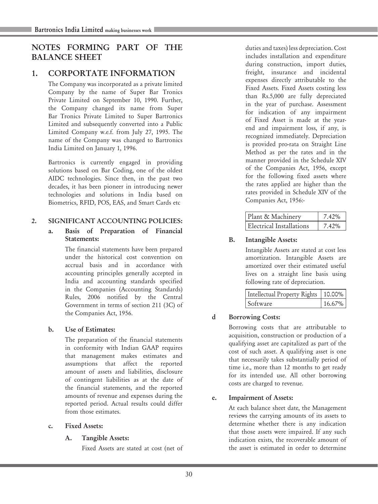# NOTES FORMING PART OF THE BALANCE SHEET

# 1. CORPORTATE INFORMATION

The Company was incorporated as a private limited Company by the name of Super Bar Tronics Private Limited on September 10, 1990. Further, the Company changed its name from Super Bar Tronics Private Limited to Super Bartronics Limited and subsequently converted into a Public Limited Company w.e.f. from July 27, 1995. The name of the Company was changed to Bartronics India Limited on January 1, 1996.

Bartronics is currently engaged in providing solutions based on Bar Coding, one of the oldest AIDC technologies. Since then, in the past two decades, it has been pioneer in introducing newer technologies and solutions in India based on Biometrics, RFID, POS, EAS, and Smart Cards etc

# 2. SIGNIFICANT ACCOUNTING POLICIES:

#### a. Basis of Preparation of Financial Statements:

The financial statements have been prepared under the historical cost convention on accrual basis and in accordance with accounting principles generally accepted in India and accounting standards specified in the Companies (Accounting Standards) Rules, 2006 notified by the Central Government in terms of section 211 (3C) of the Companies Act, 1956.

# b. Use of Estimates:

The preparation of the financial statements in conformity with Indian GAAP requires that management makes estimates and assumptions that affect the reported amount of assets and liabilities, disclosure of contingent liabilities as at the date of the financial statements, and the reported amounts of revenue and expenses during the reported period. Actual results could differ from those estimates.

#### c. Fixed Assets:

# A. Tangible Assets:

Fixed Assets are stated at cost (net of

duties and taxes) less depreciation. Cost includes installation and expenditure during construction, import duties, freight, insurance and incidental expenses directly attributable to the Fixed Assets. Fixed Assets costing less than Rs.5,000 are fully depreciated in the year of purchase. Assessment for indication of any impairment of Fixed Asset is made at the yearend and impairment loss, if any, is recognized immediately. Depreciation is provided pro-rata on Straight Line Method as per the rates and in the manner provided in the Schedule XIV of the Companies Act, 1956, except for the following fixed assets where the rates applied are higher than the rates provided in Schedule XIV of the Companies Act, 1956:-

| Plant & Machinery        | 7.42% |
|--------------------------|-------|
| Electrical Installations | 7.42% |

# B. Intangible Assets:

Intangible Assets are stated at cost less amortization. Intangible Assets are amortized over their estimated useful lives on a straight line basis using following rate of depreciation.

| Intellectual Property Rights   10.00% |           |
|---------------------------------------|-----------|
| Software                              | $16.67\%$ |

# d Borrowing Costs:

Borrowing costs that are attributable to acquisition, construction or production of a qualifying asset are capitalized as part of the cost of such asset. A qualifying asset is one that necessarily takes substantially period of time i.e., more than 12 months to get ready for its intended use. All other borrowing costs are charged to revenue.

# e. Impairment of Assets:

At each balance sheet date, the Management reviews the carrying amounts of its assets to determine whether there is any indication that those assets were impaired. If any such indication exists, the recoverable amount of the asset is estimated in order to determine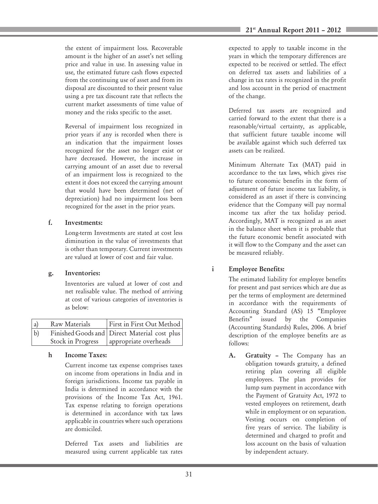the extent of impairment loss. Recoverable amount is the higher of an asset's net selling price and value in use. In assessing value in use, the estimated future cash flows expected from the continuing use of asset and from its disposal are discounted to their present value using a pre tax discount rate that reflects the current market assessments of time value of money and the risks specific to the asset.

Reversal of impairment loss recognized in prior years if any is recorded when there is an indication that the impairment losses recognized for the asset no longer exist or have decreased. However, the increase in carrying amount of an asset due to reversal of an impairment loss is recognized to the extent it does not exceed the carrying amount that would have been determined (net of depreciation) had no impairment loss been recognized for the asset in the prior years.

#### f. Investments:

Long-term Investments are stated at cost less diminution in the value of investments that is other than temporary. Current investments are valued at lower of cost and fair value.

# g. Inventories:

Inventories are valued at lower of cost and net realisable value. The method of arriving at cost of various categories of inventories is as below:

| a           | Raw Materials     | First in First Out Method                                             |
|-------------|-------------------|-----------------------------------------------------------------------|
| $ b\rangle$ | Stock in Progress | Finished Goods and Direct Material cost plus<br>appropriate overheads |

# h Income Taxes:

Current income tax expense comprises taxes on income from operations in India and in foreign jurisdictions. Income tax payable in India is determined in accordance with the provisions of the Income Tax Act, 1961. Tax expense relating to foreign operations is determined in accordance with tax laws applicable in countries where such operations are domiciled.

Deferred Tax assets and liabilities are measured using current applicable tax rates expected to apply to taxable income in the years in which the temporary differences are expected to be received or settled. The effect on deferred tax assets and liabilities of a change in tax rates is recognized in the profit and loss account in the period of enactment of the change.

Deferred tax assets are recognized and carried forward to the extent that there is a reasonable/virtual certainty, as applicable, that sufficient future taxable income will be available against which such deferred tax assets can be realized.

Minimum Alternate Tax (MAT) paid in accordance to the tax laws, which gives rise to future economic benefits in the form of adjustment of future income tax liability, is considered as an asset if there is convincing evidence that the Company will pay normal income tax after the tax holiday period. Accordingly, MAT is recognized as an asset in the balance sheet when it is probable that the future economic benefit associated with it will flow to the Company and the asset can be measured reliably.

# i Employee Benefits:

The estimated liability for employee benefits for present and past services which are due as per the terms of employment are determined in accordance with the requirements of Accounting Standard (AS) 15 "Employee Benefits" issued by the Companies (Accounting Standards) Rules, 2006. A brief description of the employee benefits are as follows:

A. Gratuity – The Company has an obligation towards gratuity, a defined retiring plan covering all eligible employees. The plan provides for lump sum payment in accordance with the Payment of Gratuity Act, 1972 to vested employees on retirement, death while in employment or on separation. Vesting occurs on completion of five years of service. The liability is determined and charged to profit and loss account on the basis of valuation by independent actuary.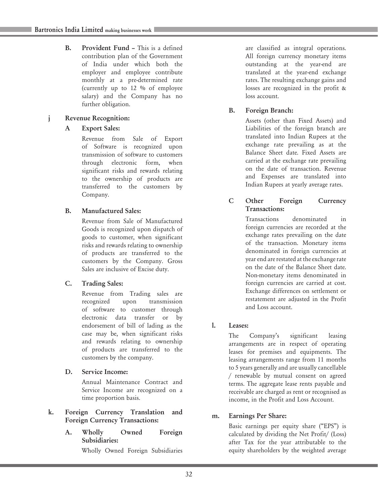B. Provident Fund – This is a defined contribution plan of the Government of India under which both the employer and employee contribute monthly at a pre-determined rate (currently up to 12 % of employee salary) and the Company has no further obligation.

# j Revenue Recognition:

# A Export Sales:

Revenue from Sale of Export of Software is recognized upon transmission of software to customers through electronic form, when significant risks and rewards relating to the ownership of products are transferred to the customers by Company.

# B. Manufactured Sales:

Revenue from Sale of Manufactured Goods is recognized upon dispatch of goods to customer, when significant risks and rewards relating to ownership of products are transferred to the customers by the Company. Gross Sales are inclusive of Excise duty.

# C. Trading Sales:

Revenue from Trading sales are recognized upon transmission of software to customer through electronic data transfer or by endorsement of bill of lading as the case may be, when significant risks and rewards relating to ownership of products are transferred to the customers by the company.

# D. Service Income:

Annual Maintenance Contract and Service Income are recognized on a time proportion basis.

#### k. Foreign Currency Translation and Foreign Currency Transactions:

A. Wholly Owned Foreign Subsidiaries:

Wholly Owned Foreign Subsidiaries

are classified as integral operations. All foreign currency monetary items outstanding at the year-end are translated at the year-end exchange rates. The resulting exchange gains and losses are recognized in the profit & loss account.

# B. Foreign Branch:

Assets (other than Fixed Assets) and Liabilities of the foreign branch are translated into Indian Rupees at the exchange rate prevailing as at the Balance Sheet date. Fixed Assets are carried at the exchange rate prevailing on the date of transaction. Revenue and Expenses are translated into Indian Rupees at yearly average rates.

# C Other Foreign Currency Transactions:

Transactions denominated in foreign currencies are recorded at the exchange rates prevailing on the date of the transaction. Monetary items denominated in foreign currencies at year end are restated at the exchange rate on the date of the Balance Sheet date. Non-monetary items denominated in foreign currencies are carried at cost. Exchange differences on settlement or restatement are adjusted in the Profit and Loss account.

# l. Leases:

The Company's significant leasing arrangements are in respect of operating leases for premises and equipments. The leasing arrangements range from 11 months to 5 years generally and are usually cancellable / renewable by mutual consent on agreed terms. The aggregate lease rents payable and receivable are charged as rent or recognised as income, in the Profit and Loss Account.

# m. Earnings Per Share:

Basic earnings per equity share ("EPS") is calculated by dividing the Net Profit/ (Loss) after Tax for the year attributable to the equity shareholders by the weighted average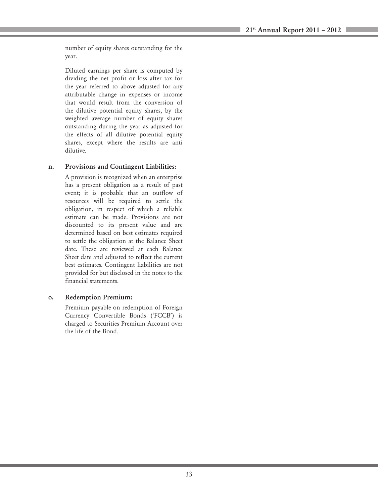number of equity shares outstanding for the year.

Diluted earnings per share is computed by dividing the net profit or loss after tax for the year referred to above adjusted for any attributable change in expenses or income that would result from the conversion of the dilutive potential equity shares, by the weighted average number of equity shares outstanding during the year as adjusted for the effects of all dilutive potential equity shares, except where the results are anti dilutive.

# n. Provisions and Contingent Liabilities:

A provision is recognized when an enterprise has a present obligation as a result of past event; it is probable that an outflow of resources will be required to settle the obligation, in respect of which a reliable estimate can be made. Provisions are not discounted to its present value and are determined based on best estimates required to settle the obligation at the Balance Sheet date. These are reviewed at each Balance Sheet date and adjusted to reflect the current best estimates. Contingent liabilities are not provided for but disclosed in the notes to the financial statements.

# o. Redemption Premium:

Premium payable on redemption of Foreign Currency Convertible Bonds ('FCCB') is charged to Securities Premium Account over the life of the Bond.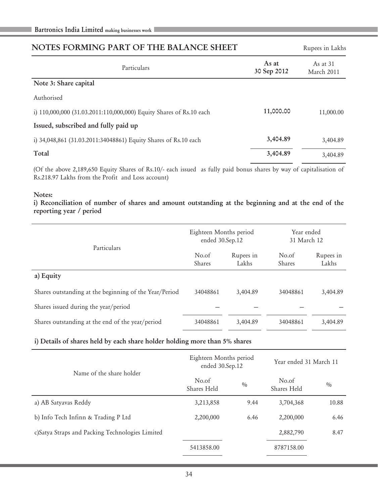| NOTES FORMING PART OF THE BALANCE SHEET                             |                      | Rupees in Lakhs          |  |
|---------------------------------------------------------------------|----------------------|--------------------------|--|
| Particulars                                                         | As at<br>30 Sep 2012 | As at $31$<br>March 2011 |  |
| Note 3: Share capital                                               |                      |                          |  |
| Authorised                                                          |                      |                          |  |
| i) 110,000,000 (31.03.2011:110,000,000) Equity Shares of Rs.10 each | 11,000.00            | 11,000.00                |  |
| Issued, subscribed and fully paid up                                |                      |                          |  |
| i) 34,048,861 (31.03.2011:34048861) Equity Shares of Rs.10 each     | 3,404.89             | 3,404.89                 |  |
| Total                                                               | 3,404.89             | 3,404.89                 |  |

(Of the above 2,189,650 Equity Shares of Rs.10/- each issued as fully paid bonus shares by way of capitalisation of Rs.218.97 Lakhs from the Profit and Loss account)

#### Notes:

i) Reconciliation of number of shares and amount outstanding at the beginning and at the end of the reporting year / period

|                                                        | Eighteen Months period<br>ended 30.Sep.12 |                    | Year ended<br>31 March 12 |                    |
|--------------------------------------------------------|-------------------------------------------|--------------------|---------------------------|--------------------|
| Particulars                                            | No.of<br><b>Shares</b>                    | Rupees in<br>Lakhs | No.of<br>Shares           | Rupees in<br>Lakhs |
| a) Equity                                              |                                           |                    |                           |                    |
| Shares outstanding at the beginning of the Year/Period | 34048861                                  | 3,404.89           | 34048861                  | 3.404.89           |
| Shares issued during the year/period                   |                                           |                    |                           |                    |
| Shares outstanding at the end of the year/period       | 34048861                                  | 3,404.89           | 34048861                  | 3.404.89           |

#### i) Details of shares held by each share holder holding more than 5% shares

| Name of the share holder                         | Eighteen Months period<br>ended 30.Sep.12 |      | Year ended 31 March 11 |       |
|--------------------------------------------------|-------------------------------------------|------|------------------------|-------|
|                                                  | No.of<br>Shares Held                      | 0/0  | No.of<br>Shares Held   | 0/0   |
| a) AB Satyavas Reddy                             | 3,213,858                                 | 9.44 | 3,704,368              | 10.88 |
| b) Info Tech Infinn & Trading P Ltd              | 2,200,000                                 | 6.46 | 2,200,000              | 6.46  |
| c) Satya Straps and Packing Technologies Limited |                                           |      | 2,882,790              | 8.47  |
|                                                  | 5413858.00                                |      | 8787158.00             |       |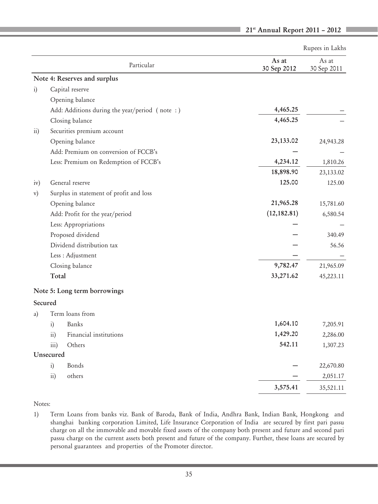|                 |                   |                                               |                      | Rupees in Lakhs      |
|-----------------|-------------------|-----------------------------------------------|----------------------|----------------------|
|                 |                   | Particular                                    | As at<br>30 Sep 2012 | As at<br>30 Sep 2011 |
|                 |                   | Note 4: Reserves and surplus                  |                      |                      |
| $\ddot{i}$      |                   | Capital reserve                               |                      |                      |
|                 |                   | Opening balance                               |                      |                      |
|                 |                   | Add: Additions during the year/period (note:) | 4,465.25             |                      |
|                 |                   | Closing balance                               | 4,465.25             |                      |
| $\overline{11}$ |                   | Securities premium account                    |                      |                      |
|                 |                   | Opening balance                               | 23,133.02            | 24,943.28            |
|                 |                   | Add: Premium on conversion of FCCB's          |                      |                      |
|                 |                   | Less: Premium on Redemption of FCCB's         | 4,234.12             | 1,810.26             |
|                 |                   |                                               | 18,898.90            | 23,133.02            |
| iv)             |                   | General reserve                               | 125.00               | 125.00               |
| $\mathbf{v})$   |                   | Surplus in statement of profit and loss       |                      |                      |
|                 |                   | Opening balance                               | 21,965.28            | 15,781.60            |
|                 |                   | Add: Profit for the year/period               | (12, 182.81)         | 6,580.54             |
|                 |                   | Less: Appropriations                          |                      |                      |
|                 |                   | Proposed dividend                             |                      | 340.49               |
|                 |                   | Dividend distribution tax                     |                      | 56.56                |
|                 |                   | Less : Adjustment                             |                      |                      |
|                 |                   | Closing balance                               | 9,782.47             | 21,965.09            |
|                 | Total             |                                               | 33,271.62            | 45,223.11            |
|                 |                   | Note 5: Long term borrowings                  |                      |                      |
|                 | Secured           |                                               |                      |                      |
| a)              |                   | Term loans from                               |                      |                      |
|                 | $\mathbf{i}$      | <b>Banks</b>                                  | 1,604.10             | 7,205.91             |
|                 | $\overline{11}$ ) | Financial institutions                        | 1,429.20             | 2,286.00             |
|                 | iii)              | Others                                        | 542.11               | 1,307.23             |
|                 | Unsecured         |                                               |                      |                      |
|                 | $\mathbf{i}$      | Bonds                                         |                      | 22,670.80            |
|                 | $\overline{11})$  | others                                        |                      | 2,051.17             |
|                 |                   |                                               | 3,575.41             | 35,521.11            |

# 21st Annual Report 2011 – 2012

Notes:

1) Term Loans from banks viz. Bank of Baroda, Bank of India, Andhra Bank, Indian Bank, Hongkong and shanghai banking corporation Limited, Life Insurance Corporation of India are secured by first pari passu charge on all the immovable and movable fixed assets of the company both present and future and second pari passu charge on the current assets both present and future of the company. Further, these loans are secured by personal guarantees and properties of the Promoter director.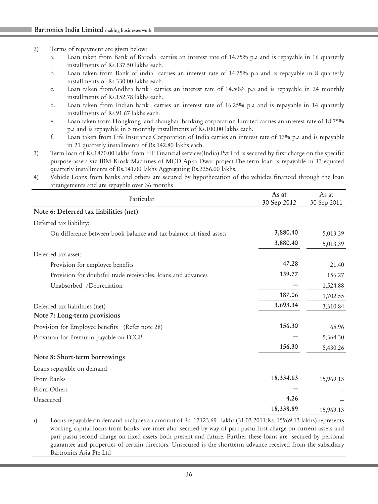#### 2) Terms of repayment are given below:

- a. Loan taken from Bank of Baroda carries an interest rate of 14.75% p.a and is repayable in 16 quarterly installments of Rs.137.50 lakhs each.
- b. Loan taken from Bank of india carries an interest rate of 14.75% p.a and is repayable in 8 quarterly installments of Rs.330.00 lakhs each.
- c. Loan taken fromAndhra bank carries an interest rate of 14.50% p.a and is repayable in 24 monthly installments of Rs.152.78 lakhs each.
- d. Loan taken from Indian bank carries an interest rate of 16.25% p.a and is repayable in 14 quarterly installments of Rs.91.67 lakhs each.
- e. Loan taken from Hongkong and shanghai banking corporation Limited carries an interest rate of 18.75% p.a and is repayable in 5 monthly installments of Rs.100.00 lakhs each.
- f. Loan taken from Life Insurance Corporation of India carries an interest rate of 13% p.a and is repayable in 21 quarterly installments of Rs.142.80 lakhs each.
- 3) Term loan of Rs.1870.00 lakhs from HP Financial services(India) Pvt Ltd is secured by first charge on the specific purpose assets viz IBM Kiosk Machines of MCD Apka Dwar project.The term loan is repayable in 13 equated quarterly installments of Rs.141.00 lakhs Aggregating Rs.2256.00 lakhs.
- 4) Vehicle Loans from banks and others are secured by hypothecation of the vehicles financed through the loan arrangements and are repayble over 36 months

| Particular                                                         | As at<br>30 Sep 2012 | As at<br>30 Sep 2011 |
|--------------------------------------------------------------------|----------------------|----------------------|
| Note 6: Deferred tax liabilities (net)                             |                      |                      |
| Deferred tax liability:                                            |                      |                      |
| On difference between book balance and tax balance of fixed assets | 3,880.40             | 5,013.39             |
|                                                                    | 3,880.40             | 5,013.39             |
| Deferred tax asset:                                                |                      |                      |
| Provision for employee benefits                                    | 47.28                | 21.40                |
| Provision for doubtful trade receivables, loans and advances       | 139.77               | 156.27               |
| Unabsorbed /Depreciation                                           |                      | 1,524.88             |
|                                                                    | 187.06               | 1,702.55             |
| Deferred tax liabilities (net)                                     | 3,693.34             | 3,310.84             |
| Note 7: Long-term provisions                                       |                      |                      |
| Provision for Employee benefits (Refer note 28)                    | 156.30               | 65.96                |
| Provision for Premium payable on FCCB                              |                      | 5,364.30             |
|                                                                    | 156.30               | 5,430.26             |
| Note 8: Short-term borrowings                                      |                      |                      |
| Loans repayable on demand                                          |                      |                      |
| From Banks                                                         | 18,334.63            | 15,969.13            |
| From Others                                                        |                      |                      |
| Unsecured                                                          | 4.26                 |                      |
|                                                                    | 18,338.89            | 15,969.13            |

i) Loans repayable on demand includes an amount of Rs. 17123.69 lakhs (31.03.2011:Rs. 15969.13 lakhs) represents working capital loans from banks are inter alia secured by way of pari passu first charge on current assets and pari passu second charge on fixed assets both present and future. Further these loans are secured by personal guarantee and properties of certain directors. Unsecured is the shortterm advance received from the subsidiary Bartronics Asia Pte Ltd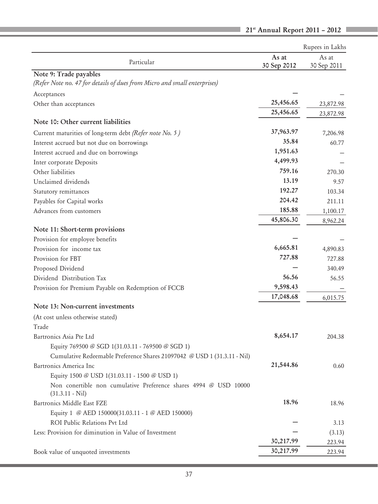| Particular<br>30 Sep 2012<br>30 Sep 2011<br>Note 9: Trade payables<br>(Refer Note no. 47 for details of dues from Micro and small enterprises)<br>Acceptances<br>25,456.65<br>Other than acceptances<br>23,872.98<br>25,456.65<br>23,872.98<br>Note 10: Other current liabilities<br>37,963.97<br>Current maturities of long-term debt (Refer note No. 5)<br>7,206.98<br>35.84<br>Interest accrued but not due on borrowings<br>60.77<br>1,951.63<br>Interest accrued and due on borrowings<br>4,499.93<br>Inter corporate Deposits<br>759.16<br>Other liabilities<br>270.30<br>13.19<br>Unclaimed dividends<br>9.57<br>192.27<br>103.34<br>Statutory remittances<br>204.42<br>Payables for Capital works<br>211.11<br>185.88<br>Advances from customers<br>1,100.17<br>45,806.30<br>8,962.24<br>Note 11: Short-term provisions<br>Provision for employee benefits<br>6,665.81<br>Provision for income tax<br>4,890.83<br>727.88<br>Provision for FBT<br>727.88<br>Proposed Dividend<br>340.49<br>56.56<br>Dividend Distribution Tax<br>56.55<br>9,598.43<br>Provision for Premium Payable on Redemption of FCCB<br>17,048.68<br>6,015.75<br>Note 13: Non-current investments<br>(At cost unless otherwise stated)<br>Trade<br>8,654.17<br>Bartronics Asia Pte Ltd<br>204.38<br>Equity 769500 @ SGD 1(31.03.11 - 769500 @ SGD 1)<br>Cumulative Redeemable Preference Shares 21097042 @ USD 1 (31.3.11 - Nil)<br>21,544.86<br>Bartronics America Inc<br>0.60<br>Equity 1500 @ USD 1(31.03.11 - 1500 @ USD 1)<br>Non conertible non cumulative Preference shares 4994 @ USD 10000<br>$(31.3.11 - Nil)$<br>18.96<br>Bartronics Middle East FZE<br>18.96<br>Equity 1 @ AED 150000(31.03.11 - 1 @ AED 150000)<br>ROI Public Relations Pvt Ltd<br>3.13<br>Less: Provision for diminution in Value of Investment<br>(3.13)<br>30,217.99<br>223.94<br>30,217.99 |                                    |       | Rupees in Lakhs |
|---------------------------------------------------------------------------------------------------------------------------------------------------------------------------------------------------------------------------------------------------------------------------------------------------------------------------------------------------------------------------------------------------------------------------------------------------------------------------------------------------------------------------------------------------------------------------------------------------------------------------------------------------------------------------------------------------------------------------------------------------------------------------------------------------------------------------------------------------------------------------------------------------------------------------------------------------------------------------------------------------------------------------------------------------------------------------------------------------------------------------------------------------------------------------------------------------------------------------------------------------------------------------------------------------------------------------------------------------------------------------------------------------------------------------------------------------------------------------------------------------------------------------------------------------------------------------------------------------------------------------------------------------------------------------------------------------------------------------------------------------------------------------------------------------------------------------------------------------------|------------------------------------|-------|-----------------|
|                                                                                                                                                                                                                                                                                                                                                                                                                                                                                                                                                                                                                                                                                                                                                                                                                                                                                                                                                                                                                                                                                                                                                                                                                                                                                                                                                                                                                                                                                                                                                                                                                                                                                                                                                                                                                                                         |                                    | As at | As at           |
|                                                                                                                                                                                                                                                                                                                                                                                                                                                                                                                                                                                                                                                                                                                                                                                                                                                                                                                                                                                                                                                                                                                                                                                                                                                                                                                                                                                                                                                                                                                                                                                                                                                                                                                                                                                                                                                         |                                    |       |                 |
|                                                                                                                                                                                                                                                                                                                                                                                                                                                                                                                                                                                                                                                                                                                                                                                                                                                                                                                                                                                                                                                                                                                                                                                                                                                                                                                                                                                                                                                                                                                                                                                                                                                                                                                                                                                                                                                         |                                    |       |                 |
|                                                                                                                                                                                                                                                                                                                                                                                                                                                                                                                                                                                                                                                                                                                                                                                                                                                                                                                                                                                                                                                                                                                                                                                                                                                                                                                                                                                                                                                                                                                                                                                                                                                                                                                                                                                                                                                         |                                    |       |                 |
|                                                                                                                                                                                                                                                                                                                                                                                                                                                                                                                                                                                                                                                                                                                                                                                                                                                                                                                                                                                                                                                                                                                                                                                                                                                                                                                                                                                                                                                                                                                                                                                                                                                                                                                                                                                                                                                         |                                    |       |                 |
|                                                                                                                                                                                                                                                                                                                                                                                                                                                                                                                                                                                                                                                                                                                                                                                                                                                                                                                                                                                                                                                                                                                                                                                                                                                                                                                                                                                                                                                                                                                                                                                                                                                                                                                                                                                                                                                         |                                    |       |                 |
|                                                                                                                                                                                                                                                                                                                                                                                                                                                                                                                                                                                                                                                                                                                                                                                                                                                                                                                                                                                                                                                                                                                                                                                                                                                                                                                                                                                                                                                                                                                                                                                                                                                                                                                                                                                                                                                         |                                    |       |                 |
|                                                                                                                                                                                                                                                                                                                                                                                                                                                                                                                                                                                                                                                                                                                                                                                                                                                                                                                                                                                                                                                                                                                                                                                                                                                                                                                                                                                                                                                                                                                                                                                                                                                                                                                                                                                                                                                         |                                    |       |                 |
|                                                                                                                                                                                                                                                                                                                                                                                                                                                                                                                                                                                                                                                                                                                                                                                                                                                                                                                                                                                                                                                                                                                                                                                                                                                                                                                                                                                                                                                                                                                                                                                                                                                                                                                                                                                                                                                         |                                    |       |                 |
|                                                                                                                                                                                                                                                                                                                                                                                                                                                                                                                                                                                                                                                                                                                                                                                                                                                                                                                                                                                                                                                                                                                                                                                                                                                                                                                                                                                                                                                                                                                                                                                                                                                                                                                                                                                                                                                         |                                    |       |                 |
|                                                                                                                                                                                                                                                                                                                                                                                                                                                                                                                                                                                                                                                                                                                                                                                                                                                                                                                                                                                                                                                                                                                                                                                                                                                                                                                                                                                                                                                                                                                                                                                                                                                                                                                                                                                                                                                         |                                    |       |                 |
|                                                                                                                                                                                                                                                                                                                                                                                                                                                                                                                                                                                                                                                                                                                                                                                                                                                                                                                                                                                                                                                                                                                                                                                                                                                                                                                                                                                                                                                                                                                                                                                                                                                                                                                                                                                                                                                         |                                    |       |                 |
|                                                                                                                                                                                                                                                                                                                                                                                                                                                                                                                                                                                                                                                                                                                                                                                                                                                                                                                                                                                                                                                                                                                                                                                                                                                                                                                                                                                                                                                                                                                                                                                                                                                                                                                                                                                                                                                         |                                    |       |                 |
|                                                                                                                                                                                                                                                                                                                                                                                                                                                                                                                                                                                                                                                                                                                                                                                                                                                                                                                                                                                                                                                                                                                                                                                                                                                                                                                                                                                                                                                                                                                                                                                                                                                                                                                                                                                                                                                         |                                    |       |                 |
|                                                                                                                                                                                                                                                                                                                                                                                                                                                                                                                                                                                                                                                                                                                                                                                                                                                                                                                                                                                                                                                                                                                                                                                                                                                                                                                                                                                                                                                                                                                                                                                                                                                                                                                                                                                                                                                         |                                    |       |                 |
|                                                                                                                                                                                                                                                                                                                                                                                                                                                                                                                                                                                                                                                                                                                                                                                                                                                                                                                                                                                                                                                                                                                                                                                                                                                                                                                                                                                                                                                                                                                                                                                                                                                                                                                                                                                                                                                         |                                    |       |                 |
|                                                                                                                                                                                                                                                                                                                                                                                                                                                                                                                                                                                                                                                                                                                                                                                                                                                                                                                                                                                                                                                                                                                                                                                                                                                                                                                                                                                                                                                                                                                                                                                                                                                                                                                                                                                                                                                         |                                    |       |                 |
|                                                                                                                                                                                                                                                                                                                                                                                                                                                                                                                                                                                                                                                                                                                                                                                                                                                                                                                                                                                                                                                                                                                                                                                                                                                                                                                                                                                                                                                                                                                                                                                                                                                                                                                                                                                                                                                         |                                    |       |                 |
|                                                                                                                                                                                                                                                                                                                                                                                                                                                                                                                                                                                                                                                                                                                                                                                                                                                                                                                                                                                                                                                                                                                                                                                                                                                                                                                                                                                                                                                                                                                                                                                                                                                                                                                                                                                                                                                         |                                    |       |                 |
|                                                                                                                                                                                                                                                                                                                                                                                                                                                                                                                                                                                                                                                                                                                                                                                                                                                                                                                                                                                                                                                                                                                                                                                                                                                                                                                                                                                                                                                                                                                                                                                                                                                                                                                                                                                                                                                         |                                    |       |                 |
|                                                                                                                                                                                                                                                                                                                                                                                                                                                                                                                                                                                                                                                                                                                                                                                                                                                                                                                                                                                                                                                                                                                                                                                                                                                                                                                                                                                                                                                                                                                                                                                                                                                                                                                                                                                                                                                         |                                    |       |                 |
|                                                                                                                                                                                                                                                                                                                                                                                                                                                                                                                                                                                                                                                                                                                                                                                                                                                                                                                                                                                                                                                                                                                                                                                                                                                                                                                                                                                                                                                                                                                                                                                                                                                                                                                                                                                                                                                         |                                    |       |                 |
|                                                                                                                                                                                                                                                                                                                                                                                                                                                                                                                                                                                                                                                                                                                                                                                                                                                                                                                                                                                                                                                                                                                                                                                                                                                                                                                                                                                                                                                                                                                                                                                                                                                                                                                                                                                                                                                         |                                    |       |                 |
|                                                                                                                                                                                                                                                                                                                                                                                                                                                                                                                                                                                                                                                                                                                                                                                                                                                                                                                                                                                                                                                                                                                                                                                                                                                                                                                                                                                                                                                                                                                                                                                                                                                                                                                                                                                                                                                         |                                    |       |                 |
|                                                                                                                                                                                                                                                                                                                                                                                                                                                                                                                                                                                                                                                                                                                                                                                                                                                                                                                                                                                                                                                                                                                                                                                                                                                                                                                                                                                                                                                                                                                                                                                                                                                                                                                                                                                                                                                         |                                    |       |                 |
|                                                                                                                                                                                                                                                                                                                                                                                                                                                                                                                                                                                                                                                                                                                                                                                                                                                                                                                                                                                                                                                                                                                                                                                                                                                                                                                                                                                                                                                                                                                                                                                                                                                                                                                                                                                                                                                         |                                    |       |                 |
|                                                                                                                                                                                                                                                                                                                                                                                                                                                                                                                                                                                                                                                                                                                                                                                                                                                                                                                                                                                                                                                                                                                                                                                                                                                                                                                                                                                                                                                                                                                                                                                                                                                                                                                                                                                                                                                         |                                    |       |                 |
|                                                                                                                                                                                                                                                                                                                                                                                                                                                                                                                                                                                                                                                                                                                                                                                                                                                                                                                                                                                                                                                                                                                                                                                                                                                                                                                                                                                                                                                                                                                                                                                                                                                                                                                                                                                                                                                         |                                    |       |                 |
|                                                                                                                                                                                                                                                                                                                                                                                                                                                                                                                                                                                                                                                                                                                                                                                                                                                                                                                                                                                                                                                                                                                                                                                                                                                                                                                                                                                                                                                                                                                                                                                                                                                                                                                                                                                                                                                         |                                    |       |                 |
|                                                                                                                                                                                                                                                                                                                                                                                                                                                                                                                                                                                                                                                                                                                                                                                                                                                                                                                                                                                                                                                                                                                                                                                                                                                                                                                                                                                                                                                                                                                                                                                                                                                                                                                                                                                                                                                         |                                    |       |                 |
|                                                                                                                                                                                                                                                                                                                                                                                                                                                                                                                                                                                                                                                                                                                                                                                                                                                                                                                                                                                                                                                                                                                                                                                                                                                                                                                                                                                                                                                                                                                                                                                                                                                                                                                                                                                                                                                         |                                    |       |                 |
|                                                                                                                                                                                                                                                                                                                                                                                                                                                                                                                                                                                                                                                                                                                                                                                                                                                                                                                                                                                                                                                                                                                                                                                                                                                                                                                                                                                                                                                                                                                                                                                                                                                                                                                                                                                                                                                         |                                    |       |                 |
|                                                                                                                                                                                                                                                                                                                                                                                                                                                                                                                                                                                                                                                                                                                                                                                                                                                                                                                                                                                                                                                                                                                                                                                                                                                                                                                                                                                                                                                                                                                                                                                                                                                                                                                                                                                                                                                         |                                    |       |                 |
|                                                                                                                                                                                                                                                                                                                                                                                                                                                                                                                                                                                                                                                                                                                                                                                                                                                                                                                                                                                                                                                                                                                                                                                                                                                                                                                                                                                                                                                                                                                                                                                                                                                                                                                                                                                                                                                         |                                    |       |                 |
|                                                                                                                                                                                                                                                                                                                                                                                                                                                                                                                                                                                                                                                                                                                                                                                                                                                                                                                                                                                                                                                                                                                                                                                                                                                                                                                                                                                                                                                                                                                                                                                                                                                                                                                                                                                                                                                         |                                    |       |                 |
|                                                                                                                                                                                                                                                                                                                                                                                                                                                                                                                                                                                                                                                                                                                                                                                                                                                                                                                                                                                                                                                                                                                                                                                                                                                                                                                                                                                                                                                                                                                                                                                                                                                                                                                                                                                                                                                         |                                    |       |                 |
|                                                                                                                                                                                                                                                                                                                                                                                                                                                                                                                                                                                                                                                                                                                                                                                                                                                                                                                                                                                                                                                                                                                                                                                                                                                                                                                                                                                                                                                                                                                                                                                                                                                                                                                                                                                                                                                         |                                    |       |                 |
|                                                                                                                                                                                                                                                                                                                                                                                                                                                                                                                                                                                                                                                                                                                                                                                                                                                                                                                                                                                                                                                                                                                                                                                                                                                                                                                                                                                                                                                                                                                                                                                                                                                                                                                                                                                                                                                         |                                    |       |                 |
|                                                                                                                                                                                                                                                                                                                                                                                                                                                                                                                                                                                                                                                                                                                                                                                                                                                                                                                                                                                                                                                                                                                                                                                                                                                                                                                                                                                                                                                                                                                                                                                                                                                                                                                                                                                                                                                         |                                    |       |                 |
|                                                                                                                                                                                                                                                                                                                                                                                                                                                                                                                                                                                                                                                                                                                                                                                                                                                                                                                                                                                                                                                                                                                                                                                                                                                                                                                                                                                                                                                                                                                                                                                                                                                                                                                                                                                                                                                         | Book value of unquoted investments |       | 223.94          |

21st Annual Report 2011 - 2012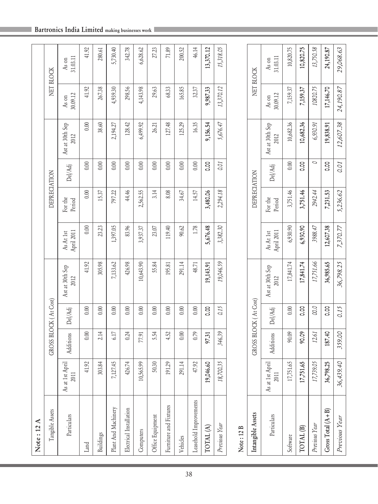|  |  |  |  | Bartronics India Limited making businesses work |
|--|--|--|--|-------------------------------------------------|
|--|--|--|--|-------------------------------------------------|

П

| Note: 12 A              |                            |                       |         |                         |                         |                   |                |                         |                   |                       |
|-------------------------|----------------------------|-----------------------|---------|-------------------------|-------------------------|-------------------|----------------|-------------------------|-------------------|-----------------------|
| Tangible Assets         |                            | GROSS BLOCK (At Cost) |         |                         |                         | DEPRECIATION      |                |                         |                   | NET BLOCK             |
| Particulars             | April<br>2011<br>As at 1st | Additions             | Del/Adj | Ast at 30th Sep<br>2012 | April 2011<br>As At 1st | For the<br>Period | Del/Adj        | Ast at 30th Sep<br>2012 | 30.09.12<br>As on | 31.03.11<br>As on     |
| Land                    | 41.92                      | 0.00                  | 0.00    | 41.92                   | 0.00                    | 0.00              | 0.00           | 0.00                    | 41.92             | 41.92                 |
| Buildings               | 303.84                     | 2.14                  | 0.00    | 305.98                  | 23.23                   | 15.37             | 0.00           | 38.60                   | 267.38            | 280.61                |
| Plant And Machinery     | 7,127.45                   | 6.17                  | 0.00    | 7,133.62                | 1,397.05                | 797.22            | 0.00           | 2,194.27                | 4,939.30          | 5,730.40              |
| Electrical Installation | 426.74                     | 0.24                  | $0.00$  | 426.98                  | 83.96                   | 44.46             | 0.00           | 128.42                  | 298.56            | 342.78                |
| Computers               | 10,565.99                  | 77.91                 | 0.00    | 10,643.90               | 3,937.37                | 2,562.55          | 0.00           | 6,499.92                | 4,143.98          | 6,628.62              |
| Office Equipment        | 50.30                      | 5.54                  | 0.00    | 55.84                   | 23.07                   | 3.14              | 0.00           | 26.21                   | 29.63             | 27.23                 |
| Furniture and Fixtures  | 191.29                     | 4.52                  | 0.00    | 195.81                  | 119.40                  | 8.08              | 0.00           | 127.48                  | 68.33             | 71.89                 |
| Vehicles                | 291.14                     | 0.00                  | 0.00    | 291.14                  | 90.62                   | 34.67             | 0.00           | 125.29                  | 165.85            | 200.52                |
| Leasehold Improvements  | 47.92                      | 0.79                  | 0.00    | 48.71                   | 1.78                    | 14.57             | 0.00           | 16.35                   | 32.37             | 46.14                 |
| TOTAL(A)                | 146.60<br>19,0             | 97.31                 | o.oo    | 19,143.91               | 5,676.48                | 3,480.06          | 0.00           | 9,156.54                | 9,987.33          | 13,370.12             |
| Previous Year           | 700.35<br>18,              | 346.39                | 0.15    | 19,046.59               | 3,382.30                | 2,294.18          | 0.01           | 5,676.47                | 13,370.12         | 15,318.05             |
| Note: 12 B              |                            |                       |         |                         |                         |                   |                |                         |                   |                       |
| Intangible Assets       |                            | GROSS BLOCK (At Cost) |         |                         |                         | DEPRECIATION      |                |                         |                   | NET BLOCK             |
| Particulars             | April<br>2011<br>As at 1st | Additions             | Del/Adj | Ast at 30th Sep<br>2012 | April 2011<br>As At 1st | For the<br>Period | Del/Adj        | Ast at 30th Sep<br>2012 | 30.09.12<br>As on | $31.03.11\,$<br>As on |
| Software                | 751.65<br>17,              | 90.09                 | 0.00    | 17,841.74               | 6,930.90                | 3,751.46          | 0.00           | 10,682.36               | 7,159.37          | 10,820.75             |
| TOTAL <sup>(B)</sup>    | 751.65<br>17,7             | 90.09                 | o.oo    | 17,841.74               | 6,930.90                | 3,751.46          | 8 <sub>c</sub> | 10,682.36               | 7,159.37          | 10,820.75             |
| Previous Year           | 739.05<br>17               | 12.61                 | 0.0     | 17,751.66               | 3988.47                 | 2942.44           | O              | 6,930.91                | 10820.75          | 13,750.58             |
| Gross Total $(A+B)$     | 798.25<br>36,7             | 187.40                | oo.o    | 36,985.65               | 12,607.38               | 7,231.53          | 8.00           | 19,838.91               | 17,146.70         | 24,190.87             |
| Previous Year           | 36,439.40                  | 359.00                | 0.15    | 36,798.25               | 7,370.77                | 5,236.62          | 0.01           | 12,607.38               | 24,190.87         | 29,068.63             |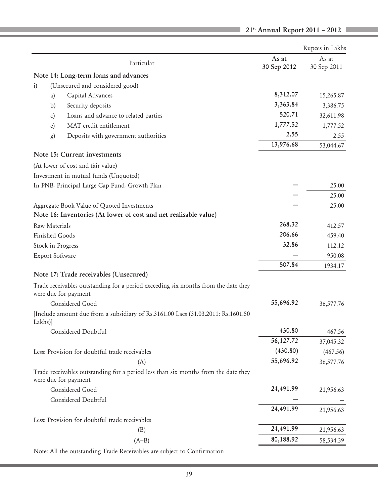|            |                                                                                                            |             | Rupees in Lakhs |
|------------|------------------------------------------------------------------------------------------------------------|-------------|-----------------|
|            | Particular                                                                                                 | As at       | As at           |
|            | Note 14: Long-term loans and advances                                                                      | 30 Sep 2012 | 30 Sep 2011     |
| $\ddot{1}$ | (Unsecured and considered good)                                                                            |             |                 |
|            | Capital Advances<br>a)                                                                                     | 8,312.07    | 15,265.87       |
|            | Security deposits<br>b)                                                                                    | 3,363.84    | 3,386.75        |
|            | Loans and advance to related parties<br>c)                                                                 | 520.71      | 32,611.98       |
|            | MAT credit entitlement<br>e)                                                                               | 1,777.52    | 1,777.52        |
|            | Deposits with government authorities<br>g)                                                                 | 2.55        | 2.55            |
|            |                                                                                                            | 13,976.68   | 53,044.67       |
|            | Note 15: Current investments                                                                               |             |                 |
|            | (At lower of cost and fair value)                                                                          |             |                 |
|            | Investment in mutual funds (Unquoted)                                                                      |             |                 |
|            | In PNB- Principal Large Cap Fund- Growth Plan                                                              |             | 25.00           |
|            |                                                                                                            |             | 25.00           |
|            | Aggregate Book Value of Quoted Investments                                                                 |             | 25.00           |
|            | Note 16: Inventories (At lower of cost and net realisable value)                                           |             |                 |
|            | Raw Materials                                                                                              | 268.32      | 412.57          |
|            | <b>Finished Goods</b>                                                                                      | 206.66      | 459.40          |
|            | Stock in Progress                                                                                          | 32.86       | 112.12          |
|            | Export Software                                                                                            |             | 950.08          |
|            |                                                                                                            | 507.84      | 1934.17         |
|            | Note 17: Trade receivables (Unsecured)                                                                     |             |                 |
|            | Trade receivables outstanding for a period exceeding six months from the date they<br>were due for payment |             |                 |
|            | Considered Good                                                                                            | 55,696.92   | 36,577.76       |
| Lakhs)]    | [Include amount due from a subsidiary of Rs.3161.00 Lacs (31.03.2011: Rs.1601.50                           |             |                 |
|            | Considered Doubtful                                                                                        | 430.80      | 467.56          |
|            |                                                                                                            | 56,127.72   | 37,045.32       |
|            | Less: Provision for doubtful trade receivables                                                             | (430.80)    | (467.56)        |
|            | (A)                                                                                                        | 55,696.92   | 36,577.76       |
|            | Trade receivables outstanding for a period less than six months from the date they<br>were due for payment |             |                 |
|            | Considered Good                                                                                            | 24,491.99   | 21,956.63       |
|            | Considered Doubtful                                                                                        |             |                 |
|            |                                                                                                            | 24,491.99   | 21,956.63       |
|            | Less: Provision for doubtful trade receivables                                                             |             |                 |
|            | (B)                                                                                                        | 24,491.99   | 21,956.63       |
|            | $(A+B)$                                                                                                    | 80,188.92   | 58,534.39       |
|            |                                                                                                            |             |                 |

 $\blacksquare$  21<sup>st</sup> Annual Report 2011 - 2012

Note: All the outstanding Trade Receivables are subject to Confirmation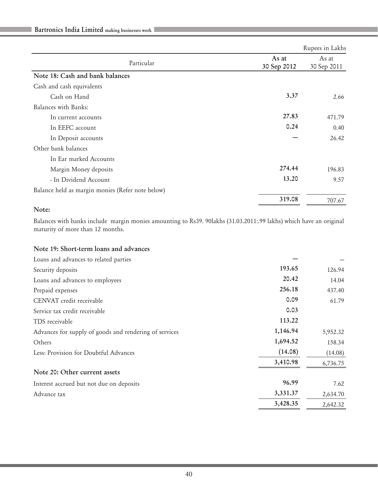|                                                  |                      | Rupees in Lakhs      |
|--------------------------------------------------|----------------------|----------------------|
| Particular                                       | As at<br>30 Sep 2012 | As at<br>30 Sep 2011 |
| Note 18: Cash and bank balances                  |                      |                      |
| Cash and cash equivalents                        |                      |                      |
| Cash on Hand                                     | 3.37                 | 2.66                 |
| Balances with Banks:                             |                      |                      |
| In current accounts                              | 27.83                | 471.79               |
| In EEFC account                                  | 0.24                 | 0.40                 |
| In Deposit accounts                              |                      | 26.42                |
| Other bank balances                              |                      |                      |
| In Ear marked Accounts                           |                      |                      |
| Margin Money deposits                            | 274.44               | 196.83               |
| - In Dividend Account                            | 13.20                | 9.57                 |
| Balance held as margin monies (Refer note below) |                      |                      |
|                                                  | 319.08               | 707.67               |

## Note:

Balances with banks include margin monies amounting to Rs39. 90lakhs (31.03.2011:.99 lakhs) which have an original maturity of more than 12 months.

#### Note 19: Short-term loans and advances

| Loans and advances to related parties                  |          |          |
|--------------------------------------------------------|----------|----------|
| Security deposits                                      | 193.65   | 126.94   |
| Loans and advances to employees                        | 20.42    | 14.04    |
| Prepaid expenses                                       | 256.18   | 437.40   |
| CENVAT credit receivable                               | 0.09     | 61.79    |
| Service tax credit receivable                          | 0.03     |          |
| TDS receivable                                         | 113.22   |          |
| Advances for supply of goods and rendering of services | 1,146.94 | 5,952.32 |
| Others                                                 | 1,694.52 | 158.34   |
| Less: Provision for Doubtful Advances                  | (14.08)  | (14.08)  |
|                                                        | 3,410.98 | 6,736.75 |
| Note 20: Other current assets                          |          |          |
| Interest accrued but not due on deposits               | 96.99    | 7.62     |
| Advance tax                                            | 3,331.37 | 2,634.70 |
|                                                        | 3,428.35 | 2,642.32 |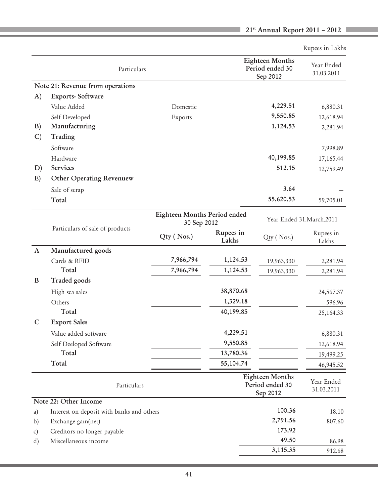|               |                                           |                              |                    |                                                       | Rupees in Lakhs          |
|---------------|-------------------------------------------|------------------------------|--------------------|-------------------------------------------------------|--------------------------|
|               | Particulars                               |                              |                    | <b>Eighteen Months</b><br>Period ended 30<br>Sep 2012 | Year Ended<br>31.03.2011 |
|               | Note 21: Revenue from operations          |                              |                    |                                                       |                          |
| A)            | Exports-Software                          |                              |                    |                                                       |                          |
|               | Value Added                               | Domestic                     |                    | 4,229.51                                              | 6,880.31                 |
|               | Self Developed                            | Exports                      |                    | 9,550.85                                              | 12,618.94                |
| B)            | Manufacturing                             |                              |                    | 1,124.53                                              | 2,281.94                 |
| $\mathcal{C}$ | Trading                                   |                              |                    |                                                       |                          |
|               | Software                                  |                              |                    |                                                       | 7,998.89                 |
|               | Hardware                                  |                              |                    | 40,199.85                                             | 17,165.44                |
| D)            | Services                                  |                              |                    | 512.15                                                | 12,759.49                |
| E)            | Other Operating Revenuew                  |                              |                    |                                                       |                          |
|               | Sale of scrap                             |                              |                    | 3.64                                                  |                          |
|               | Total                                     |                              |                    | 55,620.53                                             | 59,705.01                |
|               |                                           | Eighteen Months Period ended |                    |                                                       |                          |
|               |                                           | 30 Sep 2012                  |                    |                                                       | Year Ended 31.March.2011 |
|               | Particulars of sale of products           | Qty (Nos.)                   | Rupees in<br>Lakhs | Qty (Nos.)                                            | Rupees in<br>Lakhs       |
| $\mathbf{A}$  | Manufactured goods                        |                              |                    |                                                       |                          |
|               | Cards & RFID                              | 7,966,794                    | 1,124.53           | 19,963,330                                            | 2,281.94                 |
|               | Total                                     | 7,966,794                    | 1,124.53           | 19,963,330                                            | 2,281.94                 |
| B             | Traded goods                              |                              |                    |                                                       |                          |
|               | High sea sales                            |                              | 38,870.68          |                                                       | 24,567.37                |
|               | Others                                    |                              | 1,329.18           |                                                       | 596.96                   |
|               | Total                                     |                              | 40,199.85          |                                                       | 25,164.33                |
| C             | <b>Export Sales</b>                       |                              |                    |                                                       |                          |
|               | Value added software                      |                              | 4,229.51           |                                                       | 6,880.31                 |
|               | Self Deeloped Software                    |                              | 9,550.85           |                                                       | 12,618.94                |
|               | Total                                     |                              | 13,780.36          |                                                       | 19,499.25                |
|               | Total                                     |                              | 55,104.74          |                                                       | 46,945.52                |
|               | Particulars                               |                              |                    | <b>Eighteen Months</b><br>Period ended 30<br>Sep 2012 | Year Ended<br>31.03.2011 |
|               | Note 22: Other Income                     |                              |                    |                                                       |                          |
| a)            | Interest on deposit with banks and others |                              |                    | 100.36                                                | 18.10                    |
| b)            | Exchange gain(net)                        |                              |                    | 2,791.56                                              | 807.60                   |
| c)            | Creditors no longer payable               |                              |                    | 173.92                                                |                          |
| d)            | Miscellaneous income                      |                              |                    | 49.50                                                 | 86.98                    |
|               |                                           |                              |                    | 3,115.35                                              | 912.68                   |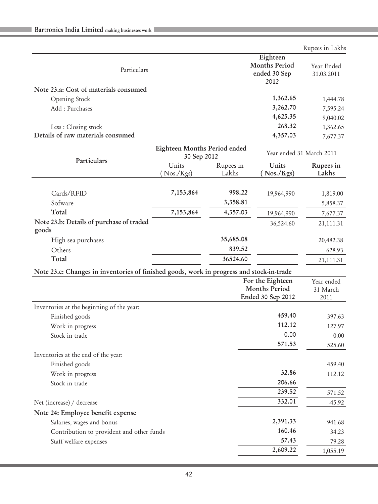|                                                                                          |                              |           |                                              | Rupees in Lakhs          |
|------------------------------------------------------------------------------------------|------------------------------|-----------|----------------------------------------------|--------------------------|
|                                                                                          |                              |           | Eighteen                                     |                          |
| Particulars                                                                              |                              |           | <b>Months Period</b>                         | Year Ended               |
|                                                                                          |                              |           | ended 30 Sep<br>2012                         | 31.03.2011               |
| Note 23.a: Cost of materials consumed                                                    |                              |           |                                              |                          |
| Opening Stock                                                                            |                              |           | 1,362.65                                     | 1,444.78                 |
| Add: Purchases                                                                           |                              |           | 3,262.70                                     | 7,595.24                 |
|                                                                                          |                              |           | 4,625.35                                     | 9,040.02                 |
| Less : Closing stock                                                                     |                              |           | 268.32                                       | 1,362.65                 |
| Details of raw materials consumed                                                        |                              |           | 4,357.03                                     | 7,677.37                 |
|                                                                                          | Eighteen Months Period ended |           |                                              | Year ended 31 March 2011 |
| Particulars                                                                              | 30 Sep 2012                  |           |                                              |                          |
|                                                                                          | Units                        | Rupees in | Units                                        | Rupees in                |
|                                                                                          | $($ Nos./ $Kgs)$             | Lakhs     | $\left(\frac{\text{Nos}}{\text{Kgs}}\right)$ | Lakhs                    |
| Cards/RFID                                                                               | 7,153,864                    | 998.22    | 19,964,990                                   | 1,819.00                 |
| Sofware                                                                                  |                              | 3,358.81  |                                              | 5,858.37                 |
| Total                                                                                    | 7,153,864                    | 4,357.03  | 19,964,990                                   |                          |
| Note 23.b: Details of purchase of traded                                                 |                              |           | 36,524.60                                    | 7,677.37                 |
| goods                                                                                    |                              |           |                                              | 21,111.31                |
| High sea purchases                                                                       |                              | 35,685.08 |                                              | 20,482.38                |
| Others                                                                                   |                              | 839.52    |                                              | 628.93                   |
| Total                                                                                    |                              | 36524.60  |                                              | 21,111.31                |
| Note 23.c: Changes in inventories of finished goods, work in progress and stock-in-trade |                              |           |                                              |                          |
|                                                                                          |                              |           | For the Eighteen                             | Year ended               |
|                                                                                          |                              |           | <b>Months Period</b>                         | 31 March                 |
|                                                                                          |                              |           | Ended 30 Sep 2012                            | 2011                     |
| Inventories at the beginning of the year:                                                |                              |           |                                              |                          |
| Finished goods                                                                           |                              |           | 459.40                                       | 397.63                   |
| Work in progress                                                                         |                              |           | 112.12                                       | 127.97                   |
| Stock in trade                                                                           |                              |           | 0.00                                         | 0.00                     |
|                                                                                          |                              |           | 571.53                                       | 525.60                   |
| Inventories at the end of the year:                                                      |                              |           |                                              |                          |
| Finished goods                                                                           |                              |           |                                              | 459.40                   |
| Work in progress                                                                         |                              |           | 32.86                                        | 112.12                   |
| Stock in trade                                                                           |                              |           | 206.66                                       |                          |
|                                                                                          |                              |           | 239.52                                       | 571.52                   |
| Net (increase) / decrease                                                                |                              |           | 332.01                                       | -45.92                   |
| Note 24: Employee benefit expense                                                        |                              |           |                                              |                          |
| Salaries, wages and bonus                                                                |                              |           | 2,391.33                                     | 941.68                   |
| Contribution to provident and other funds                                                |                              |           | 160.46                                       | 34.23                    |
| Staff welfare expenses                                                                   |                              |           | 57.43                                        | 79.28                    |
|                                                                                          |                              |           | 2,609.22                                     | 1,055.19                 |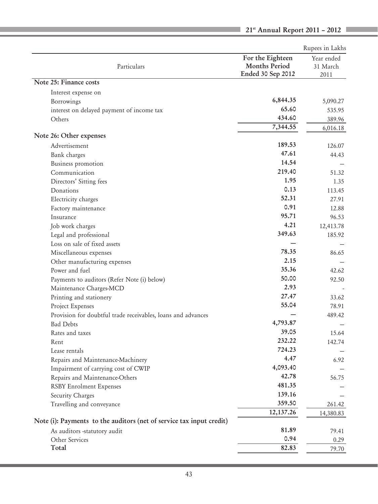|                                                                      |                      | Rupees in Lakhs |
|----------------------------------------------------------------------|----------------------|-----------------|
|                                                                      | For the Eighteen     | Year ended      |
| Particulars                                                          | <b>Months Period</b> | 31 March        |
|                                                                      | Ended 30 Sep 2012    | 2011            |
| Note 25: Finance costs                                               |                      |                 |
| Interest expense on                                                  |                      |                 |
| Borrowings                                                           | 6,844.35             | 5,090.27        |
| interest on delayed payment of income tax                            | 65.60                | 535.95          |
| Others                                                               | 434.60               | 389.96          |
|                                                                      | 7,344.55             | 6,016.18        |
| Note 26: Other expenses                                              |                      |                 |
| Advertisement                                                        | 189.53               | 126.07          |
| Bank charges                                                         | 47.61                | 44.43           |
| Business promotion                                                   | 14.54                |                 |
| Communication                                                        | 219.40               | 51.32           |
| Directors' Sitting fees                                              | 1.95                 | 1.35            |
| Donations                                                            | 0.13                 | 113.45          |
| Electricity charges                                                  | 52.31                | 27.91           |
| Factory maintenance                                                  | 0.91                 | 12.88           |
| Insurance                                                            | 95.71                | 96.53           |
| Job work charges                                                     | 4.21                 | 12,413.78       |
| Legal and professional                                               | 349.63               | 185.92          |
| Loss on sale of fixed assets                                         |                      |                 |
| Miscellaneous expenses                                               | 78.35                | 86.65           |
| Other manufacturing expenses                                         | 2.15                 |                 |
| Power and fuel                                                       | 35.36                | 42.62           |
| Payments to auditors (Refer Note (i) below)                          | 50.00                | 92.50           |
| Maintenance Charges-MCD                                              | 2.93                 |                 |
| Printing and stationery                                              | 27.47                | 33.62           |
| Project Expenses                                                     | 55.04                | 78.91           |
| Provision for doubtful trade receivables, loans and advances         |                      | 489.42          |
| <b>Bad Debts</b>                                                     | 4,793.87             |                 |
| Rates and taxes                                                      | 39.05                | 15.64           |
| Rent                                                                 | 232.22               | 142.74          |
| Lease rentals                                                        | 724.23               |                 |
| Repairs and Maintenance-Machinery                                    | 4.47                 | 6.92            |
| Impairment of carrying cost of CWIP                                  | 4,093.40             |                 |
| Repairs and Maintenance-Others                                       | 42.78                | 56.75           |
| <b>RSBY Enrolment Expenses</b>                                       | 481.35               |                 |
| Security Charges                                                     | 139.16               |                 |
| Travelling and conveyance                                            | 359.50               | 261.42          |
|                                                                      | 12, 137.26           | 14,380.83       |
| Note (i): Payments to the auditors (net of service tax input credit) |                      |                 |
| As auditors -statutory audit                                         | 81.89                | 79.41           |
| Other Services                                                       | 0.94                 | 0.29            |
| Total                                                                | 82.83                | 79.70           |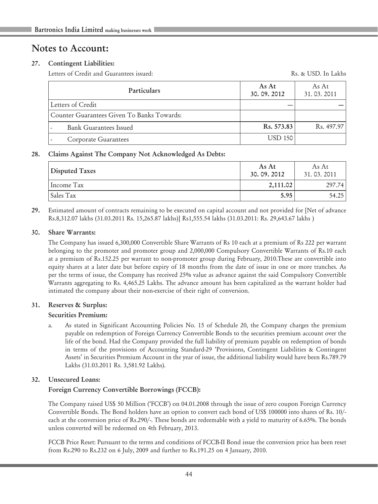# Notes to Account:

## 27. Contingent Liabilities:

Letters of Credit and Guarantees issued: The Communication of the Rs. & USD. In Lakhs

| <b>Particulars</b>                         | As At<br>30.09.2012 | As At<br>31.03.2011     |
|--------------------------------------------|---------------------|-------------------------|
| Letters of Credit                          |                     |                         |
| Counter Guarantees Given To Banks Towards: |                     |                         |
| Bank Guarantees Issued                     | $\text{Rs.} 573.83$ | R <sub>s</sub> . 497.97 |
| Corporate Guarantees                       | <b>USD 150</b>      |                         |

## 28. Claims Against The Company Not Acknowledged As Debts:

| Disputed Taxes | As At<br>30.09.2012 | As At<br>31.03.2011 |
|----------------|---------------------|---------------------|
| Income Tax     | 2,111.02            | 297.74              |
| Sales Tax      | 5.95                | 54.25               |

29. Estimated amount of contracts remaining to be executed on capital account and not provided for [Net of advance Rs.8,312.07 lakhs (31.03.2011 Rs. 15,265.87 lakhs)] Rs1,555.54 lakhs (31.03.2011: Rs. 29,643.67 lakhs )

## 30. Share Warrants:

The Company has issued 6,300,000 Convertible Share Warrants of Rs 10 each at a premium of Rs 222 per warrant belonging to the promoter and promoter group and 2,000,000 Compulsory Convertible Warrants of Rs.10 each at a premium of Rs.152.25 per warrant to non-promoter group during February, 2010.These are convertible into equity shares at a later date but before expiry of 18 months from the date of issue in one or more tranches. As per the terms of issue, the Company has received 25% value as advance against the said Compulsory Convertible Warrants aggregating to Rs. 4,465.25 Lakhs. The advance amount has been capitalized as the warrant holder had intimated the company about their non-exercise of their right of conversion.

## 31. Reserves & Surplus:

## Securities Premium:

a. As stated in Significant Accounting Policies No. 15 of Schedule 20, the Company charges the premium payable on redemption of Foreign Currency Convertible Bonds to the securities premium account over the life of the bond. Had the Company provided the full liability of premium payable on redemption of bonds in terms of the provisions of Accounting Standard-29 'Provisions, Contingent Liabilities & Contingent Assets' in Securities Premium Account in the year of issue, the additional liability would have been Rs.789.79 Lakhs (31.03.2011 Rs. 3,581.92 Lakhs).

## 32. Unsecured Loans:

## Foreign Currency Convertible Borrowings (FCCB):

The Company raised US\$ 50 Million ('FCCB') on 04.01.2008 through the issue of zero coupon Foreign Currency Convertible Bonds. The Bond holders have an option to convert each bond of US\$ 100000 into shares of Rs. 10/ each at the conversion price of Rs.290/-. These bonds are redeemable with a yield to maturity of 6.65%. The bonds unless converted will be redeemed on 4th February, 2013.

FCCB Price Reset: Pursuant to the terms and conditions of FCCB-II Bond issue the conversion price has been reset from Rs.290 to Rs.232 on 6 July, 2009 and further to Rs.191.25 on 4 January, 2010.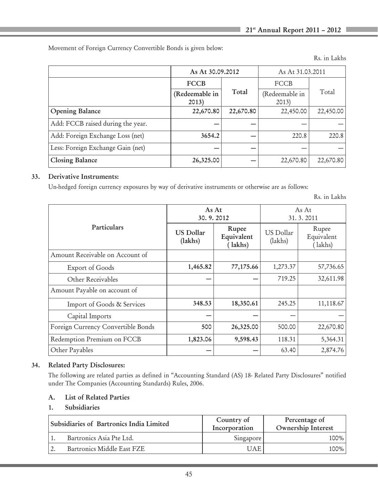Movement of Foreign Currency Convertible Bonds is given below:

Rs. in Lakhs

|                                   | As At 30.09.2012        |           | As At 31.03.2011        |           |  |
|-----------------------------------|-------------------------|-----------|-------------------------|-----------|--|
|                                   | <b>FCCB</b>             |           | FCCB                    | Total     |  |
|                                   | (Redeemable in<br>2013) | Total     | (Redeemable in<br>2013) |           |  |
| <b>Opening Balance</b>            | 22,670.80               | 22,670.80 | 22,450.00               | 22,450.00 |  |
| Add: FCCB raised during the year. |                         |           |                         |           |  |
| Add: Foreign Exchange Loss (net)  | 3654.2                  |           | 220.8                   | 220.8     |  |
| Less: Foreign Exchange Gain (net) |                         |           |                         |           |  |
| Closing Balance                   | 26,325.00               |           | 22,670.80               | 22,670.80 |  |

## 33. Derivative Instruments:

Un-hedged foreign currency exposures by way of derivative instruments or otherwise are as follows:

Rs. in Lakhs

|                                    | As At<br>30.9.2012          |                                | As At<br>31.3.2011   |                                |  |
|------------------------------------|-----------------------------|--------------------------------|----------------------|--------------------------------|--|
| Particulars                        | <b>US Dollar</b><br>(lakhs) | Rupee<br>Equivalent<br>(lakhs) | US Dollar<br>(lakhs) | Rupee<br>Equivalent<br>(lakhs) |  |
| Amount Receivable on Account of    |                             |                                |                      |                                |  |
| Export of Goods                    | 1,465.82                    | 77,175.66                      | 1,273.37             | 57,736.65                      |  |
| Other Receivables                  |                             |                                | 719.25               | 32,611.98                      |  |
| Amount Payable on account of       |                             |                                |                      |                                |  |
| Import of Goods & Services         | 348.53                      | 18,350.61                      | 245.25               | 11,118.67                      |  |
| Capital Imports                    |                             |                                |                      |                                |  |
| Foreign Currency Convertible Bonds | 500                         | 26,325.00                      | 500.00               | 22,670.80                      |  |
| Redemption Premium on FCCB         | 1,823.06                    | 9,598.43                       | 118.31               | 5,364.31                       |  |
| Other Payables                     |                             |                                | 63.40                | 2,874.76                       |  |

## 34. Related Party Disclosures:

The following are related parties as defined in "Accounting Standard (AS) 18- Related Party Disclosures" notified under The Companies (Accounting Standards) Rules, 2006.

## A. List of Related Parties

## 1. Subsidiaries

| Subsidiaries of Bartronics India Limited |                            | Country of<br>Incorporation | Percentage of<br>Ownership Interest |
|------------------------------------------|----------------------------|-----------------------------|-------------------------------------|
|                                          | Bartronics Asia Pte Ltd.   | Singapore                   | 100%                                |
|                                          | Bartronics Middle East FZE | JAE                         | 100%                                |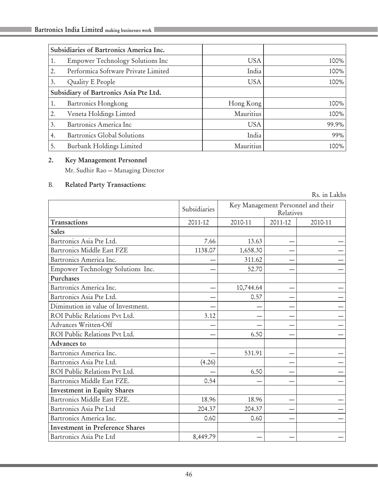|    | Subsidiaries of Bartronics America Inc. |            |       |
|----|-----------------------------------------|------------|-------|
| 1. | Empower Technology Solutions Inc        | USA.       | 100%  |
| 2. | Performica Software Private Limited     | India      | 100%  |
| 3. | Quality E People                        | <b>USA</b> | 100%  |
|    | Subsidiary of Bartronics Asia Pte Ltd.  |            |       |
| 1. | Bartronics Hongkong                     | Hong Kong  | 100%  |
| 2. | Veneta Holdings Limted                  | Mauritius  | 100%  |
| 3. | Bartronics America Inc                  | <b>USA</b> | 99.9% |
| 4. | Bartronics Global Solutions             | India      | 99%   |
| 5. | Burbank Holdings Limited                | Mauritius  | 100%  |

## 2. Key Management Personnel

Mr. Sudhir Rao — Managing Director

## B. Related Party Transactions:

|                                        |              |           |                                                 | Rs. in Lakhs |  |  |
|----------------------------------------|--------------|-----------|-------------------------------------------------|--------------|--|--|
|                                        | Subsidiaries |           | Key Management Personnel and their<br>Relatives |              |  |  |
| Transactions                           | 2011-12      | 2010-11   | 2011-12<br>2010-11                              |              |  |  |
| <b>Sales</b>                           |              |           |                                                 |              |  |  |
| Bartronics Asia Pte Ltd.               | 7.66         | 13.63     |                                                 |              |  |  |
| Bartronics Middle East FZE             | 1138.07      | 1,658.30  |                                                 |              |  |  |
| Bartronics America Inc.                |              | 311.62    |                                                 |              |  |  |
| Empower Technology Solutions Inc.      |              | 52.70     |                                                 |              |  |  |
| Purchases                              |              |           |                                                 |              |  |  |
| Bartronics America Inc.                |              | 10,744.64 |                                                 |              |  |  |
| Bartronics Asia Pte Ltd.               |              | 0.57      |                                                 |              |  |  |
| Diminution in value of Investment.     |              |           |                                                 |              |  |  |
| ROI Public Relations Pyt Ltd.          | 3.12         |           |                                                 |              |  |  |
| Advances Written-Off                   |              |           |                                                 |              |  |  |
| ROI Public Relations Pvt Ltd.          |              | 6.50      |                                                 |              |  |  |
| Advances to                            |              |           |                                                 |              |  |  |
| Bartronics America Inc.                |              | 531.91    |                                                 |              |  |  |
| Bartronics Asia Pte Ltd.               | (4.26)       |           |                                                 |              |  |  |
| ROI Public Relations Pvt Ltd.          |              | 6.50      |                                                 |              |  |  |
| Bartronics Middle East FZE.            | 0.54         |           |                                                 |              |  |  |
| <b>Investment in Equity Shares</b>     |              |           |                                                 |              |  |  |
| Bartronics Middle East FZE.            | 18.96        | 18.96     |                                                 |              |  |  |
| Bartronics Asia Pte Ltd                | 204.37       | 204.37    |                                                 |              |  |  |
| Bartronics America Inc.                | 0.60         | 0.60      |                                                 |              |  |  |
| <b>Investment in Preference Shares</b> |              |           |                                                 |              |  |  |
| Bartronics Asia Pte Ltd                | 8,449.79     |           |                                                 |              |  |  |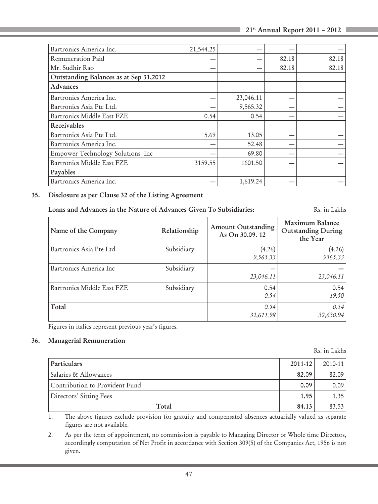| Bartronics America Inc.                | 21,544.25 |           |       |       |
|----------------------------------------|-----------|-----------|-------|-------|
| Remuneration Paid                      |           |           | 82.18 | 82.18 |
| Mr. Sudhir Rao                         |           |           | 82.18 | 82.18 |
| Outstanding Balances as at Sep 31,2012 |           |           |       |       |
| Advances                               |           |           |       |       |
| Bartronics America Inc.                |           | 23,046.11 |       |       |
| Bartronics Asia Pte Ltd.               |           | 9,565.32  |       |       |
| Bartronics Middle East FZE             | 0.54      | 0.54      |       |       |
| Receivables                            |           |           |       |       |
| Bartronics Asia Pte Ltd.               | 5.69      | 13.05     |       |       |
| Bartronics America Inc.                |           | 52.48     |       |       |
| Empower Technology Solutions Inc       |           | 69.80     |       |       |
| Bartronics Middle East FZE             | 3159.55   | 1601.50   |       |       |
| Payables                               |           |           |       |       |
| Bartronics America Inc.                |           | 1,619.24  |       |       |

## 35. Disclosure as per Clause 32 of the Listing Agreement

Loans and Advances in the Nature of Advances Given To Subsidiaries: Rs. in Lakhs

| Name of the Company        | Relationship | <b>Amount Outstanding</b><br>As On 30.09.12 | Maximum Balance<br>Outstanding During<br>the Year |
|----------------------------|--------------|---------------------------------------------|---------------------------------------------------|
| Bartronics Asia Pte Ltd    | Subsidiary   | (4.26)<br>9,565.33                          | (4.26)<br>9565.33                                 |
| Bartronics America Inc     | Subsidiary   | 23,046.11                                   | 23,046.11                                         |
| Bartronics Middle East FZE | Subsidiary   | 0.54<br>0.54                                | 0.54<br>19.50                                     |
| Total                      |              | 0.54<br>32,611.98                           | 0.54<br>32,630.94                                 |

Figures in italics represent previous year's figures.

#### 36. Managerial Remuneration

Rs. in Lakhs

| Particulars                    | $2011 - 12$ | $2010 - 11$    |
|--------------------------------|-------------|----------------|
| Salaries & Allowances          | 82.09       | 82.09          |
| Contribution to Provident Fund | 0.09        | 0.09           |
| Directors' Sitting Fees        | 1.95        | $1.35^{\circ}$ |
| Total                          | 84.13       | 83.53          |

1. The above figures exclude provision for gratuity and compensated absences actuarially valued as separate figures are not available.

2. As per the term of appointment, no commission is payable to Managing Director or Whole time Directors, accordingly computation of Net Profit in accordance with Section 309(5) of the Companies Act, 1956 is not given.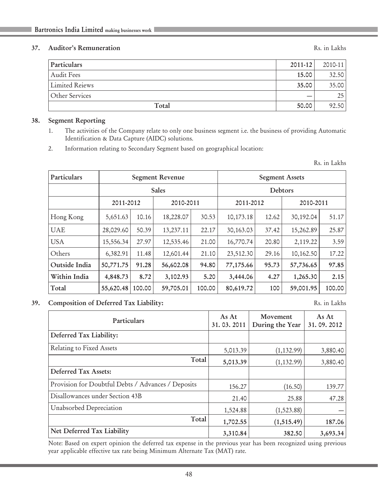## 37. Auditor's Remuneration Rs. in Lakhs

| Particulars    | 2011-12 | 2010-11 |
|----------------|---------|---------|
| Audit Fees     | 15.00   | 32.50   |
| Limited Reiews | 35.00   | 35.00   |
| Other Services |         | 25      |
| Total          | 50.00   | 92.50   |

#### 38. Segment Reporting

- 1. The activities of the Company relate to only one business segment i.e. the business of providing Automatic Identification & Data Capture (AIDC) solutions.
- 2. Information relating to Secondary Segment based on geographical location:

Rs. in Lakhs

| Particulars   |           | <b>Segment Revenue</b> |           |        |             | <b>Segment Assets</b> |           |           |  |
|---------------|-----------|------------------------|-----------|--------|-------------|-----------------------|-----------|-----------|--|
|               |           | <b>Sales</b>           |           |        |             | Debtors               |           |           |  |
|               | 2011-2012 |                        | 2010-2011 |        |             | 2011-2012             |           | 2010-2011 |  |
| Hong Kong     | 5,651.63  | 10.16                  | 18,228.07 | 30.53  | 10,173.18   | 12.62                 | 30,192.04 | 51.17     |  |
| <b>UAE</b>    | 28,029.60 | 50.39                  | 13,237.11 | 22.17  | 30, 163. 03 | 37.42                 | 15,262.89 | 25.87     |  |
| <b>USA</b>    | 15,556.34 | 27.97                  | 12,535.46 | 21.00  | 16,770.74   | 20.80                 | 2,119.22  | 3.59      |  |
| Others        | 6,382.91  | 11.48                  | 12,601.44 | 21.10  | 23,512.30   | 29.16                 | 10,162.50 | 17.22     |  |
| Outside India | 50,771.75 | 91.28                  | 56,602.08 | 94.80  | 77,175.66   | 95.73                 | 57,736.65 | 97.85     |  |
| Within India  | 4,848.73  | 8.72                   | 3,102.93  | 5.20   | 3,444.06    | 4.27                  | 1,265.30  | 2.15      |  |
| Total         | 55,620.48 | 100.00                 | 59,705.01 | 100.00 | 80,619.72   | 100                   | 59,001.95 | 100.00    |  |

39. Composition of Deferred Tax Liability: Rs. in Lakhs

| Particulars                                        | As At<br>31.03.2011 | Movement<br>During the Year | As At<br>31.09.2012 |
|----------------------------------------------------|---------------------|-----------------------------|---------------------|
| Deferred Tax Liability:                            |                     |                             |                     |
| Relating to Fixed Assets                           | 5,013.39            | (1, 132.99)                 | 3,880.40            |
| Total                                              | 5,013.39            | (1, 132.99)                 | 3,880.40            |
| Deferred Tax Assets:                               |                     |                             |                     |
| Provision for Doubtful Debts / Advances / Deposits | 156.27              | (16.50)                     | 139.77              |
| Disallowances under Section 43B                    | 21.40               | 25.88                       | 47.28               |
| Unabsorbed Depreciation                            | 1,524.88            | (1,523.88)                  |                     |
| Total                                              | 1,702.55            | (1,515.49)                  | 187.06              |
| Net Deferred Tax Liability                         | 3,310.84            | 382.50                      | 3,693.34            |

Note: Based on expert opinion the deferred tax expense in the previous year has been recognized using previous year applicable effective tax rate being Minimum Alternate Tax (MAT) rate.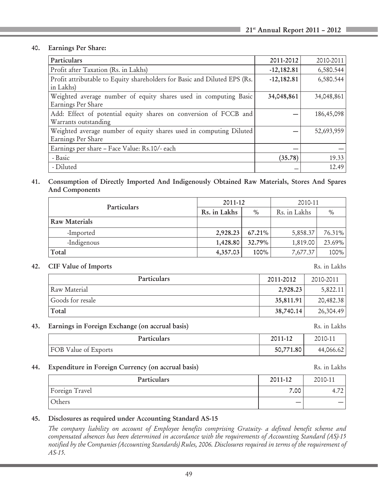#### 40. Earnings Per Share:

| Particulars                                                                              | 2011-2012    | 2010-2011  |
|------------------------------------------------------------------------------------------|--------------|------------|
| Profit after Taxation (Rs. in Lakhs)                                                     | $-12,182.81$ | 6,580.544  |
| Profit attributable to Equity shareholders for Basic and Diluted EPS (Rs.<br>in Lakhs)   | $-12,182.81$ | 6,580.544  |
| Weighted average number of equity shares used in computing Basic<br>Earnings Per Share   | 34,048,861   | 34,048,861 |
| Add: Effect of potential equity shares on conversion of FCCB and<br>Warrants outstanding |              | 186,45,098 |
| Weighted average number of equity shares used in computing Diluted<br>Earnings Per Share |              | 52,693,959 |
| Earnings per share – Face Value: Rs.10/- each                                            |              |            |
| - Basic                                                                                  | (35.78)      | 19.33      |
| - Diluted                                                                                |              | 12.49      |

41. Consumption of Directly Imported And Indigenously Obtained Raw Materials, Stores And Spares And Components

| Particulars          | 2011-12      |           | 2010-11      |        |  |
|----------------------|--------------|-----------|--------------|--------|--|
|                      | Rs. in Lakhs | $\%$      | Rs. in Lakhs | $\%$   |  |
| <b>Raw Materials</b> |              |           |              |        |  |
| -Imported            | 2,928.23     | $67.21\%$ | 5,858.37     | 76.31% |  |
| -Indigenous          | 1,428.80     | $32.79\%$ | 1,819.00     | 23.69% |  |
| Total                | 4,357.03     | 100%      | 7,677.37     | 100%   |  |

#### 42. CIF Value of Imports Rs. in Lakhs

| Particulars      | 2011-2012 | 2010-2011 |
|------------------|-----------|-----------|
| Raw Material     | 2,928.23  | 5,822.11  |
| Goods for resale | 35,811.91 | 20,482.38 |
| Total            | 38,740.14 | 26,304.49 |

#### 43. Earnings in Foreign Exchange (on accrual basis) Rs. in Lakhs

| Particulars                 | 2011-12   | 2010-11   |
|-----------------------------|-----------|-----------|
| <b>FOB Value of Exports</b> | 50,771.80 | 44,066.62 |

#### 44. Expenditure in Foreign Currency (on accrual basis) Rs. in Lakhs

| Particulars    | 2011-12 | 2010-11 |
|----------------|---------|---------|
| Foreign Travel | 7.00    |         |
| Others         |         |         |

## 45. Disclosures as required under Accounting Standard AS-15

*The company liability on account of Employee benefits comprising Gratuity- a defined benefit scheme and compensated absences has been determined in accordance with the requirements of Accounting Standard (AS)-15 notified by the Companies (Accounting Standards) Rules, 2006. Disclosures required in terms of the requirement of AS-15.*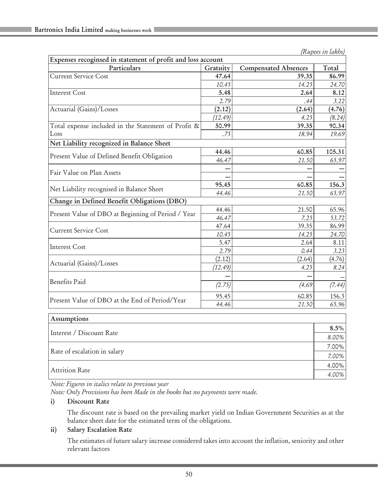| Expenses recoginsed in statement of profit and loss account |          |                             |        |  |  |
|-------------------------------------------------------------|----------|-----------------------------|--------|--|--|
| Particulars                                                 | Gratuity | <b>Compensated Absences</b> | Total  |  |  |
| <b>Current Service Cost</b>                                 | 47.64    | 39.35                       | 86.99  |  |  |
|                                                             | 10.45    | 14.25                       | 24.70  |  |  |
| <b>Interest Cost</b>                                        | 5.48     | 2.64                        | 8.12   |  |  |
|                                                             | 2.79     | .44                         | 3.22   |  |  |
| Actuarial (Gains)/Losses                                    | (2.12)   | (2.64)                      | (4.76) |  |  |
|                                                             | (12.49)  | 4.25                        | (8.24) |  |  |
| Total expense included in the Statement of Profit &         | 50.99    | 39.35                       | 90.34  |  |  |
| Loss                                                        | .75      | 18.94                       | 19.69  |  |  |
| Net Liability recognized in Balance Sheet                   |          |                             |        |  |  |
|                                                             | 44.46    | 60.85                       | 105.31 |  |  |
| Present Value of Defined Benefit Obligation                 | 46.47    | 21.50                       | 65.97  |  |  |
|                                                             |          |                             |        |  |  |
| Fair Value on Plan Assets                                   |          |                             |        |  |  |
|                                                             | 95.45    | 60.85                       | 156.3  |  |  |
| Net Liability recognised in Balance Sheet                   | 44.46    | 21.50                       | 65.97  |  |  |
| Change in Defined Benefit Obligations (DBO)                 |          |                             |        |  |  |
| Present Value of DBO at Beginning of Period / Year          | 44.46    | 21.50                       | 65.96  |  |  |
|                                                             | 46.47    | 7.25                        | 53.72  |  |  |
| <b>Current Service Cost</b>                                 | 47.64    | 39.35                       | 86.99  |  |  |
|                                                             | 10.45    | 14.25                       | 24.70  |  |  |
| <b>Interest Cost</b>                                        | 5.47     | 2.64                        | 8.11   |  |  |
|                                                             | 2.79     | 0.44                        | 3.23   |  |  |
|                                                             | (2.12)   | (2.64)                      | (4.76) |  |  |
| Actuarial (Gains)/Losses                                    | (12.49)  | 4.25                        | 8.24   |  |  |
|                                                             |          |                             |        |  |  |
| <b>Benefits Paid</b>                                        | (2.75)   | (4.69)                      | (7.44) |  |  |
|                                                             | 95.45    | 60.85                       | 156.3  |  |  |
| Present Value of DBO at the End of Period/Year              | 44.46    | 21.50                       | 65.96  |  |  |

| Assumptions                  |          |
|------------------------------|----------|
| Interest / Discount Rate     |          |
|                              |          |
| Rate of escalation in salary | 7.00%    |
| Attrition Rate               | $4.00\%$ |
|                              | 4.00%    |

*Note: Figures in italics relate to previous year*

*Note: Only Provisions has been Made in the books but no payments were made.*

## i) Discount Rate

The discount rate is based on the prevailing market yield on Indian Government Securities as at the balance sheet date for the estimated term of the obligations.

## ii) Salary Escalation Rate

The estimates of future salary increase considered takes into account the inflation, seniority and other relevant factors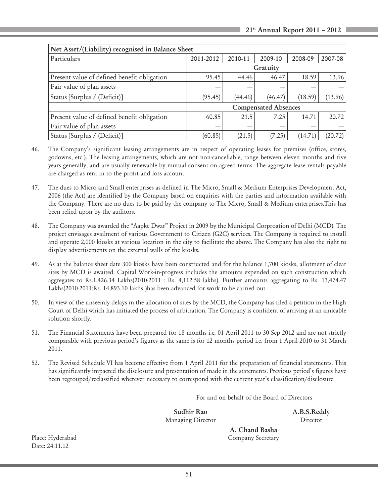| Net Asset/(Liability) recognised in Balance Sheet |                             |         |          |         |         |
|---------------------------------------------------|-----------------------------|---------|----------|---------|---------|
| Particulars                                       | 2011-2012                   | 2010-11 | 2009-10  | 2008-09 | 2007-08 |
|                                                   |                             |         | Gratuity |         |         |
| Present value of defined benefit obligation       | 95.45                       | 44.46   | 46.47    | 18.59   | 13.96   |
| Fair value of plan assets                         | –                           |         |          |         |         |
| Status [Surplus / (Deficit)]                      | (95.45)                     | (44.46) | (46.47)  | (18.59) | (13.96) |
|                                                   | <b>Compensated Absences</b> |         |          |         |         |
| Present value of defined benefit obligation       | 60.85                       | 21.5    | 7.25     | 14.71   | 20.72   |
| Fair value of plan assets                         | –                           | –       |          |         |         |
| Status [Surplus / (Deficit)]                      | (60.85)                     | (21.5)  | (7.25)   | (14.71) | (20.72) |

- 46. The Company's significant leasing arrangements are in respect of operating leases for premises (office, stores, godowns, etc.). The leasing arrangements, which are not non-cancellable, range between eleven months and five years generally, and are usually renewable by mutual consent on agreed terms. The aggregate lease rentals payable are charged as rent in to the profit and loss account.
- 47. The dues to Micro and Small enterprises as defined in The Micro, Small & Medium Enterprises Development Act, 2006 (the Act) are identified by the Company based on enquiries with the parties and information available with the Company. There are no dues to be paid by the company to The Micro, Small & Medium enterprises.This has been relied upon by the auditors.
- 48. The Company was awarded the "Aapke Dwar" Project in 2009 by the Municipal Corproation of Delhi (MCD). The project envisages availment of various Government to Citizen (G2C) services. The Company is required to install and operate 2,000 kiosks at various location in the city to facilitate the above. The Company has also the right to display advertisements on the external walls of the kiosks.
- 49. As at the balance sheet date 300 kiosks have been constructed and for the balance 1,700 kiosks, allotment of clear sites by MCD is awaited. Capital Work-in-progress includes the amounts expended on such construction which aggregates to Rs.1,426.34 Lakhs(2010-2011 : Rs. 4,112.58 lakhs). Further amounts aggregating to Rs. 13,474.47 Lakhs(2010-2011:Rs. 14,893.10 lakhs )has been advanced for work to be carried out.
- 50. In view of the unseemly delays in the allocation of sites by the MCD, the Company has filed a petition in the High Court of Delhi which has initiated the process of arbitration. The Company is confident of arriving at an amicable solution shortly.
- 51. The Financial Statements have been prepared for 18 months i.e. 01 April 2011 to 30 Sep 2012 and are not strictly comparable with previous period's figures as the same is for 12 months period i.e. from 1 April 2010 to 31 March 2011.
- 52. The Revised Schedule VI has become effective from 1 April 2011 for the preparation of financial statements. This has significantly impacted the disclosure and presentation of made in the statements. Previous period's figures have been regrouped/reclassified wherever necessary to correspond with the current year's classification/disclosure.

For and on behalf of the Board of Directors

Sudhir Rao A.B.S.Reddy Managing Director Director

Date: 24.11.12

 A. Chand Basha Place: Hyderabad Company Secretary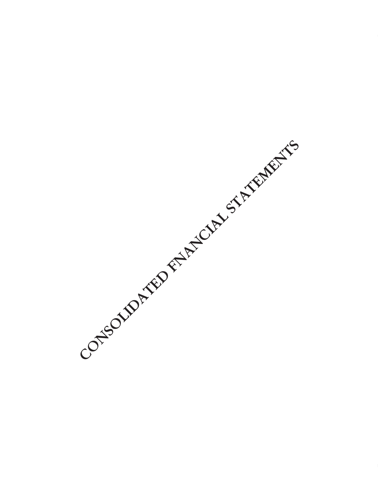CONSOLIDATED FARTCLAN STATEMENTS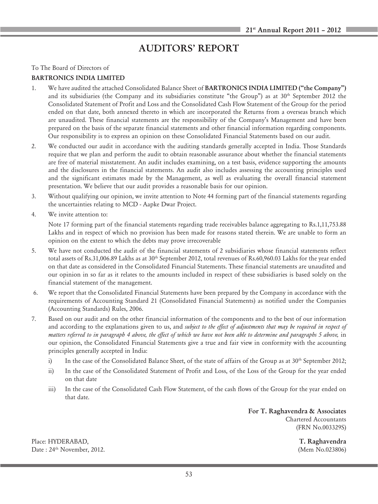# AUDITORS' REPORT

To The Board of Directors of

#### BARTRONICS INDIA LIMITED

- 1. We have audited the attached Consolidated Balance Sheet of BARTRONICS INDIA LIMITED ("the Company") and its subsidiaries (the Company and its subsidiaries constitute "the Group") as at 30th September 2012 the Consolidated Statement of Profit and Loss and the Consolidated Cash Flow Statement of the Group for the period ended on that date, both annexed thereto in which are incorporated the Returns from a overseas branch which are unaudited. These financial statements are the responsibility of the Company's Management and have been prepared on the basis of the separate financial statements and other financial information regarding components. Our responsibility is to express an opinion on these Consolidated Financial Statements based on our audit.
- 2. We conducted our audit in accordance with the auditing standards generally accepted in India. Those Standards require that we plan and perform the audit to obtain reasonable assurance about whether the financial statements are free of material misstatement. An audit includes examining, on a test basis, evidence supporting the amounts and the disclosures in the financial statements. An audit also includes assessing the accounting principles used and the significant estimates made by the Management, as well as evaluating the overall financial statement presentation. We believe that our audit provides a reasonable basis for our opinion.
- 3. Without qualifying our opinion, we invite attention to Note 44 forming part of the financial statements regarding the uncertainties relating to MCD - Aapke Dwar Project.
- 4. We invite attention to:

Note 17 forming part of the financial statements regarding trade receivables balance aggregating to Rs.1,11,753.88 Lakhs and in respect of which no provision has been made for reasons stated therein. We are unable to form an opinion on the extent to which the debts may prove irrecoverable

- 5. We have not conducted the audit of the financial statements of 2 subsidiaries whose financial statements reflect total assets of Rs.31,006.89 Lakhs as at 30<sup>th</sup> September 2012, total revenues of Rs.60,960.03 Lakhs for the year ended on that date as considered in the Consolidated Financial Statements. These financial statements are unaudited and our opinion in so far as it relates to the amounts included in respect of these subsidiaries is based solely on the financial statement of the management.
- 6. We report that the Consolidated Financial Statements have been prepared by the Company in accordance with the requirements of Accounting Standard 21 (Consolidated Financial Statements) as notified under the Companies (Accounting Standards) Rules, 2006.
- 7. Based on our audit and on the other financial information of the components and to the best of our information and according to the explanations given to us, and *subject to the effect of adjustments that may be required in respect of matters referred to in paragraph 4 above, the effect of which we have not been able to determine and paragraphs 5 above, in* our opinion, the Consolidated Financial Statements give a true and fair view in conformity with the accounting principles generally accepted in India:
	- i) In the case of the Consolidated Balance Sheet, of the state of affairs of the Group as at 30<sup>th</sup> September 2012;
	- ii) In the case of the Consolidated Statement of Profit and Loss, of the Loss of the Group for the year ended on that date
	- iii) In the case of the Consolidated Cash Flow Statement, of the cash flows of the Group for the year ended on that date.

For T. Raghavendra & Associates Chartered Accountants (FRN No.003329S)

Place: HYDERABAD, T. Raghavendra Date : 24th November, 2012. (Mem No.023806)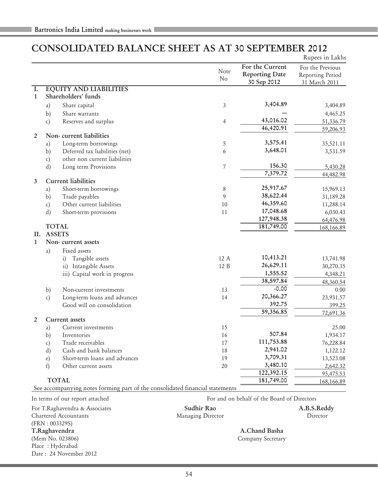# CONSOLIDATED BALANCE SHEET AS AT 30 SEPTEMBER 2012

|                |              |                                                                              |                   |                                                         | Rupees in Lakhs                                       |
|----------------|--------------|------------------------------------------------------------------------------|-------------------|---------------------------------------------------------|-------------------------------------------------------|
|                |              |                                                                              | Note<br>No        | For the Current<br><b>Reporting Date</b><br>30 Sep 2012 | For the Previous<br>Reporting Period<br>31 March 2011 |
| I.             |              | <b>EQUITY AND LIABILITIES</b>                                                |                   |                                                         |                                                       |
| $\mathbf{1}$   |              | Shareholders' funds                                                          |                   |                                                         |                                                       |
|                | a)           | Share capital                                                                | 3                 | 3,404.89                                                | 3,404.89                                              |
|                | b)           | Share warrants                                                               |                   |                                                         | 4,465.25                                              |
|                | $\mathbf{c}$ | Reserves and surplus                                                         | $\overline{4}$    | 43,016.02                                               | 51,336.79                                             |
| $\overline{2}$ |              | Non-current liabilities                                                      |                   | 46,420.91                                               | 59,206.93                                             |
|                | a)           | Long-term borrowings                                                         | 5                 | 3,575.41                                                | 35,521.11                                             |
|                | b)           | Deferred tax liabilities (net)                                               | 6                 | 3,648.01                                                | 3,531.59                                              |
|                | c)           | other non current liabilities                                                |                   |                                                         |                                                       |
|                | d)           | Long term Provisions                                                         | $\overline{7}$    | 156.30                                                  | 5,430.28                                              |
|                |              |                                                                              |                   | 7,379.72                                                | 44,482.98                                             |
| 3              |              | <b>Current liabilities</b>                                                   |                   |                                                         |                                                       |
|                | a)           | Short-term borrowings                                                        | 8                 | 25,917.67                                               | 15,969.13                                             |
|                | b)           | Trade payables                                                               | 9                 | 38,622.44                                               | 31,189.28                                             |
|                | c)           | Other current liabilities                                                    | 10                | 46,359.60                                               | 11,288.14                                             |
|                | d)           | Short-term provisions                                                        | 11                | 17,048.68                                               | 6,030.43                                              |
|                |              |                                                                              |                   | 127,948.38                                              | 64,476.98                                             |
|                |              | <b>TOTAL</b>                                                                 |                   | 181,749.00                                              | 168,166.89                                            |
| II.            |              | <b>ASSETS</b>                                                                |                   |                                                         |                                                       |
| $\mathbf{1}$   |              | Non-current assets                                                           |                   |                                                         |                                                       |
|                | a)           | Fixed assets                                                                 |                   |                                                         |                                                       |
|                |              | i) Tangible assets                                                           | 12 A              | 10,413.21                                               | 13,741.98                                             |
|                |              | ii) Intangible Assets                                                        | 12 B              | 26,629.11                                               | 30,270.35                                             |
|                |              | iii) Capital work in progress                                                |                   | 1,555.52                                                | 4,348.21                                              |
|                |              |                                                                              |                   | 38,597.84                                               | 48,360.54                                             |
|                | b)           | Non-current investments                                                      | 13                | $-0.00$                                                 | 0.00                                                  |
|                | c)           | Long-term loans and advances                                                 | 14                | 20,366.27                                               | 23,931.57                                             |
|                |              | Good will on consolidation                                                   |                   | 392.75                                                  | 399.25                                                |
|                |              |                                                                              |                   | 59,356.85                                               | 72,691.36                                             |
| $\overline{2}$ |              | <b>Current</b> assets                                                        | 15                |                                                         |                                                       |
|                | a)           | Current investments                                                          |                   | 507.84                                                  | 25.00                                                 |
|                | b)           | Inventories                                                                  | 16                | 111,753.88                                              | 1,934.17                                              |
|                | c)           | Trade receivables<br>Cash and bank balances                                  | 17<br>18          | 2,941.02                                                | 76,228.84                                             |
|                | d)           |                                                                              | 19                | 3,709.31                                                | 1,122.12                                              |
|                | $\epsilon$ ) | Short-term loans and advances<br>Other current assets                        | 20                | 3,480.10                                                | 13,523.08                                             |
|                | f            |                                                                              |                   | 122,392.15                                              | 2,642.32                                              |
|                |              | <b>TOTAL</b>                                                                 |                   | 181,749.00                                              | 95,475.53                                             |
|                |              | See accompanying notes forming part of the consolidated financial statements |                   |                                                         | 168,166.89                                            |
|                |              | In terms of our report attached                                              |                   | For and on behalf of the Board of Directors             |                                                       |
|                |              | For T.Raghavendra & Associates                                               | Sudhir Rao        |                                                         | A.B.S.Reddy                                           |
|                |              | Chartered Accountants                                                        | Managing Director |                                                         | Director                                              |
|                |              | (FRN: 003329S)                                                               |                   |                                                         |                                                       |
|                |              | T.Raghavendra                                                                |                   | A.Chand Basha                                           |                                                       |

(Mem No. 023806) Company Secretary Place : Hyderabad

Date : 24 November 2012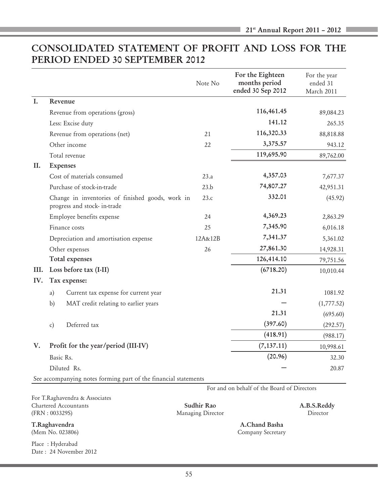# CONSOLIDATED STATEMENT OF PROFIT AND LOSS FOR THE PERIOD ENDED 30 SEPTEMBER 2012

|      |    |                                                                                  | Note No | For the Eighteen<br>months period<br>ended 30 Sep 2012 | For the year<br>ended 31<br>March 2011 |
|------|----|----------------------------------------------------------------------------------|---------|--------------------------------------------------------|----------------------------------------|
| L.   |    | Revenue                                                                          |         |                                                        |                                        |
|      |    | Revenue from operations (gross)                                                  |         | 116,461.45                                             | 89,084.23                              |
|      |    | Less: Excise duty                                                                |         | 141.12                                                 | 265.35                                 |
|      |    | Revenue from operations (net)                                                    | 21      | 116,320.33                                             | 88,818.88                              |
|      |    | Other income                                                                     | 22      | 3,375.57                                               | 943.12                                 |
|      |    | Total revenue                                                                    |         | 119,695.90                                             | 89,762.00                              |
| II.  |    | <b>Expenses</b>                                                                  |         |                                                        |                                        |
|      |    | Cost of materials consumed                                                       | 23.a    | 4,357.03                                               | 7,677.37                               |
|      |    | Purchase of stock-in-trade                                                       | 23.b    | 74,807.27                                              | 42,951.31                              |
|      |    | Change in inventories of finished goods, work in<br>progress and stock- in-trade | 23.c    | 332.01                                                 | (45.92)                                |
|      |    | Employee benefits expense                                                        | 24      | 4,369.23                                               | 2,863.29                               |
|      |    | Finance costs                                                                    | 25      | 7,345.90                                               | 6,016.18                               |
|      |    | Depreciation and amortisation expense                                            | 12A&12B | 7,341.37                                               | 5,361.02                               |
|      |    | Other expenses                                                                   | 26      | 27,861.30                                              | 14,928.31                              |
|      |    | Total expenses                                                                   |         | 126,414.10                                             | 79,751.56                              |
| III. |    | Loss before tax (I-II)                                                           |         | (6718.20)                                              | 10,010.44                              |
| IV.  |    | Tax expense:                                                                     |         |                                                        |                                        |
|      | a) | Current tax expense for current year                                             |         | 21.31                                                  | 1081.92                                |
|      | b) | MAT credit relating to earlier years                                             |         |                                                        | (1,777.52)                             |
|      |    |                                                                                  |         | 21.31                                                  | (695.60)                               |
|      | c) | Deferred tax                                                                     |         | (397.60)                                               | (292.57)                               |
|      |    |                                                                                  |         | (418.91)                                               | (988.17)                               |
| V.   |    | Profit for the year/period (III-IV)                                              |         | (7, 137.11)                                            | 10,998.61                              |
|      |    | Basic Rs.                                                                        |         | (20.96)                                                | 32.30                                  |
|      |    | Diluted Rs.                                                                      |         |                                                        | 20.87                                  |
|      |    | See accompanying notes forming part of the financial statements                  |         |                                                        |                                        |

For T.Raghavendra & Associates Chartered Accountants Sudhir Rao A.B.S.Reddy (FRN : 003329S) Managing Director Director

Place : Hyderabad Date : 24 November 2012

T.Raghavendra A.Chand Basha (Mem No. 023806) Company Secretary

For and on behalf of the Board of Directors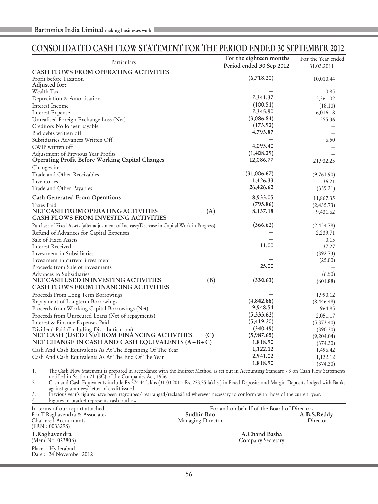# CONSOLIDATED CASH FLOW STATEMENT FOR THE PERIOD ENDED 30 SEPTEMBER 2012

| Particulars                                                                                                                                    | For the eighteen months<br>Period ended 30 Sep 2012 | For the Year ended<br>31.03.2011 |
|------------------------------------------------------------------------------------------------------------------------------------------------|-----------------------------------------------------|----------------------------------|
| <b>CASH FLOWS FROM OPERATING ACTIVITIES</b>                                                                                                    |                                                     |                                  |
| Profit before Taxation                                                                                                                         | (6,718.20)                                          | 10,010.44                        |
| Adjusted for:                                                                                                                                  |                                                     |                                  |
| Wealth Tax                                                                                                                                     |                                                     | 0.85                             |
| Depreciation & Amortisation                                                                                                                    | 7,341.37                                            | 5,361.02                         |
| Interest Income                                                                                                                                | (100.51)                                            | (18.10)                          |
| <b>Interest Expense</b>                                                                                                                        | 7,345.90                                            | 6,016.18                         |
| Unrealised Foreign Exchange Loss (Net)                                                                                                         | (3,086.84)                                          | 555.36                           |
| Creditors No longer payable                                                                                                                    | (173.92)                                            |                                  |
| Bad debts written off                                                                                                                          | 4,793.87                                            |                                  |
| Subsidiaries Advances Written Off                                                                                                              |                                                     | 6.50                             |
| CWIP written off                                                                                                                               | 4,093.40                                            |                                  |
| Adjustment of Previous Year Profits                                                                                                            | (1,408.29)                                          |                                  |
| Operating Profit Before Working Capital Changes                                                                                                | 12,086.77                                           | 21,932.25                        |
| Changes in:                                                                                                                                    |                                                     |                                  |
| Trade and Other Receivables                                                                                                                    | (31,006.67)                                         | (9,761.90)                       |
| Inventories                                                                                                                                    | 1,426.33                                            | 36.21                            |
| Trade and Other Payables                                                                                                                       | 26,426.62                                           | (339.21)                         |
| <b>Cash Generated From Operations</b>                                                                                                          | 8,933.05                                            | 11,867.35                        |
| Taxes Paid                                                                                                                                     | (795.86)                                            | (2,435.73)                       |
| NET CASH FROM OPERATING ACTIVITIES<br>(A)<br><b>CASH FLOWS FROM INVESTING ACTIVITIES</b>                                                       | 8,137.18                                            | 9,431.62                         |
|                                                                                                                                                |                                                     |                                  |
| Purchase of Fixed Assets (after adjustment of Increase/Decrease in Capital Work in Progress)                                                   | (366.62)                                            | (2,454.78)                       |
| Refund of Advances for Capital Expenses                                                                                                        |                                                     | 2,239.71                         |
| Sale of Fixed Assets                                                                                                                           |                                                     | 0.15                             |
| <b>Interest Received</b>                                                                                                                       | 11.00                                               | 37.27                            |
| Investment in Subsidiaries                                                                                                                     |                                                     | (392.73)                         |
| Investment in current investment                                                                                                               |                                                     | (25.00)                          |
| Proceeds from Sale of investments                                                                                                              | 25.00                                               |                                  |
| Advances to Subsidiaries                                                                                                                       |                                                     | (6.50)                           |
| NET CASH USED IN INVESTING ACTIVITIES<br>(B)<br><b>CASH FLOWS FROM FINANCING ACTIVITIES</b>                                                    | (330.63)                                            | (601.88)                         |
| Proceeds From Long Term Borrowings                                                                                                             |                                                     | 1,990.12                         |
| Repayment of Longterm Borrowings                                                                                                               | (4,842.88)                                          | (8, 446.48)                      |
| Proceeds from Working Capital Borrowings (Net)                                                                                                 | 9,948.54                                            | 964.85                           |
| Proceeds from Unsecured Loans (Net of repayments)                                                                                              | (5, 333.62)                                         | 2,051.17                         |
| Interest & Finance Expenses Paid                                                                                                               | (5, 419.20)                                         | (5,373.40)                       |
| Dividend Paid (Including Distribution tax)                                                                                                     | (340.49)                                            | (390.30)                         |
| NET CASH (USED IN)/FROM FINANCING ACTIVITIES<br>(C)                                                                                            | (5,987.65)                                          | (9,204.04)                       |
| NET CHANGE IN CASH AND CASH EQUIVALENTS (A+B+C)                                                                                                | 1,818.90                                            | (374.30)                         |
|                                                                                                                                                | 1,122.12                                            |                                  |
| Cash And Cash Equivalents As At The Beginning Of The Year                                                                                      | 2,941.02                                            | 1,496.42                         |
| Cash And Cash Equivalents As At The End Of The Year                                                                                            | 1,818.90                                            | 1,122.12<br>(374.30)             |
| 1.<br>The Cash Flow Statement is prepared in accordance with the Indirect Method as set out in Accounting Standard - 3 on Cash Flow Statements |                                                     |                                  |

notified in Section 211(3C) of the Companies Act, 1956. 2. Cash and Cash Equivalents include Rs 274.44 lakhs (31.03.2011: Rs. 223.25 lakhs ) in Fixed Deposits and Margin Deposits lodged with Banks

against guarantees/ letter of credit issued.

3. Previous year's figures have been regrouped/ rearranged/reclassified wherever necessary to conform with those of the current year. 4. Figures in bracket represents cash outflow.

(FRN : 003329S) T.Raghavendra A.Chand Basha

Place : Hyderabad Date : 24 November 2012

In terms of our report attached For and on behalf of the Board of Directors For T.Raghavendra & Associates **Sudhir Rao A.B.S.Reddy** A.B.S.Reddy In terms of our report attached<br>For T.Raghavendra & Associates<br>Chartered Accountants Managing Director Managing Director Director<br>Director

Company Secretary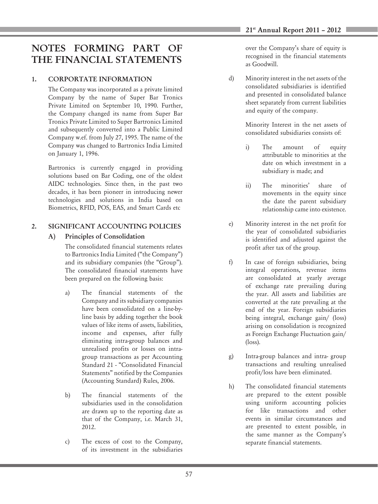# NOTES FORMING PART OF THE FINANCIAL STATEMENTS

## 1. CORPORTATE INFORMATION

The Company was incorporated as a private limited Company by the name of Super Bar Tronics Private Limited on September 10, 1990. Further, the Company changed its name from Super Bar Tronics Private Limited to Super Bartronics Limited and subsequently converted into a Public Limited Company w.ef. from July 27, 1995. The name of the Company was changed to Bartronics India Limited on January 1, 1996.

Bartronics is currently engaged in providing solutions based on Bar Coding, one of the oldest AIDC technologies. Since then, in the past two decades, it has been pioneer in introducing newer technologies and solutions in India based on Biometrics, RFID, POS, EAS, and Smart Cards etc

## 2. SIGNIFICANT ACCOUNTING POLICIES

## A) Principles of Consolidation

The consolidated financial statements relates to Bartronics India Limited ("the Company") and its subsidiary companies (the "Group"). The consolidated financial statements have been prepared on the following basis:

- a) The financial statements of the Company and its subsidiary companies have been consolidated on a line-byline basis by adding together the book values of like items of assets, liabilities, income and expenses, after fully eliminating intra-group balances and unrealised profits or losses on intragroup transactions as per Accounting Standard 21 - "Consolidated Financial Statements" notified by the Companies (Accounting Standard) Rules, 2006.
- b) The financial statements of the subsidiaries used in the consolidation are drawn up to the reporting date as that of the Company, i.e. March 31, 2012.
- c) The excess of cost to the Company, of its investment in the subsidiaries

over the Company's share of equity is recognised in the financial statements as Goodwill.

d) Minority interest in the net assets of the consolidated subsidiaries is identified and presented in consolidated balance sheet separately from current liabilities and equity of the company.

> Minority Interest in the net assets of consolidated subsidiaries consists of:

- i) The amount of equity attributable to minorities at the date on which investment in a subsidiary is made; and
- ii) The minorities' share of movements in the equity since the date the parent subsidiary relationship came into existence.
- e) Minority interest in the net profit for the year of consolidated subsidiaries is identified and adjusted against the profit after tax of the group.
- f) In case of foreign subsidiaries, being integral operations, revenue items are consolidated at yearly average of exchange rate prevailing during the year. All assets and liabilities are converted at the rate prevailing at the end of the year. Foreign subsidiaries being integral, exchange gain/ (loss) arising on consolidation is recognized as Foreign Exchange Fluctuation gain/ (loss).
- g) Intra-group balances and intra- group transactions and resulting unrealised profit/loss have been eliminated.
- h) The consolidated financial statements are prepared to the extent possible using uniform accounting policies for like transactions and other events in similar circumstances and are presented to extent possible, in the same manner as the Company's separate financial statements.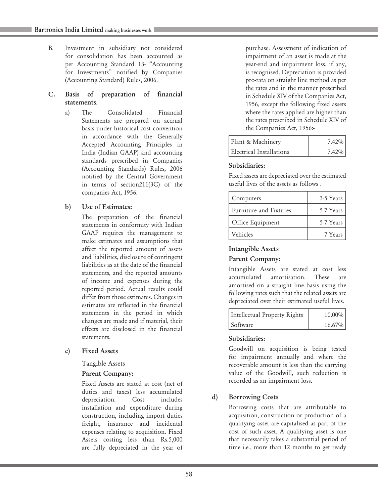B. Investment in subsidiary not considered for consolidation has been accounted as per Accounting Standard 13- "Accounting for Investments" notified by Companies (Accounting Standard) Rules, 2006.

#### C. Basis of preparation of financial statements.

- a) The Consolidated Financial Statements are prepared on accrual basis under historical cost convention in accordance with the Generally Accepted Accounting Principles in India (Indian GAAP) and accounting standards prescribed in Companies (Accounting Standards) Rules, 2006 notified by the Central Government in terms of section211(3C) of the companies Act, 1956.
- b) Use of Estimates:

The preparation of the financial statements in conformity with Indian GAAP requires the management to make estimates and assumptions that affect the reported amount of assets and liabilities, disclosure of contingent liabilities as at the date of the financial statements, and the reported amounts of income and expenses during the reported period. Actual results could differ from those estimates. Changes in estimates are reflected in the financial statements in the period in which changes are made and if material, their effects are disclosed in the financial statements.

c) Fixed Assets

Tangible Assets

#### Parent Company:

Fixed Assets are stated at cost (net of duties and taxes) less accumulated depreciation. Cost includes installation and expenditure during construction, including import duties freight, insurance and incidental expenses relating to acquisition. Fixed Assets costing less than Rs.5,000 are fully depreciated in the year of purchase. Assessment of indication of impairment of an asset is made at the year-end and impairment loss, if any, is recognised. Depreciation is provided pro-rata on straight line method as per the rates and in the manner prescribed in Schedule XIV of the Companies Act, 1956, except the following fixed assets where the rates applied are higher than the rates prescribed in Schedule XIV of the Companies Act, 1956:-

| Plant & Machinery        | $7.42\%$ |
|--------------------------|----------|
| Electrical Installations | $7.42\%$ |

## Subsidiaries:

Fixed assets are depreciated over the estimated useful lives of the assets as follows .

| Computers              | 3-5 Years |
|------------------------|-----------|
| Furniture and Fixtures | 5-7 Years |
| Office Equipment       | 5-7 Years |
| Vehicles               | 7 Years   |

#### Intangible Assets

#### Parent Company:

Intangible Assets are stated at cost less accumulated amortisation. These are amortised on a straight line basis using the following rates such that the related assets are depreciated over their estimated useful lives.

| Intellectual Property Rights | $10.00\%$ |
|------------------------------|-----------|
| Software                     | $16.67\%$ |

#### Subsidiaries:

Goodwill on acquisition is being tested for impairment annually and where the recoverable amount is less than the carrying value of the Goodwill, such reduction is recorded as an impairment loss.

## d) Borrowing Costs

Borrowing costs that are attributable to acquisition, construction or production of a qualifying asset are capitalised as part of the cost of such asset. A qualifying asset is one that necessarily takes a substantial period of time i.e., more than 12 months to get ready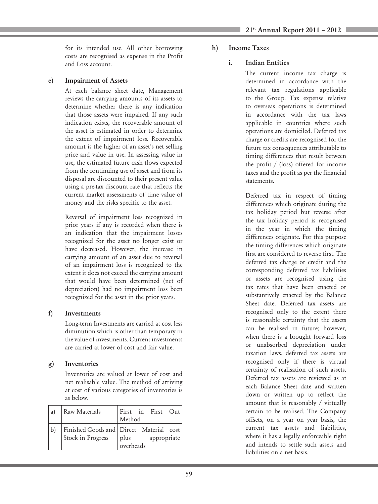for its intended use. All other borrowing costs are recognised as expense in the Profit and Loss account.

#### e) Impairment of Assets

At each balance sheet date, Management reviews the carrying amounts of its assets to determine whether there is any indication that those assets were impaired. If any such indication exists, the recoverable amount of the asset is estimated in order to determine the extent of impairment loss. Recoverable amount is the higher of an asset's net selling price and value in use. In assessing value in use, the estimated future cash flows expected from the continuing use of asset and from its disposal are discounted to their present value using a pre-tax discount rate that reflects the current market assessments of time value of money and the risks specific to the asset.

Reversal of impairment loss recognized in prior years if any is recorded when there is an indication that the impairment losses recognized for the asset no longer exist or have decreased. However, the increase in carrying amount of an asset due to reversal of an impairment loss is recognized to the extent it does not exceed the carrying amount that would have been determined (net of depreciation) had no impairment loss been recognized for the asset in the prior years.

## f) Investments

Long-term Investments are carried at cost less diminution which is other than temporary in the value of investments. Current investments are carried at lower of cost and fair value.

## g) Inventories

Inventories are valued at lower of cost and net realisable value. The method of arriving at cost of various categories of inventories is as below.

| a) | Raw Materials     | First in First Out<br>Method                                                |
|----|-------------------|-----------------------------------------------------------------------------|
|    | Stock in Progress | Finished Goods and Direct Material cost<br>plus<br>appropriate<br>overheads |

h) Income Taxes

## i. Indian Entities

The current income tax charge is determined in accordance with the relevant tax regulations applicable to the Group. Tax expense relative to overseas operations is determined in accordance with the tax laws applicable in countries where such operations are domiciled. Deferred tax charge or credits are recognised for the future tax consequences attributable to timing differences that result between the profit / (loss) offered for income taxes and the profit as per the financial statements.

Deferred tax in respect of timing differences which originate during the tax holiday period but reverse after the tax holiday period is recognised in the year in which the timing differences originate. For this purpose the timing differences which originate first are considered to reverse first. The deferred tax charge or credit and the corresponding deferred tax liabilities or assets are recognised using the tax rates that have been enacted or substantively enacted by the Balance Sheet date. Deferred tax assets are recognised only to the extent there is reasonable certainty that the assets can be realised in future; however, when there is a brought forward loss or unabsorbed depreciation under taxation laws, deferred tax assets are recognised only if there is virtual certainty of realisation of such assets. Deferred tax assets are reviewed as at each Balance Sheet date and written down or written up to reflect the amount that is reasonably / virtually certain to be realised. The Company offsets, on a year on year basis, the current tax assets and liabilities, where it has a legally enforceable right and intends to settle such assets and liabilities on a net basis.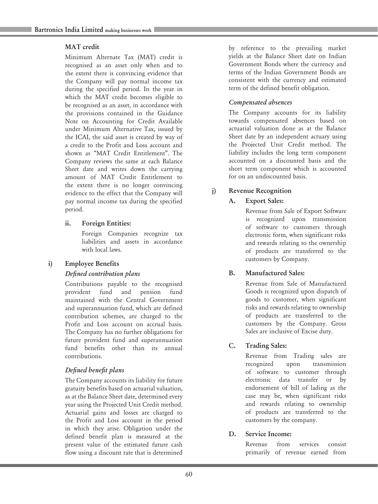#### MAT credit

Minimum Alternate Tax (MAT) credit is recognised as an asset only when and to the extent there is convincing evidence that the Company will pay normal income tax during the specified period. In the year in which the MAT credit becomes eligible to be recognised as an asset, in accordance with the provisions contained in the Guidance Note on Accounting for Credit Available under Minimum Alternative Tax, issued by the ICAI, the said asset is created by way of a credit to the Profit and Loss account and shown as "MAT Credit Entitlement". The Company reviews the same at each Balance Sheet date and writes down the carrying amount of MAT Credit Entitlement to the extent there is no longer convincing evidence to the effect that the Company will pay normal income tax during the specified period.

#### ii. Foreign Entities:

Foreign Companies recognize tax liabilities and assets in accordance with local laws.

## i) Employee Benefits

#### *Defined contribution plans*

Contributions payable to the recognised provident fund and pension fund maintained with the Central Government and superannuation fund, which are defined contribution schemes, are charged to the Profit and Loss account on accrual basis. The Company has no further obligations for future provident fund and superannuation fund benefits other than its annual contributions.

## *Defined benefit plans*

The Company accounts its liability for future gratuity benefits based on actuarial valuation, as at the Balance Sheet date, determined every year using the Projected Unit Credit method. Actuarial gains and losses are charged to the Profit and Loss account in the period in which they arise. Obligation under the defined benefit plan is measured at the present value of the estimated future cash flow using a discount rate that is determined

by reference to the prevailing market yields at the Balance Sheet date on Indian Government Bonds where the currency and terms of the Indian Government Bonds are consistent with the currency and estimated term of the defined benefit obligation.

## *Compensated absences*

The Company accounts for its liability towards compensated absences based on actuarial valuation done as at the Balance Sheet date by an independent actuary using the Projected Unit Credit method. The liability includes the long term component accounted on a discounted basis and the short term component which is accounted for on an undiscounted basis.

## j) Revenue Recognition

## A. Export Sales:

Revenue from Sale of Export Software is recognized upon transmission of software to customers through electronic form, when significant risks and rewards relating to the ownership of products are transferred to the customers by Company.

## B. Manufactured Sales:

Revenue from Sale of Manufactured Goods is recognized upon dispatch of goods to customer, when significant risks and rewards relating to ownership of products are transferred to the customers by the Company. Gross Sales are inclusive of Excise duty.

## C. Trading Sales:

Revenue from Trading sales are recognized upon transmission of software to customer through electronic data transfer or by endorsement of bill of lading as the case may be, when significant risks and rewards relating to ownership of products are transferred to the customers by the company.

## D. Service Income:

Revenue from services consist primarily of revenue earned from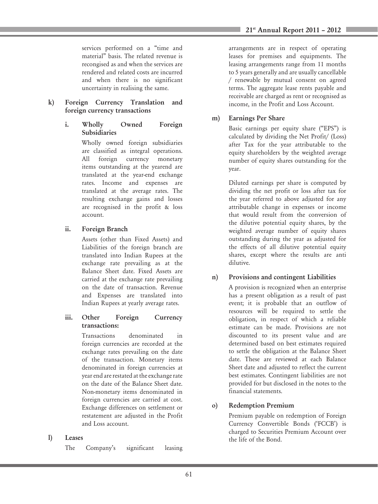services performed on a "time and material" basis. The related revenue is recongised as and when the services are rendered and related costs are incurred and when there is no significant uncertainty in realising the same.

#### k) Foreign Currency Translation and foreign currency transactions

#### i. Wholly Owned Foreign Subsidiaries

Wholly owned foreign subsidiaries are classified as integral operations. All foreign currency monetary items outstanding at the yearend are translated at the year-end exchange rates. Income and expenses are translated at the average rates. The resulting exchange gains and losses are recognised in the profit & loss account.

## ii. Foreign Branch

Assets (other than Fixed Assets) and Liabilities of the foreign branch are translated into Indian Rupees at the exchange rate prevailing as at the Balance Sheet date. Fixed Assets are carried at the exchange rate prevailing on the date of transaction. Revenue and Expenses are translated into Indian Rupees at yearly average rates.

#### iii. Other Foreign Currency transactions:

Transactions denominated in foreign currencies are recorded at the exchange rates prevailing on the date of the transaction. Monetary items denominated in foreign currencies at year end are restated at the exchange rate on the date of the Balance Sheet date. Non-monetary items denominated in foreign currencies are carried at cost. Exchange differences on settlement or restatement are adjusted in the Profit and Loss account.

#### l) Leases

The Company's significant leasing

arrangements are in respect of operating leases for premises and equipments. The leasing arrangements range from 11 months to 5 years generally and are usually cancellable / renewable by mutual consent on agreed terms. The aggregate lease rents payable and receivable are charged as rent or recognised as income, in the Profit and Loss Account.

#### m) Earnings Per Share

Basic earnings per equity share ("EPS") is calculated by dividing the Net Profit/ (Loss) after Tax for the year attributable to the equity shareholders by the weighted average number of equity shares outstanding for the year.

Diluted earnings per share is computed by dividing the net profit or loss after tax for the year referred to above adjusted for any attributable change in expenses or income that would result from the conversion of the dilutive potential equity shares, by the weighted average number of equity shares outstanding during the year as adjusted for the effects of all dilutive potential equity shares, except where the results are anti dilutive.

## n) Provisions and contingent Liabilities

A provision is recognized when an enterprise has a present obligation as a result of past event; it is probable that an outflow of resources will be required to settle the obligation, in respect of which a reliable estimate can be made. Provisions are not discounted to its present value and are determined based on best estimates required to settle the obligation at the Balance Sheet date. These are reviewed at each Balance Sheet date and adjusted to reflect the current best estimates. Contingent liabilities are not provided for but disclosed in the notes to the financial statements.

## o) Redemption Premium

Premium payable on redemption of Foreign Currency Convertible Bonds ('FCCB') is charged to Securities Premium Account over the life of the Bond.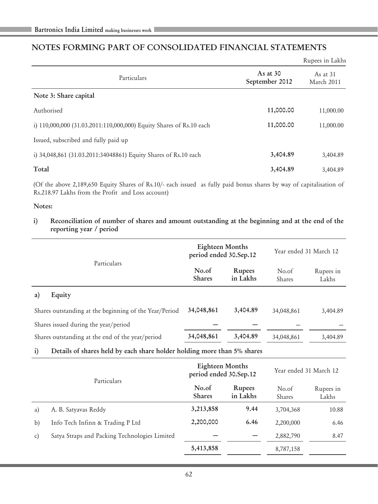# NOTES FORMING PART OF CONSOLIDATED FINANCIAL STATEMENTS

|                                                                     |                              | Rupees in Lakhs          |
|---------------------------------------------------------------------|------------------------------|--------------------------|
| Particulars                                                         | As at $30$<br>September 2012 | As at $31$<br>March 2011 |
| Note 3: Share capital                                               |                              |                          |
| Authorised                                                          | 11,000.00                    | 11,000.00                |
| i) 110,000,000 (31.03.2011:110,000,000) Equity Shares of Rs.10 each | 11,000.00                    | 11,000.00                |
| Issued, subscribed and fully paid up                                |                              |                          |
| i) 34,048,861 (31.03.2011:34048861) Equity Shares of Rs.10 each     | 3,404.89                     | 3.404.89                 |
| Total                                                               | 3,404.89                     | 3.404.89                 |

(Of the above 2,189,650 Equity Shares of Rs.10/- each issued as fully paid bonus shares by way of capitalisation of Rs.218.97 Lakhs from the Profit and Loss account)

#### Notes:

i) Reconciliation of number of shares and amount outstanding at the beginning and at the end of the reporting year / period

|                                                        | Eighteen Months<br>period ended 30.Sep.12 |                           | Year ended 31 March 12 |                    |
|--------------------------------------------------------|-------------------------------------------|---------------------------|------------------------|--------------------|
| Particulars                                            | No.of<br><b>Shares</b>                    | <b>Rupees</b><br>in Lakhs | No.of<br><b>Shares</b> | Rupees in<br>Lakhs |
| Equity<br>a)                                           |                                           |                           |                        |                    |
| Shares outstanding at the beginning of the Year/Period | 34,048,861                                | 3,404.89                  | 34,048,861             | 3,404.89           |
| Shares issued during the year/period                   |                                           |                           |                        |                    |
| Shares outstanding at the end of the year/period       | 34,048,861                                | 3,404.89                  | 34,048,861             | 3.404.89           |
|                                                        |                                           |                           |                        |                    |

i) Details of shares held by each share holder holding more than 5% shares

|    | Particulars                                   | Eighteen Months<br>period ended 30.Sep.12 |                           | Year ended 31 March 12 |                    |
|----|-----------------------------------------------|-------------------------------------------|---------------------------|------------------------|--------------------|
|    |                                               | No.of<br><b>Shares</b>                    | <b>Rupees</b><br>in Lakhs | No.of<br>Shares        | Rupees in<br>Lakhs |
| a) | A. B. Satyavas Reddy                          | 3,213,858                                 | 9.44                      | 3,704,368              | 10.88              |
| b) | Info Tech Infinn & Trading P Ltd              | 2,200,000                                 | 6.46                      | 2,200,000              | 6.46               |
| C) | Satya Straps and Packing Technologies Limited |                                           |                           | 2,882,790              | 8.47               |
|    |                                               | 5,413,858                                 |                           | 8,787,158              |                    |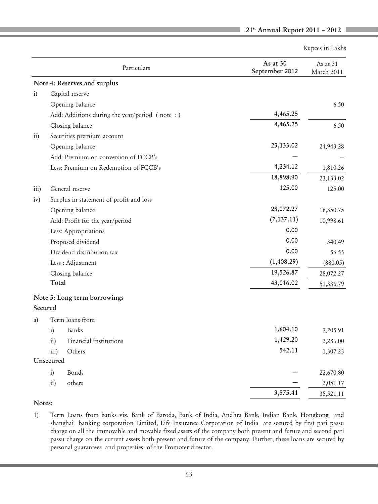Rupees in Lakhs

|                  | Particulars                                   | As at 30<br>September 2012 | As at 31<br>March 2011 |
|------------------|-----------------------------------------------|----------------------------|------------------------|
|                  | Note 4: Reserves and surplus                  |                            |                        |
| $\ddot{i})$      | Capital reserve                               |                            |                        |
|                  | Opening balance                               |                            | 6.50                   |
|                  | Add: Additions during the year/period (note:) | 4,465.25                   |                        |
|                  | Closing balance                               | 4,465.25                   | 6.50                   |
| $\overline{11}$  | Securities premium account                    |                            |                        |
|                  | Opening balance                               | 23,133.02                  | 24,943.28              |
|                  | Add: Premium on conversion of FCCB's          |                            |                        |
|                  | Less: Premium on Redemption of FCCB's         | 4,234.12                   | 1,810.26               |
|                  |                                               | 18,898.90                  | 23,133.02              |
| $\overline{111}$ | General reserve                               | 125.00                     | 125.00                 |
| iv)              | Surplus in statement of profit and loss       |                            |                        |
|                  | Opening balance                               | 28,072.27                  | 18,350.75              |
|                  | Add: Profit for the year/period               | (7, 137.11)                | 10,998.61              |
|                  | Less: Appropriations                          | 0.00                       |                        |
|                  | Proposed dividend                             | 0.00                       | 340.49                 |
|                  | Dividend distribution tax                     | 0.00                       | 56.55                  |
|                  | Less : Adjustment                             | (1,408.29)                 | (880.05)               |
|                  | Closing balance                               | 19,526.87                  | 28,072.27              |
|                  | Total                                         | 43,016.02                  | 51,336.79              |
|                  | Note 5: Long term borrowings<br>Secured       |                            |                        |
| a)               | Term loans from                               |                            |                        |
|                  | $\mathbf{i}$<br>Banks                         | 1,604.10                   | 7,205.91               |
|                  | Financial institutions<br>$\overline{ii}$ )   | 1,429.20                   | 2,286.00               |
|                  | Others<br>iii)                                | 542.11                     | 1,307.23               |
|                  | Unsecured                                     |                            |                        |
|                  | $\ddot{i})$<br>Bonds                          |                            | 22,670.80              |
|                  | $\overline{11}$ )<br>others                   |                            | 2,051.17               |
|                  |                                               | 3,575.41                   | 35,521.11              |

#### Notes:

1) Term Loans from banks viz. Bank of Baroda, Bank of India, Andhra Bank, Indian Bank, Hongkong and shanghai banking corporation Limited, Life Insurance Corporation of India are secured by first pari passu charge on all the immovable and movable fixed assets of the company both present and future and second pari passu charge on the current assets both present and future of the company. Further, these loans are secured by personal guarantees and properties of the Promoter director.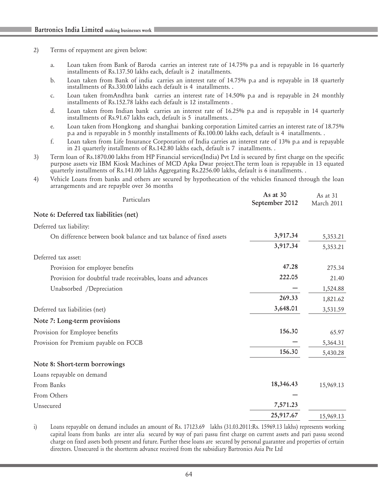#### 2) Terms of repayment are given below:

- a. Loan taken from Bank of Baroda carries an interest rate of 14.75% p.a and is repayable in 16 quarterly installments of Rs.137.50 lakhs each, default is 2 inatallments.
- b. Loan taken from Bank of india carries an interest rate of 14.75% p.a and is repayable in 18 quarterly installments of Rs.330.00 lakhs each default is 4 inatallments. .
- c. Loan taken fromAndhra bank carries an interest rate of 14.50% p.a and is repayable in 24 monthly installments of Rs.152.78 lakhs each default is 12 installments .
- d. Loan taken from Indian bank carries an interest rate of 16.25% p.a and is repayable in 14 quarterly installments of Rs.91.67 lakhs each, default is 5 inatallments. .
- e. Loan taken from Hongkong and shanghai banking corporation Limited carries an interest rate of 18.75% p.a and is repayable in 5 monthly installments of Rs.100.00 lakhs each, default is 4 inatallments. .
- f. Loan taken from Life Insurance Corporation of India carries an interest rate of 13% p.a and is repayable in 21 quarterly installments of Rs.142.80 lakhs each, default is 7 inatallments. .
- 3) Term loan of Rs.1870.00 lakhs from HP Financial services(India) Pvt Ltd is secured by first charge on the specific purpose assets viz IBM Kiosk Machines of MCD Apka Dwar project.The term loan is repayable in 13 equated quarterly installments of Rs.141.00 lakhs Aggregating Rs.2256.00 lakhs, default is 6 inatallments. .
- 4) Vehicle Loans from banks and others are secured by hypothecation of the vehicles financed through the loan arrangements and are repayble over 36 months

| Particulars                                                        | As at $30$<br>September 2012 | As at 31<br>March 2011 |
|--------------------------------------------------------------------|------------------------------|------------------------|
| Note 6: Deferred tax liabilities (net)                             |                              |                        |
| Deferred tax liability:                                            |                              |                        |
| On difference between book balance and tax balance of fixed assets | 3,917.34                     | 5,353.21               |
|                                                                    | 3,917.34                     | 5,353.21               |
| Deferred tax asset:                                                |                              |                        |
| Provision for employee benefits                                    | 47.28                        | 275.34                 |
| Provision for doubtful trade receivables, loans and advances       | 222.05                       | 21.40                  |
| Unabsorbed /Depreciation                                           |                              | 1,524.88               |
|                                                                    | 269.33                       | 1,821.62               |
| Deferred tax liabilities (net)                                     | 3,648.01                     | 3,531.59               |
| Note 7: Long-term provisions                                       |                              |                        |
| Provision for Employee benefits                                    | 156.30                       | 65.97                  |
| Provision for Premium payable on FCCB                              |                              | 5,364.31               |
|                                                                    | 156.30                       | 5,430.28               |
| Note 8: Short-term borrowings                                      |                              |                        |
| Loans repayable on demand                                          |                              |                        |
| From Banks                                                         | 18,346.43                    | 15,969.13              |
| From Others                                                        |                              |                        |
| Unsecured                                                          | 7,571.23                     |                        |
|                                                                    | 25,917.67                    | 15,969.13              |

i) Loans repayable on demand includes an amount of Rs. 17123.69 lakhs (31.03.2011:Rs. 15969.13 lakhs) represents working capital loans from banks are inter alia secured by way of pari passu first charge on current assets and pari passu second charge on fixed assets both present and future. Further these loans are secured by personal guarantee and properties of certain directors. Unsecured is the shortterm advance received from the subsidiary Bartronics Asia Pte Ltd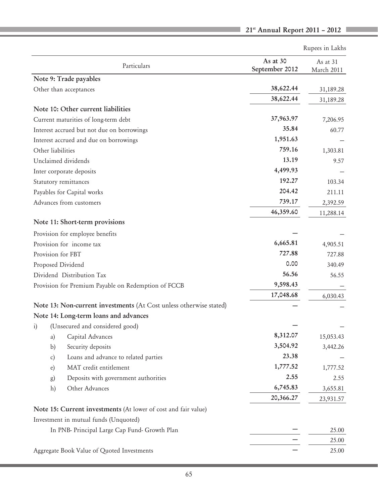| As at 30<br>As at 31<br>Particulars<br>September 2012<br>March 2011<br>Note 9: Trade payables<br>38,622.44<br>Other than acceptances<br>31,189.28<br>38,622.44<br>31,189.28<br>Note 10: Other current liabilities<br>37,963.97<br>Current maturities of long-term debt<br>7,206.95<br>35.84<br>Interest accrued but not due on borrowings<br>60.77<br>1,951.63<br>Interest accrued and due on borrowings<br>759.16<br>Other liabilities<br>1,303.81<br>13.19<br>Unclaimed dividends<br>9.57<br>4,499.93<br>Inter corporate deposits<br>192.27<br>Statutory remittances<br>103.34<br>204.42<br>Payables for Capital works<br>211.11<br>739.17<br>Advances from customers<br>2,392.59<br>46,359.60<br>11,288.14<br>Note 11: Short-term provisions<br>Provision for employee benefits<br>6,665.81<br>Provision for income tax<br>4,905.51<br>727.88<br>Provision for FBT<br>727.88<br>0.00<br>Proposed Dividend<br>340.49<br>56.56<br>Dividend Distribution Tax<br>56.55<br>9,598.43<br>Provision for Premium Payable on Redemption of FCCB<br>17,048.68<br>6,030.43<br>Note 13: Non-current investments (At Cost unless otherwise stated)<br>Note 14: Long-term loans and advances<br>(Unsecured and considered good)<br>$\mathbf{i}$<br>8,312.07<br>Capital Advances<br>15,053.43<br>a)<br>3,504.92<br>Security deposits<br>b)<br>3,442.26<br>23.38<br>Loans and advance to related parties<br>c)<br>1,777.52<br>MAT credit entitlement<br>$\epsilon$ )<br>1,777.52<br>2.55<br>Deposits with government authorities<br>2.55<br>g) |
|----------------------------------------------------------------------------------------------------------------------------------------------------------------------------------------------------------------------------------------------------------------------------------------------------------------------------------------------------------------------------------------------------------------------------------------------------------------------------------------------------------------------------------------------------------------------------------------------------------------------------------------------------------------------------------------------------------------------------------------------------------------------------------------------------------------------------------------------------------------------------------------------------------------------------------------------------------------------------------------------------------------------------------------------------------------------------------------------------------------------------------------------------------------------------------------------------------------------------------------------------------------------------------------------------------------------------------------------------------------------------------------------------------------------------------------------------------------------------------------------------------------------------------|
|                                                                                                                                                                                                                                                                                                                                                                                                                                                                                                                                                                                                                                                                                                                                                                                                                                                                                                                                                                                                                                                                                                                                                                                                                                                                                                                                                                                                                                                                                                                                  |
|                                                                                                                                                                                                                                                                                                                                                                                                                                                                                                                                                                                                                                                                                                                                                                                                                                                                                                                                                                                                                                                                                                                                                                                                                                                                                                                                                                                                                                                                                                                                  |
|                                                                                                                                                                                                                                                                                                                                                                                                                                                                                                                                                                                                                                                                                                                                                                                                                                                                                                                                                                                                                                                                                                                                                                                                                                                                                                                                                                                                                                                                                                                                  |
|                                                                                                                                                                                                                                                                                                                                                                                                                                                                                                                                                                                                                                                                                                                                                                                                                                                                                                                                                                                                                                                                                                                                                                                                                                                                                                                                                                                                                                                                                                                                  |
|                                                                                                                                                                                                                                                                                                                                                                                                                                                                                                                                                                                                                                                                                                                                                                                                                                                                                                                                                                                                                                                                                                                                                                                                                                                                                                                                                                                                                                                                                                                                  |
|                                                                                                                                                                                                                                                                                                                                                                                                                                                                                                                                                                                                                                                                                                                                                                                                                                                                                                                                                                                                                                                                                                                                                                                                                                                                                                                                                                                                                                                                                                                                  |
|                                                                                                                                                                                                                                                                                                                                                                                                                                                                                                                                                                                                                                                                                                                                                                                                                                                                                                                                                                                                                                                                                                                                                                                                                                                                                                                                                                                                                                                                                                                                  |
|                                                                                                                                                                                                                                                                                                                                                                                                                                                                                                                                                                                                                                                                                                                                                                                                                                                                                                                                                                                                                                                                                                                                                                                                                                                                                                                                                                                                                                                                                                                                  |
|                                                                                                                                                                                                                                                                                                                                                                                                                                                                                                                                                                                                                                                                                                                                                                                                                                                                                                                                                                                                                                                                                                                                                                                                                                                                                                                                                                                                                                                                                                                                  |
|                                                                                                                                                                                                                                                                                                                                                                                                                                                                                                                                                                                                                                                                                                                                                                                                                                                                                                                                                                                                                                                                                                                                                                                                                                                                                                                                                                                                                                                                                                                                  |
|                                                                                                                                                                                                                                                                                                                                                                                                                                                                                                                                                                                                                                                                                                                                                                                                                                                                                                                                                                                                                                                                                                                                                                                                                                                                                                                                                                                                                                                                                                                                  |
|                                                                                                                                                                                                                                                                                                                                                                                                                                                                                                                                                                                                                                                                                                                                                                                                                                                                                                                                                                                                                                                                                                                                                                                                                                                                                                                                                                                                                                                                                                                                  |
|                                                                                                                                                                                                                                                                                                                                                                                                                                                                                                                                                                                                                                                                                                                                                                                                                                                                                                                                                                                                                                                                                                                                                                                                                                                                                                                                                                                                                                                                                                                                  |
|                                                                                                                                                                                                                                                                                                                                                                                                                                                                                                                                                                                                                                                                                                                                                                                                                                                                                                                                                                                                                                                                                                                                                                                                                                                                                                                                                                                                                                                                                                                                  |
|                                                                                                                                                                                                                                                                                                                                                                                                                                                                                                                                                                                                                                                                                                                                                                                                                                                                                                                                                                                                                                                                                                                                                                                                                                                                                                                                                                                                                                                                                                                                  |
|                                                                                                                                                                                                                                                                                                                                                                                                                                                                                                                                                                                                                                                                                                                                                                                                                                                                                                                                                                                                                                                                                                                                                                                                                                                                                                                                                                                                                                                                                                                                  |
|                                                                                                                                                                                                                                                                                                                                                                                                                                                                                                                                                                                                                                                                                                                                                                                                                                                                                                                                                                                                                                                                                                                                                                                                                                                                                                                                                                                                                                                                                                                                  |
|                                                                                                                                                                                                                                                                                                                                                                                                                                                                                                                                                                                                                                                                                                                                                                                                                                                                                                                                                                                                                                                                                                                                                                                                                                                                                                                                                                                                                                                                                                                                  |
|                                                                                                                                                                                                                                                                                                                                                                                                                                                                                                                                                                                                                                                                                                                                                                                                                                                                                                                                                                                                                                                                                                                                                                                                                                                                                                                                                                                                                                                                                                                                  |
|                                                                                                                                                                                                                                                                                                                                                                                                                                                                                                                                                                                                                                                                                                                                                                                                                                                                                                                                                                                                                                                                                                                                                                                                                                                                                                                                                                                                                                                                                                                                  |
|                                                                                                                                                                                                                                                                                                                                                                                                                                                                                                                                                                                                                                                                                                                                                                                                                                                                                                                                                                                                                                                                                                                                                                                                                                                                                                                                                                                                                                                                                                                                  |
|                                                                                                                                                                                                                                                                                                                                                                                                                                                                                                                                                                                                                                                                                                                                                                                                                                                                                                                                                                                                                                                                                                                                                                                                                                                                                                                                                                                                                                                                                                                                  |
|                                                                                                                                                                                                                                                                                                                                                                                                                                                                                                                                                                                                                                                                                                                                                                                                                                                                                                                                                                                                                                                                                                                                                                                                                                                                                                                                                                                                                                                                                                                                  |
|                                                                                                                                                                                                                                                                                                                                                                                                                                                                                                                                                                                                                                                                                                                                                                                                                                                                                                                                                                                                                                                                                                                                                                                                                                                                                                                                                                                                                                                                                                                                  |
|                                                                                                                                                                                                                                                                                                                                                                                                                                                                                                                                                                                                                                                                                                                                                                                                                                                                                                                                                                                                                                                                                                                                                                                                                                                                                                                                                                                                                                                                                                                                  |
|                                                                                                                                                                                                                                                                                                                                                                                                                                                                                                                                                                                                                                                                                                                                                                                                                                                                                                                                                                                                                                                                                                                                                                                                                                                                                                                                                                                                                                                                                                                                  |
|                                                                                                                                                                                                                                                                                                                                                                                                                                                                                                                                                                                                                                                                                                                                                                                                                                                                                                                                                                                                                                                                                                                                                                                                                                                                                                                                                                                                                                                                                                                                  |
|                                                                                                                                                                                                                                                                                                                                                                                                                                                                                                                                                                                                                                                                                                                                                                                                                                                                                                                                                                                                                                                                                                                                                                                                                                                                                                                                                                                                                                                                                                                                  |
|                                                                                                                                                                                                                                                                                                                                                                                                                                                                                                                                                                                                                                                                                                                                                                                                                                                                                                                                                                                                                                                                                                                                                                                                                                                                                                                                                                                                                                                                                                                                  |
|                                                                                                                                                                                                                                                                                                                                                                                                                                                                                                                                                                                                                                                                                                                                                                                                                                                                                                                                                                                                                                                                                                                                                                                                                                                                                                                                                                                                                                                                                                                                  |
|                                                                                                                                                                                                                                                                                                                                                                                                                                                                                                                                                                                                                                                                                                                                                                                                                                                                                                                                                                                                                                                                                                                                                                                                                                                                                                                                                                                                                                                                                                                                  |
| 6,745.83<br>Other Advances<br>h)<br>3,655.81                                                                                                                                                                                                                                                                                                                                                                                                                                                                                                                                                                                                                                                                                                                                                                                                                                                                                                                                                                                                                                                                                                                                                                                                                                                                                                                                                                                                                                                                                     |
| 20,366.27<br>23,931.57                                                                                                                                                                                                                                                                                                                                                                                                                                                                                                                                                                                                                                                                                                                                                                                                                                                                                                                                                                                                                                                                                                                                                                                                                                                                                                                                                                                                                                                                                                           |
| Note 15: Current investments (At lower of cost and fair value)                                                                                                                                                                                                                                                                                                                                                                                                                                                                                                                                                                                                                                                                                                                                                                                                                                                                                                                                                                                                                                                                                                                                                                                                                                                                                                                                                                                                                                                                   |
| Investment in mutual funds (Unquoted)                                                                                                                                                                                                                                                                                                                                                                                                                                                                                                                                                                                                                                                                                                                                                                                                                                                                                                                                                                                                                                                                                                                                                                                                                                                                                                                                                                                                                                                                                            |
| In PNB- Principal Large Cap Fund- Growth Plan<br>25.00                                                                                                                                                                                                                                                                                                                                                                                                                                                                                                                                                                                                                                                                                                                                                                                                                                                                                                                                                                                                                                                                                                                                                                                                                                                                                                                                                                                                                                                                           |
| 25.00                                                                                                                                                                                                                                                                                                                                                                                                                                                                                                                                                                                                                                                                                                                                                                                                                                                                                                                                                                                                                                                                                                                                                                                                                                                                                                                                                                                                                                                                                                                            |
| 25.00<br>Aggregate Book Value of Quoted Investments                                                                                                                                                                                                                                                                                                                                                                                                                                                                                                                                                                                                                                                                                                                                                                                                                                                                                                                                                                                                                                                                                                                                                                                                                                                                                                                                                                                                                                                                              |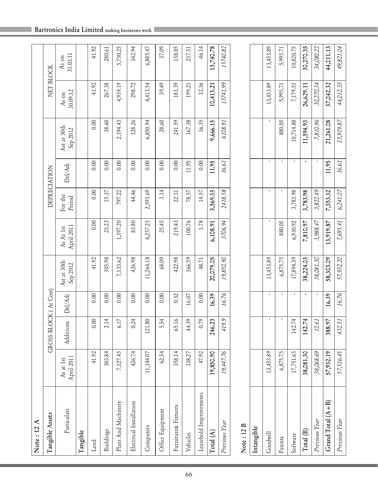| Bartronics India Limited making businesses work |  |  |  |  |  |
|-------------------------------------------------|--|--|--|--|--|
|-------------------------------------------------|--|--|--|--|--|

 $\mathbb{R}^n$ 

| Note : 12 A             |                         |                       |              |                         |                         |                   |              |                         |                   |                   |
|-------------------------|-------------------------|-----------------------|--------------|-------------------------|-------------------------|-------------------|--------------|-------------------------|-------------------|-------------------|
| Tangible Assets         |                         | GROSS BLOCK (At Cost) |              |                         |                         |                   | DEPRECIATION |                         | NET BLOCK         |                   |
| Particulars             | April 2011<br>As at 1st | Additions             | Del/Adj      | Ast at 30th<br>Sep 2012 | April 2011<br>As At 1st | For the<br>Period | Del/Adj      | Ast at 30th<br>Sep 2012 | 30.09.12<br>As on | 31.03.11<br>As on |
| Tangible                |                         |                       |              |                         |                         |                   |              |                         |                   |                   |
| Land                    | 41.92                   | 0.00                  | 0.00         | 41.92                   | 0.00                    | 0.00              | 0.00         | 0.00                    | 41.92             | 41.92             |
| Buildings               | 303.84                  | 2.14                  | 0.00         | 305.98                  | 23.23                   | 15.37             | 0.00         | 38.60                   | 267.38            | 280.61            |
| Plant And Machinery     | 7,127.45                | 6.17                  | 0.00         | 7,133.62                | 1,397.20                | 797.22            | 0.00         | 2,194.43                | 4,939.19          | 5,730.25          |
| Electrical Installation | 426.74                  | 0.24                  | 0.00         | 426.98                  | 83.80                   | 44.46             | 0.00         | 128.26                  | 298.72            | 342.94            |
| Computers               | 11,144.07               | 121.80                | 0.00         | 11,264.18               | 4,257.25                | 2,593.69          | 0.00         | 6,850.94                | 4,413.54          | 6,885.47          |
| Office Equipment        | 62.54                   | 5.54                  | 0.00         | 68.09                   | 25.45                   | 3.14              | 0.00         | 28.60                   | 39.49             | 37.09             |
| Furniture& Fixtures     | 358.14                  | 65.16                 | 0.32         | 422.98                  | 219.43                  | 22.31             | 0.00         | 241.59                  | 181.39            | 138.85            |
| Vehicles                | 338.27                  | 44.39                 | 16.07        | 366.59                  | 100.76                  | 78.57             | 11.95        | 167.38                  | 199.21            | 237.51            |
| Leasehold Improvements  | 47.92                   | 0.79                  | $0.00$       | 48.71                   | 1.78                    | 14.57             | $0.00\,$     | 16.35                   | 32.36             | 46.14             |
| Total(A)                | 19,850.90               | 246.23                | 16.39        | 20,079.05               | 6,108.91                | 3,569.33          | 11.95        | 9,666.15                | 10,413.21         | 13,740.78         |
| Previous Year           | 19,447.76               | 419.9                 | 16.76        | 19,850.90               | 3706.94                 | 2418.58           | 16.61        | 6108.91                 | 13741.99          | 15740.82          |
| Note: 12B               |                         |                       |              |                         |                         |                   |              |                         |                   |                   |
| Intangible              |                         |                       |              |                         |                         |                   |              |                         |                   |                   |
| Goodwill                | 13,453.89               |                       | $\mathbf{I}$ | 13,453.89               |                         | r.                |              |                         | 13,453.89         | 13,453.89         |
| Patents                 | 6,875.75                |                       |              | 6,875.75                | 880.05                  |                   |              | 880.05                  | 5,995.71          | 5,995.71          |
| Software                | 17,751.65               | 142.74                | $\mathbf{r}$ | 17,894.39               | 6,930.92                | 3,783.98          | $\mathbf{r}$ | 10,714.88               | 7,179.51          | 10,820.75         |
| Total (B)               | 38,081.30               | 142.74                |              | 38,224.03               | 7,810.97                | 3,783.98          | ٠            | 11,594.93               | 26,629.11         | 30,270.35         |
| Previous Year           | 38,068.69               | 12.61                 |              | 38,081.30               | 3,988.47                | 3,822.49          |              | 7,810.96                | 30,270.34         | 34,080.22         |
| Grand $Total (A+B)$     | 57,932.19               | 388.97                | 16.39        | 58,303.09               | 13,919.87               | 7,353.32          | 11.95        | 21,261.08               | 37,042.32         | 44,011.13         |
| Previous Year           | 57,516.45               | 432.51                | 16.76        | 57,932.20               | 7,695.41                | 6,241.07          | 16.61        | 13,919.87               | 44,012.33         | 49,821.04         |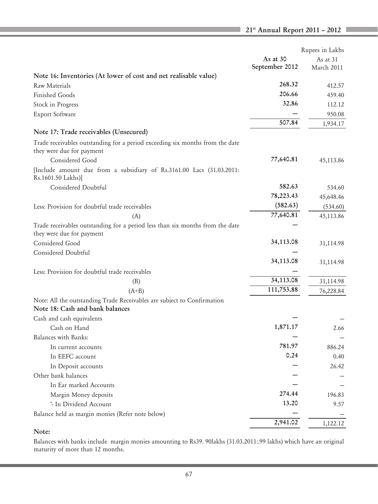I.

|                                                                                                            | Rupees in Lakhs |
|------------------------------------------------------------------------------------------------------------|-----------------|
| As at $30$                                                                                                 | As at 31        |
| September 2012                                                                                             | March 2011      |
| Note 16: Inventories (At lower of cost and net realisable value)                                           |                 |
| 268.32<br>Raw Materials                                                                                    | 412.57          |
| 206.66<br><b>Finished Goods</b>                                                                            | 459.40          |
| 32.86<br>Stock in Progress                                                                                 | 112.12          |
| Export Software                                                                                            | 950.08          |
| 507.84                                                                                                     | 1,934.17        |
| Note 17: Trade receivables (Unsecured)                                                                     |                 |
| Trade receivables outstanding for a period exceeding six months from the date                              |                 |
| they were due for payment                                                                                  |                 |
| 77,640.81<br>Considered Good                                                                               | 45,113.86       |
| [Include amount due from a subsidiary of Rs.3161.00 Lacs (31.03.2011:<br>Rs.1601.50 Lakhs)]                |                 |
| 582.63<br>Considered Doubtful                                                                              | 534.60          |
| 78,223.43                                                                                                  | 45,648.46       |
| (582.63)<br>Less: Provision for doubtful trade receivables                                                 | (534.60)        |
| 77,640.81<br>(A)                                                                                           | 45,113.86       |
| Trade receivables outstanding for a period less than six months from the date<br>they were due for payment |                 |
| 34,113.08<br>Considered Good                                                                               | 31,114.98       |
| Considered Doubtful                                                                                        |                 |
| 34,113.08                                                                                                  | 31,114.98       |
| Less: Provision for doubtful trade receivables                                                             |                 |
| 34,113.08<br>(B)                                                                                           | 31,114.98       |
| 111,753.88<br>$(A+B)$                                                                                      | 76,228.84       |
| Note: All the outstanding Trade Receivables are subject to Confirmation<br>Note 18: Cash and bank balances |                 |
| Cash and cash equivalents                                                                                  |                 |
| 1,871.17<br>Cash on Hand                                                                                   | 2.66            |
| Balances with Banks:                                                                                       |                 |
| 781.97<br>In current accounts                                                                              | 886.24          |
| 0.24<br>In EEFC account                                                                                    | 0.40            |
| In Deposit accounts                                                                                        | 26.42           |
| Other bank balances                                                                                        |                 |
| In Ear marked Accounts                                                                                     |                 |
| 274.44<br>Margin Money deposits                                                                            | 196.83          |
| 13.20<br>'- In Dividend Account                                                                            | 9.57            |
| Balance held as margin monies (Refer note below)                                                           |                 |
| 2,941.02                                                                                                   | 1,122.12        |

## Note:

Balances with banks include margin monies amounting to Rs39. 90lakhs (31.03.2011:.99 lakhs) which have an original maturity of more than 12 months.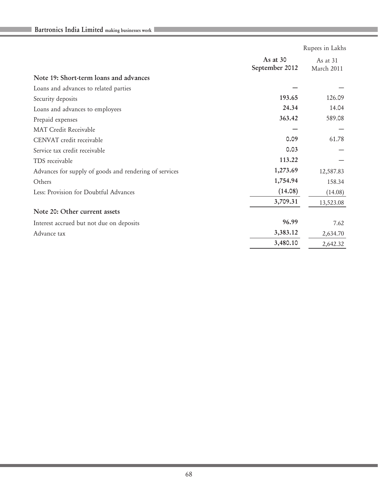|                                                        |                              | Rupees in Lakhs        |
|--------------------------------------------------------|------------------------------|------------------------|
|                                                        | As at $30$<br>September 2012 | As at 31<br>March 2011 |
| Note 19: Short-term loans and advances                 |                              |                        |
| Loans and advances to related parties                  |                              |                        |
| Security deposits                                      | 193.65                       | 126.09                 |
| Loans and advances to employees                        | 24.34                        | 14.04                  |
| Prepaid expenses                                       | 363.42                       | 589.08                 |
| <b>MAT Credit Receivable</b>                           |                              |                        |
| CENVAT credit receivable                               | 0.09                         | 61.78                  |
| Service tax credit receivable                          | 0.03                         |                        |
| TDS receivable                                         | 113.22                       |                        |
| Advances for supply of goods and rendering of services | 1,273.69                     | 12,587.83              |
| Others                                                 | 1,754.94                     | 158.34                 |
| Less: Provision for Doubtful Advances                  | (14.08)                      | (14.08)                |
|                                                        | 3,709.31                     | 13,523.08              |
| Note 20: Other current assets                          |                              |                        |
| Interest accrued but not due on deposits               | 96.99                        | 7.62                   |
| Advance tax                                            | 3,383.12                     | 2,634.70               |
|                                                        | 3,480.10                     | 2,642.32               |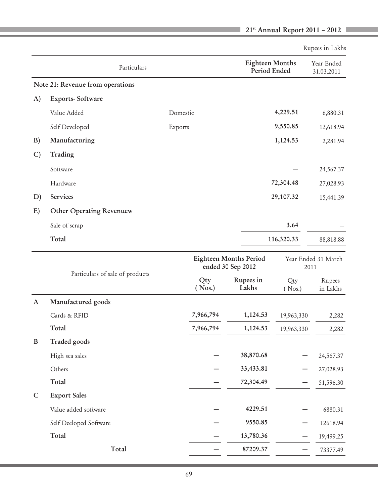|               |                                  |                                                    |                                        |                     | Rupees in Lakhs             |
|---------------|----------------------------------|----------------------------------------------------|----------------------------------------|---------------------|-----------------------------|
|               | Particulars                      |                                                    | <b>Eighteen Months</b><br>Period Ended |                     | Year Ended<br>31.03.2011    |
|               | Note 21: Revenue from operations |                                                    |                                        |                     |                             |
| A)            | Exports-Software                 |                                                    |                                        |                     |                             |
|               | Value Added                      | Domestic                                           |                                        | 4,229.51            | 6,880.31                    |
|               | Self Developed                   | Exports                                            |                                        | 9,550.85            | 12,618.94                   |
| B)            | Manufacturing                    |                                                    |                                        | 1,124.53            | 2,281.94                    |
| $\mathcal{C}$ | Trading                          |                                                    |                                        |                     |                             |
|               | Software                         |                                                    |                                        |                     | 24,567.37                   |
|               | Hardware                         |                                                    |                                        | 72,304.48           | 27,028.93                   |
| D)            | Services                         |                                                    |                                        | 29,107.32           | 15,441.39                   |
| E)            | Other Operating Revenuew         |                                                    |                                        |                     |                             |
|               | Sale of scrap                    |                                                    |                                        | 3.64                |                             |
|               | Total                            |                                                    |                                        | 116,320.33          | 88,818.88                   |
|               |                                  | <b>Eighteen Months Period</b><br>ended 30 Sep 2012 |                                        |                     | Year Ended 31 March<br>2011 |
|               | Particulars of sale of products  | Qty<br>( Nos.)                                     | Rupees in<br>Lakhs                     | Qty<br>$($ Nos. $)$ | Rupees<br>in Lakhs          |
| A             | Manufactured goods               |                                                    |                                        |                     |                             |
|               | Cards & RFID                     | 7,966,794                                          | 1,124.53                               | 19,963,330          | 2,282                       |
|               | Total                            | 7,966,794                                          | 1,124.53                               | 19,963,330          | 2,282                       |
| B             | Traded goods                     |                                                    |                                        |                     |                             |
|               | High sea sales                   |                                                    | 38,870.68                              |                     | 24,567.37                   |
|               | Others                           |                                                    | 33,433.81                              |                     | 27,028.93                   |
|               | Total                            |                                                    | 72,304.49                              |                     | 51,596.30                   |
| $\mathsf{C}$  | <b>Export Sales</b>              |                                                    |                                        |                     |                             |
|               | Value added software             |                                                    | 4229.51                                |                     | 6880.31                     |
|               | Self Deeloped Software           |                                                    | 9550.85                                |                     | 12618.94                    |
|               | Total                            |                                                    | 13,780.36                              |                     | 19,499.25                   |
|               | Total                            |                                                    | 87209.37                               |                     | 73377.49                    |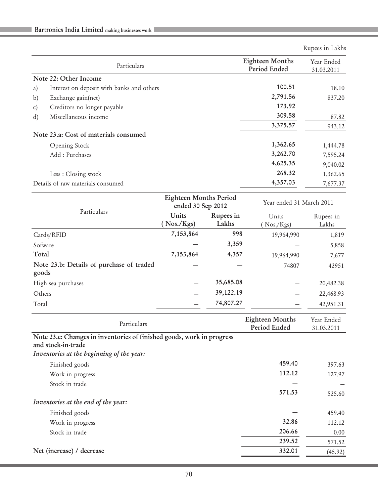|    |                                           |                                        | Rupees in Lakhs          |
|----|-------------------------------------------|----------------------------------------|--------------------------|
|    | Particulars                               | <b>Eighteen Months</b><br>Period Ended | Year Ended<br>31.03.2011 |
|    | Note 22: Other Income                     |                                        |                          |
| a) | Interest on deposit with banks and others | 100.51                                 | 18.10                    |
| b) | Exchange gain(net)                        | 2,791.56                               | 837.20                   |
| c) | Creditors no longer payable               | 173.92                                 |                          |
| d) | Miscellaneous income                      | 309.58                                 | 87.82                    |
|    |                                           | 3,375.57                               | 943.12                   |
|    | Note 23.a: Cost of materials consumed     |                                        |                          |
|    | Opening Stock                             | 1,362.65                               | 1,444.78                 |
|    | Add: Purchases                            | 3,262.70                               | 7,595.24                 |
|    |                                           | 4,625.35                               | 9,040.02                 |
|    | Less : Closing stock                      | 268.32                                 | 1,362.65                 |
|    | Details of raw materials consumed         | 4,357.03                               | 7,677.37                 |

|                                                   | <b>Eighteen Months Period</b><br>ended 30 Sep 2012 |                    | Year ended 31 March 2011 |                    |
|---------------------------------------------------|----------------------------------------------------|--------------------|--------------------------|--------------------|
| Particulars                                       | Units<br>$($ Nos./Kgs $)$                          | Rupees in<br>Lakhs | Units<br>Nos./Kgs        | Rupees in<br>Lakhs |
| Cards/RFID                                        | 7,153,864                                          | 998                | 19,964,990               | 1,819              |
| Sofware                                           |                                                    | 3,359              |                          | 5,858              |
| Total                                             | 7,153,864                                          | 4,357              | 19,964,990               | 7,677              |
| Note 23.b: Details of purchase of traded<br>goods |                                                    |                    | 74807                    | 42951              |
| High sea purchases                                |                                                    | 35,685.08          |                          | 20,482.38          |
| Others                                            |                                                    | 39,122.19          |                          | 22,468.93          |
| Total                                             |                                                    | 74,807.27          |                          | 42,951.31          |

| Particulars                                                                                 | <b>Eighteen Months</b><br>Period Ended | Year Ended<br>31.03.2011 |
|---------------------------------------------------------------------------------------------|----------------------------------------|--------------------------|
| Note 23.c: Changes in inventories of finished goods, work in progress<br>and stock-in-trade |                                        |                          |
| Inventories at the beginning of the year:                                                   |                                        |                          |
| Finished goods                                                                              | 459.40                                 | 397.63                   |
| Work in progress                                                                            | 112.12                                 | 127.97                   |
| Stock in trade                                                                              |                                        |                          |
|                                                                                             | 571.53                                 | 525.60                   |
| Inventories at the end of the year:                                                         |                                        |                          |
| Finished goods                                                                              |                                        | 459.40                   |
| Work in progress                                                                            | 32.86                                  | 112.12                   |
| Stock in trade                                                                              | 206.66                                 | 0.00                     |
|                                                                                             | 239.52                                 | 571.52                   |
| Net (increase) / decrease                                                                   | 332.01                                 | (45.92)                  |
|                                                                                             |                                        |                          |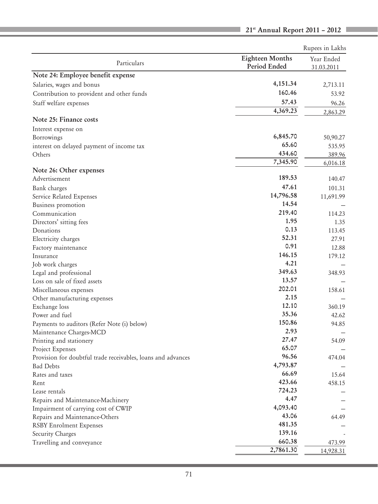|                                                              |                                        | Rupees in Lakhs          |
|--------------------------------------------------------------|----------------------------------------|--------------------------|
| Particulars                                                  | <b>Eighteen Months</b><br>Period Ended | Year Ended<br>31.03.2011 |
| Note 24: Employee benefit expense                            |                                        |                          |
| Salaries, wages and bonus                                    | 4,151.34                               | 2,713.11                 |
| Contribution to provident and other funds                    | 160.46                                 | 53.92                    |
| Staff welfare expenses                                       | 57.43                                  | 96.26                    |
|                                                              | 4,369.23                               | 2,863.29                 |
| Note 25: Finance costs                                       |                                        |                          |
| Interest expense on                                          |                                        |                          |
| Borrowings                                                   | 6,845.70                               | 50,90.27                 |
| interest on delayed payment of income tax                    | 65.60                                  | 535.95                   |
| Others                                                       | 434.60                                 | 389.96                   |
|                                                              | 7,345.90                               | 6,016.18                 |
| Note 26: Other expenses<br>Advertisement                     | 189.53                                 | 140.47                   |
| Bank charges                                                 | 47.61                                  | 101.31                   |
|                                                              | 14,796.58                              |                          |
| Service Related Expenses<br>Business promotion               | 14.54                                  | 11,691.99                |
| Communication                                                | 219.40                                 | 114.23                   |
| Directors' sitting fees                                      | 1.95                                   | 1.35                     |
| Donations                                                    | 0.13                                   | 113.45                   |
| Electricity charges                                          | 52.31                                  | 27.91                    |
| Factory maintenance                                          | 0.91                                   | 12.88                    |
| Insurance                                                    | 146.15                                 | 179.12                   |
| Job work charges                                             | 4.21                                   |                          |
| Legal and professional                                       | 349.63                                 | 348.93                   |
| Loss on sale of fixed assets                                 | 13.57                                  |                          |
| Miscellaneous expenses                                       | 202.01                                 | 158.61                   |
| Other manufacturing expenses                                 | 2.15                                   |                          |
| Exchange loss                                                | 12.10                                  | 360.19                   |
| Power and fuel                                               | 35.36                                  | 42.62                    |
| Payments to auditors (Refer Note (i) below)                  | 150.86                                 | 94.85                    |
| Maintenance Charges-MCD                                      | 2.93                                   |                          |
| Printing and stationery                                      | 27.47                                  | 54.09                    |
| Project Expenses                                             | 65.07                                  |                          |
| Provision for doubtful trade receivables, loans and advances | 96.56                                  | 474.04                   |
| <b>Bad Debts</b>                                             | 4,793.87                               |                          |
| Rates and taxes                                              | 66.69                                  | 15.64                    |
| Rent                                                         | 423.66                                 | 458.15                   |
| Lease rentals                                                | 724.23                                 |                          |
| Repairs and Maintenance-Machinery                            | 4.47                                   |                          |
| Impairment of carrying cost of CWIP                          | 4,093.40                               |                          |
| Repairs and Maintenance-Others                               | 43.06                                  | 64.49                    |
| <b>RSBY</b> Enrolment Expenses                               | 481.35                                 |                          |
| Security Charges                                             | 139.16                                 |                          |
| Travelling and conveyance                                    | 660.38                                 | 473.99                   |
|                                                              | 2,7861.30                              | 14,928.31                |
|                                                              |                                        |                          |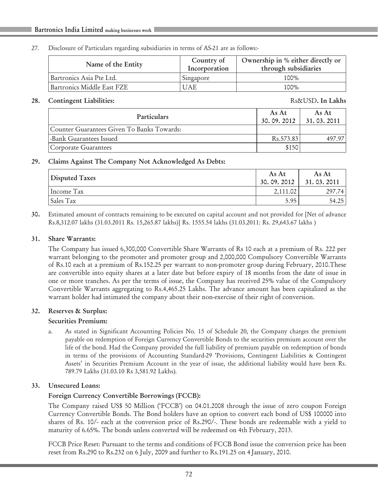#### 27. Disclosure of Particulars regarding subsidiaries in terms of AS-21 are as follows:-

| Name of the Entity         | Country of<br>Incorporation | Ownership in % either directly or<br>through subsidiaries |
|----------------------------|-----------------------------|-----------------------------------------------------------|
| Bartronics Asia Pte Ltd.   | Singapore                   | 100%                                                      |
| Bartronics Middle East FZE | UAE                         | 100%                                                      |

#### 28. Contingent Liabilities:  $\qquad \qquad$  Rs&USD. In Lakhs

| <b>Particulars</b>                         | As At<br>30.09.2012 | As At<br>31, 03, 2011 |
|--------------------------------------------|---------------------|-----------------------|
| Counter Guarantees Given To Banks Towards: |                     |                       |
| -Bank Guarantees Issued                    | Rs. 573.83          | 497 97                |
| Corporate Guarantees                       | \$150               |                       |

# 29. Claims Against The Company Not Acknowledged As Debts:

| Disputed Taxes | As At<br>30.09.2012 | As At<br>31.03.2011 |
|----------------|---------------------|---------------------|
| Income Tax     | 2,111.02            | 297.74              |
| Sales Tax      | 5.95                | 54.25               |

30. Estimated amount of contracts remaining to be executed on capital account and not provided for [Net of advance Rs.8,312.07 lakhs (31.03.2011 Rs. 15,265.87 lakhs)] Rs. 1555.54 lakhs (31.03.2011: Rs. 29,643.67 lakhs )

#### 31. Share Warrants:

The Company has issued 6,300,000 Convertible Share Warrants of Rs 10 each at a premium of Rs. 222 per warrant belonging to the promoter and promoter group and 2,000,000 Compulsory Convertible Warrants of Rs.10 each at a premium of Rs.152.25 per warrant to non-promoter group during February, 2010.These are convertible into equity shares at a later date but before expiry of 18 months from the date of issue in one or more tranches. As per the terms of issue, the Company has received 25% value of the Compulsory Convertible Warrants aggregating to Rs.4,465.25 Lakhs. The advance amount has been capitalized as the warrant holder had intimated the company about their non-exercise of their right of conversion.

#### 32. Reserves & Surplus:

# Securities Premium:

a. As stated in Significant Accounting Policies No. 15 of Schedule 20, the Company charges the premium payable on redemption of Foreign Currency Convertible Bonds to the securities premium account over the life of the bond. Had the Company provided the full liability of premium payable on redemption of bonds in terms of the provisions of Accounting Standard-29 'Provisions, Contingent Liabilities & Contingent Assets' in Securities Premium Account in the year of issue, the additional liability would have been Rs. 789.79 Lakhs (31.03.10 Rs 3,581.92 Lakhs).

# 33. Unsecured Loans:

# Foreign Currency Convertible Borrowings (FCCB):

The Company raised US\$ 50 Million ('FCCB') on 04.01.2008 through the issue of zero coupon Foreign Currency Convertible Bonds. The Bond holders have an option to convert each bond of US\$ 100000 into shares of Rs. 10/- each at the conversion price of Rs.290/-. These bonds are redeemable with a yield to maturity of 6.65%. The bonds unless converted will be redeemed on 4th February, 2013.

FCCB Price Reset: Pursuant to the terms and conditions of FCCB Bond issue the conversion price has been reset from Rs.290 to Rs.232 on 6 July, 2009 and further to Rs.191.25 on 4 January, 2010.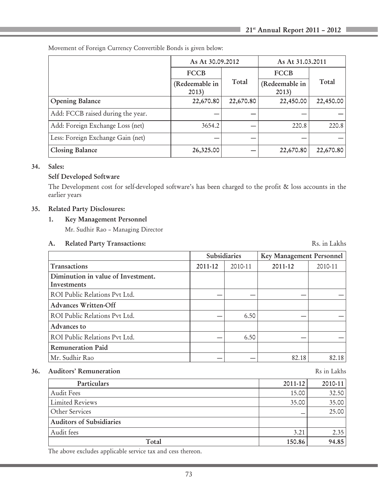|                                   |                         | As At 30.09.2012 |                         | As At 31.03.2011 |  |  |
|-----------------------------------|-------------------------|------------------|-------------------------|------------------|--|--|
|                                   | <b>FCCB</b>             |                  | <b>FCCB</b>             |                  |  |  |
|                                   | (Redeemable in<br>2013) | Total            | (Redeemable in<br>2013) | Total            |  |  |
| <b>Opening Balance</b>            | 22,670.80               | 22,670.80        | 22,450.00               | 22,450.00        |  |  |
| Add: FCCB raised during the year. |                         |                  |                         |                  |  |  |
| Add: Foreign Exchange Loss (net)  | 3654.2                  |                  | 220.8                   | 220.8            |  |  |
| Less: Foreign Exchange Gain (net) |                         |                  |                         |                  |  |  |
| Closing Balance                   | 26,325.00               |                  | 22,670.80               | 22,670.80        |  |  |

Movement of Foreign Currency Convertible Bonds is given below:

# 34. Sales:

# Self Developed Software

The Development cost for self-developed software's has been charged to the profit & loss accounts in the earlier years

# 35. Related Party Disclosures:

#### 1. Key Management Personnel

Mr. Sudhir Rao – Managing Director

#### A. Related Party Transactions: Rs. in Lakhs

|                                                   | <b>Subsidiaries</b> |         | Key Management Personnel |         |
|---------------------------------------------------|---------------------|---------|--------------------------|---------|
| Transactions                                      | 2011-12             | 2010-11 | 2011-12                  | 2010-11 |
| Diminution in value of Investment.<br>Investments |                     |         |                          |         |
| ROI Public Relations Pvt Ltd.                     |                     |         |                          |         |
| <b>Advances Written-Off</b>                       |                     |         |                          |         |
| ROI Public Relations Pvt Ltd.                     |                     | 6.50    |                          |         |
| Advances to                                       |                     |         |                          |         |
| ROI Public Relations Pvt Ltd.                     |                     | 6.50    |                          |         |
| <b>Remuneration Paid</b>                          |                     |         |                          |         |
| Mr. Sudhir Rao                                    |                     |         | 82.18                    | 82.18   |

# 36. Auditors' Remuneration Research Research Research Research Research Rs in Lakhs

| Particulars                     | 2011-12 | $2010 - 11$ |
|---------------------------------|---------|-------------|
| Audit Fees                      | 15.00   | 32.50       |
| <b>Limited Reviews</b>          | 35.00   | 35.00       |
| <b>Other Services</b>           |         | 25.00       |
| <b>Auditors of Subsidiaries</b> |         |             |
| Audit fees                      | 3.21    | 2.35        |
| Total                           | 150.86  | 94.85       |

The above excludes applicable service tax and cess thereon.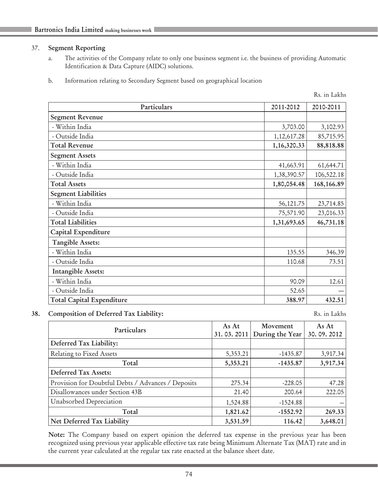#### 37. Segment Reporting

- a. The activities of the Company relate to only one business segment i.e. the business of providing Automatic Identification & Data Capture (AIDC) solutions.
- b. Information relating to Secondary Segment based on geographical location

Rs. in Lakhs

| Particulars                      | 2011-2012   | 2010-2011  |
|----------------------------------|-------------|------------|
| <b>Segment Revenue</b>           |             |            |
| - Within India                   | 3,703.00    | 3,102.93   |
| - Outside India                  | 1,12,617.28 | 85,715.95  |
| <b>Total Revenue</b>             | 1,16,320.33 | 88,818.88  |
| <b>Segment Assets</b>            |             |            |
| - Within India                   | 41,663.91   | 61,644.71  |
| - Outside India                  | 1,38,390.57 | 106,522.18 |
| <b>Total Assets</b>              | 1,80,054.48 | 168,166.89 |
| <b>Segment Liabilities</b>       |             |            |
| - Within India                   | 56, 121. 75 | 23,714.85  |
| - Outside India                  | 75,571.90   | 23,016.33  |
| <b>Total Liabilities</b>         | 1,31,693.65 | 46,731.18  |
| Capital Expenditure              |             |            |
| Tangible Assets:                 |             |            |
| - Within India                   | 135.55      | 346.39     |
| - Outside India                  | 110.68      | 73.51      |
| <b>Intangible Assets:</b>        |             |            |
| - Within India                   | 90.09       | 12.61      |
| - Outside India                  | 52.65       |            |
| <b>Total Capital Expenditure</b> | 388.97      | 432.51     |

#### 38. Composition of Deferred Tax Liability: Rs. in Lakhs

| Particulars                                        | As At<br>31.03.2011 | Movement<br>During the Year | As At<br>30.09.2012 |
|----------------------------------------------------|---------------------|-----------------------------|---------------------|
| Deferred Tax Liability:                            |                     |                             |                     |
| Relating to Fixed Assets                           | 5,353.21            | $-1435.87$                  | 3,917.34            |
| Total                                              | 5,353.21            | $-1435.87$                  | 3,917.34            |
| <b>Deferred Tax Assets:</b>                        |                     |                             |                     |
| Provision for Doubtful Debts / Advances / Deposits | 275.34              | $-228.05$                   | 47.28               |
| Disallowances under Section 43B                    | 21.40               | 200.64                      | 222.05              |
| Unabsorbed Depreciation                            | 1,524.88            | $-1524.88$                  |                     |
| Total                                              | 1,821.62            | $-1552.92$                  | 269.33              |
| Net Deferred Tax Liability                         | 3,531.59            | 116.42                      | 3,648.01            |

Note: The Company based on expert opinion the deferred tax expense in the previous year has been recognized using previous year applicable effective tax rate being Minimum Alternate Tax (MAT) rate and in the current year calculated at the regular tax rate enacted at the balance sheet date.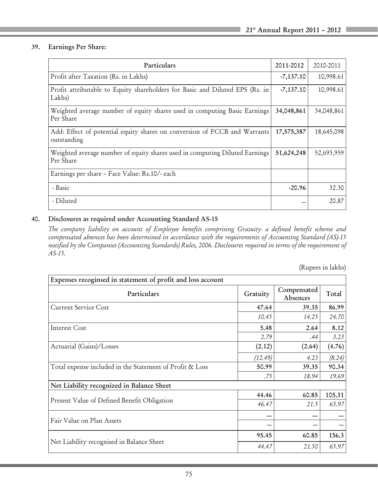# 39. Earnings Per Share:

| Particulars                                                                              | 2011-2012   | 2010-2011  |
|------------------------------------------------------------------------------------------|-------------|------------|
| Profit after Taxation (Rs. in Lakhs)                                                     | $-7,137.10$ | 10,998.61  |
| Profit attributable to Equity shareholders for Basic and Diluted EPS (Rs. in<br>Lakhs)   | $-7,137.10$ | 10,998.61  |
| Weighted average number of equity shares used in computing Basic Earnings<br>Per Share   | 34,048,861  | 34,048,861 |
| Add: Effect of potential equity shares on conversion of FCCB and Warrants<br>outstanding | 17,575,387  | 18,645,098 |
| Weighted average number of equity shares used in computing Diluted Earnings<br>Per Share | 51,624,248  | 52,693,959 |
| Earnings per share – Face Value: Rs.10/- each                                            |             |            |
| - Basic                                                                                  | $-20.96$    | 32.30      |
| - Diluted                                                                                |             | 20.87      |

# 40. Disclosures as required under Accounting Standard AS-15

*The company liability on account of Employee benefits comprising Gratuity- a defined benefit scheme and compensated absences has been determined in accordance with the requirements of Accounting Standard (AS)-15 notified by the Companies (Accounting Standards) Rules, 2006. Disclosures required in terms of the requirement of AS-15.*

(Rupees in lakhs)

| Expenses recoginsed in statement of profit and loss account |          |                         |        |
|-------------------------------------------------------------|----------|-------------------------|--------|
| Particulars                                                 | Gratuity | Compensated<br>Absences | Total  |
| <b>Current Service Cost</b>                                 | 47.64    | 39.35                   | 86.99  |
|                                                             | 10.45    | 14.25                   | 24.70  |
| <b>Interest Cost</b>                                        | 5.48     | 2.64                    | 8.12   |
|                                                             | 2.79     | .44                     | 3.23   |
| Actuarial (Gains)/Losses                                    | (2.12)   | (2.64)                  | (4.76) |
|                                                             | (12.49)  | 4.23                    | (8.24) |
| Total expense included in the Statement of Profit & Loss    | 50.99    | 39.35                   | 90.34  |
|                                                             | .75      | 18.94                   | 19.69  |
| Net Liability recognized in Balance Sheet                   |          |                         |        |
|                                                             | 44.46    | 60.85                   | 105.31 |
| Present Value of Defined Benefit Obligation                 | 46.47    | 21.5                    | 65.97  |
| Fair Value on Plan Assets                                   |          |                         |        |
|                                                             |          |                         |        |
|                                                             | 95.45    | 60.85                   | 156.3  |
| Net Liability recognised in Balance Sheet                   | 44.47    | 21.50                   | 65.97  |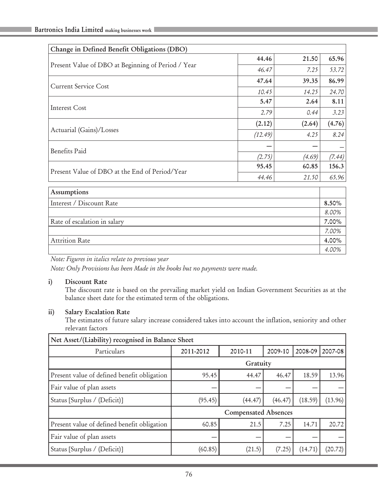| Change in Defined Benefit Obligations (DBO)        |         |        |        |
|----------------------------------------------------|---------|--------|--------|
|                                                    | 44.46   | 21.50  | 65.96  |
| Present Value of DBO at Beginning of Period / Year | 46.47   | 7.25   | 53.72  |
| <b>Current Service Cost</b>                        | 47.64   | 39.35  | 86.99  |
|                                                    | 10.45   | 14.25  | 24.70  |
|                                                    | 5.47    | 2.64   | 8.11   |
| Interest Cost                                      | 2.79    | 0.44   | 3.23   |
| Actuarial (Gains)/Losses                           | (2.12)  | (2.64) | (4.76) |
|                                                    | (12.49) | 4.25   | 8.24   |
| <b>Benefits Paid</b>                               |         |        |        |
|                                                    | (2.75)  | (4.69) | (7.44) |
| Present Value of DBO at the End of Period/Year     | 95.45   | 60.85  | 156.3  |
|                                                    | 44.46   | 21.50  | 65.96  |
| Assumptions                                        |         |        |        |
| Interest / Discount Rate                           |         |        | 8.50%  |
|                                                    |         |        | 8.00%  |

Rate of escalation in salary  $\vert$  7.00%

*7.00%*

*4.00%*

Attrition Rate 4.00%

*Note: Figures in italics relate to previous year*

*Note: Only Provisions has been Made in the books but no payments were made.*

#### i) Discount Rate

The discount rate is based on the prevailing market yield on Indian Government Securities as at the balance sheet date for the estimated term of the obligations.

#### ii) Salary Escalation Rate

The estimates of future salary increase considered takes into account the inflation, seniority and other relevant factors

| Net Asset/(Liability) recognised in Balance Sheet |                             |         |         |         |         |
|---------------------------------------------------|-----------------------------|---------|---------|---------|---------|
| Particulars                                       | 2011-2012                   | 2010-11 | 2009-10 | 2008-09 | 2007-08 |
|                                                   | Gratuity                    |         |         |         |         |
| Present value of defined benefit obligation       | 95.45                       | 44.47   | 46.47   | 18.59   | 13.96   |
| Fair value of plan assets                         |                             |         |         |         |         |
| Status [Surplus / (Deficit)]                      | (95.45)                     | (44.47) | (46.47) | (18.59) | (13.96) |
|                                                   | <b>Compensated Absences</b> |         |         |         |         |
| Present value of defined benefit obligation       | 60.85                       | 21.5    | 7.25    | 14.71   | 20.72   |
| Fair value of plan assets                         |                             |         |         |         |         |
| Status [Surplus / (Deficit)]                      | (60.85)                     | (21.5)  | (7.25)  | (14.71) | (20.72) |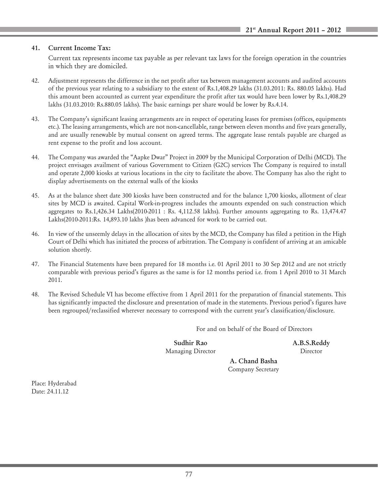#### 41. Current Income Tax:

Current tax represents income tax payable as per relevant tax laws for the foreign operation in the countries in which they are domiciled.

- 42. Adjustment represents the difference in the net profit after tax between management accounts and audited accounts of the previous year relating to a subsidiary to the extent of Rs.1,408.29 lakhs (31.03.2011: Rs. 880.05 lakhs). Had this amount been accounted as current year expenditure the profit after tax would have been lower by Rs.1,408.29 lakhs (31.03.2010: Rs.880.05 lakhs). The basic earnings per share would be lower by Rs.4.14.
- 43. The Company's significant leasing arrangements are in respect of operating leases for premises (offices, equipments etc.). The leasing arrangements, which are not non-cancellable, range between eleven months and five years generally, and are usually renewable by mutual consent on agreed terms. The aggregate lease rentals payable are charged as rent expense to the profit and loss account.
- 44. The Company was awarded the "Aapke Dwar" Project in 2009 by the Municipal Corporation of Delhi (MCD). The project envisages availment of various Government to Citizen (G2C) services The Company is required to install and operate 2,000 kiosks at various locations in the city to facilitate the above. The Company has also the right to display advertisements on the external walls of the kiosks
- 45. As at the balance sheet date 300 kiosks have been constructed and for the balance 1,700 kiosks, allotment of clear sites by MCD is awaited. Capital Work-in-progress includes the amounts expended on such construction which aggregates to Rs.1,426.34 Lakhs(2010-2011 : Rs. 4,112.58 lakhs). Further amounts aggregating to Rs. 13,474.47 Lakhs(2010-2011:Rs. 14,893.10 lakhs )has been advanced for work to be carried out.
- 46. In view of the unseemly delays in the allocation of sites by the MCD, the Company has filed a petition in the High Court of Delhi which has initiated the process of arbitration. The Company is confident of arriving at an amicable solution shortly.
- 47. The Financial Statements have been prepared for 18 months i.e. 01 April 2011 to 30 Sep 2012 and are not strictly comparable with previous period's figures as the same is for 12 months period i.e. from 1 April 2010 to 31 March 2011.
- 48. The Revised Schedule VI has become effective from 1 April 2011 for the preparation of financial statements. This has significantly impacted the disclosure and presentation of made in the statements. Previous period's figures have been regrouped/reclassified wherever necessary to correspond with the current year's classification/disclosure.

For and on behalf of the Board of Directors

Sudhir Rao A.B.S.Reddy Managing Director **Director** 

 A. Chand Basha Company Secretary

Place: Hyderabad Date: 24.11.12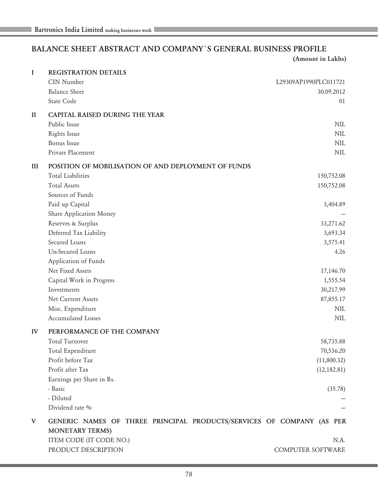# BALANCE SHEET ABSTRACT AND COMPANY`S GENERAL BUSINESS PROFILE

(Amount in Lakhs)

| $\mathbf I$  | <b>REGISTRATION DETAILS</b>                                           |                       |
|--------------|-----------------------------------------------------------------------|-----------------------|
|              | CIN Number                                                            | L29309AP1990PLC011721 |
|              | <b>Balance Sheet</b>                                                  | 30.09.2012            |
|              | State Code                                                            | 01                    |
| $\mathbf{I}$ | <b>CAPITAL RAISED DURING THE YEAR</b>                                 |                       |
|              | Public Issue                                                          | <b>NIL</b>            |
|              | Rights Issue                                                          | NII.                  |
|              | <b>Bonus</b> Issue                                                    | <b>NIL</b>            |
|              | Private Placement                                                     | <b>NIL</b>            |
| III          | POSITION OF MOBILISATION OF AND DEPLOYMENT OF FUNDS                   |                       |
|              | <b>Total Liabilities</b>                                              | 150,752.08            |
|              | <b>Total Assets</b>                                                   | 150,752.08            |
|              | Sources of Funds                                                      |                       |
|              | Paid up Capital                                                       | 3,404.89              |
|              | Share Application Money                                               |                       |
|              | Reserves & Surplus                                                    | 33,271.62             |
|              | Deferred Tax Liability                                                | 3,693.34              |
|              | Secured Loans                                                         | 3,575.41              |
|              | Un-Secured Loans                                                      | 4.26                  |
|              | Application of Funds                                                  |                       |
|              | Net Fixed Assets                                                      | 17,146.70             |
|              | Capital Work in Progress                                              | 1,555.54              |
|              | Investments                                                           | 30,217.99             |
|              | Net Current Assets                                                    | 87,855.17             |
|              | Misc. Expenditure                                                     | NIL                   |
|              | <b>Accumulated Losses</b>                                             | NIL                   |
| IV           | PERFORMANCE OF THE COMPANY                                            |                       |
|              | Total Turnover                                                        | 58,735.88             |
|              | Total Expenditure                                                     | 70,536.20             |
|              | Profit before Tax                                                     | (11,800.32)           |
|              | Profit after Tax                                                      | (12, 182.81)          |
|              | Earnings per Share in Rs.                                             |                       |
|              | - Basic                                                               | (35.78)               |
|              | - Diluted                                                             |                       |
|              | Dividend rate %                                                       |                       |
| V            | GENERIC NAMES OF THREE PRINCIPAL PRODUCTS/SERVICES OF COMPANY (AS PER |                       |
|              | <b>MONETARY TERMS)</b>                                                |                       |
|              | ITEM CODE (IT CODE NO.)                                               | N.A.                  |
|              | PRODUCT DESCRIPTION                                                   | COMPUTER SOFTWARE     |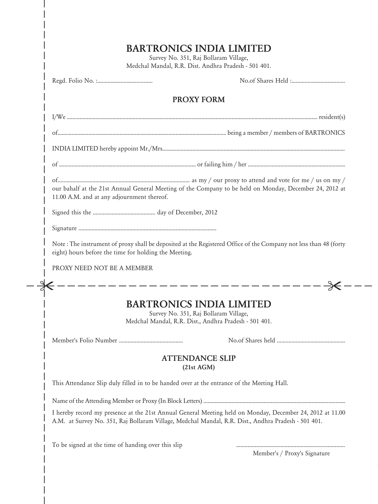|                                                                                                                                                       | <b>PROXY FORM</b>                                                                                                                 |  |
|-------------------------------------------------------------------------------------------------------------------------------------------------------|-----------------------------------------------------------------------------------------------------------------------------------|--|
|                                                                                                                                                       |                                                                                                                                   |  |
|                                                                                                                                                       |                                                                                                                                   |  |
|                                                                                                                                                       |                                                                                                                                   |  |
|                                                                                                                                                       |                                                                                                                                   |  |
| our bahalf at the 21st Annual General Meeting of the Company to be held on Monday, December 24, 2012 at<br>11.00 A.M. and at any adjournment thereof. |                                                                                                                                   |  |
|                                                                                                                                                       |                                                                                                                                   |  |
|                                                                                                                                                       |                                                                                                                                   |  |
| eight) hours before the time for holding the Meeting.                                                                                                 | Note: The instrument of proxy shall be deposited at the Registered Office of the Company not less than 48 (forty                  |  |
| PROXY NEED NOT BE A MEMBER                                                                                                                            |                                                                                                                                   |  |
|                                                                                                                                                       | - - - - - - - - -                                                                                                                 |  |
|                                                                                                                                                       | <b>BARTRONICS INDIA LIMITED</b><br>Survey No. 351, Raj Bollaram Village,<br>Medchal Mandal, R.R. Dist., Andhra Pradesh - 501 401. |  |
|                                                                                                                                                       |                                                                                                                                   |  |
|                                                                                                                                                       | <b>ATTENDANCE SLIP</b><br>(21st AGM)                                                                                              |  |
| This Attendance Slip duly filled in to be handed over at the entrance of the Meeting Hall.                                                            |                                                                                                                                   |  |
|                                                                                                                                                       |                                                                                                                                   |  |
|                                                                                                                                                       | I hereby record my presence at the 21st Annual General Meeting held on Monday, December 24, 2012 at 11.00                         |  |

 $\overline{\phantom{a}}$  $\overline{\phantom{a}}$ I  $\overline{\phantom{a}}$ 

 $\overline{\phantom{a}}$ I

> J I

Member's / Proxy's Signature